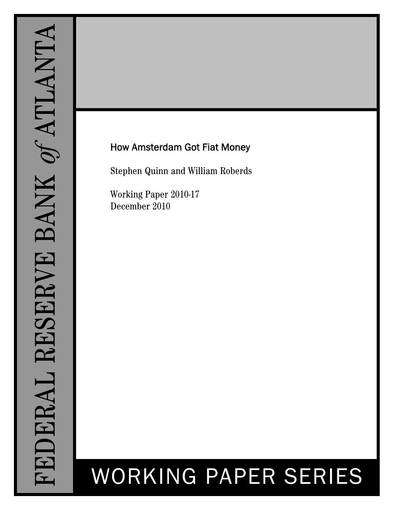## How Amsterdam Got Fiat Money

Stephen Quinn and William Roberds

Working Paper 2010-17 December 2010

# WORKING PAPER SERIES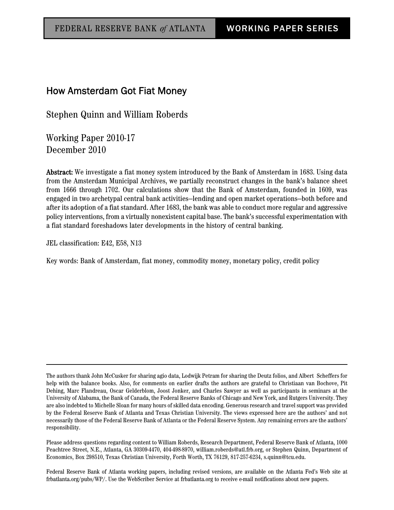### How Amsterdam Got Fiat Money

Stephen Quinn and William Roberds

Working Paper 2010-17 December 2010

Abstract: We investigate a fiat money system introduced by the Bank of Amsterdam in 1683. Using data from the Amsterdam Municipal Archives, we partially reconstruct changes in the bank's balance sheet from 1666 through 1702. Our calculations show that the Bank of Amsterdam, founded in 1609, was engaged in two archetypal central bank activities—lending and open market operations—both before and after its adoption of a fiat standard. After 1683, the bank was able to conduct more regular and aggressive policy interventions, from a virtually nonexistent capital base. The bank's successful experimentation with a fiat standard foreshadows later developments in the history of central banking.

JEL classification: E42, E58, N13

Key words: Bank of Amsterdam, fiat money, commodity money, monetary policy, credit policy

Please address questions regarding content to William Roberds, Research Department, Federal Reserve Bank of Atlanta, 1000 Peachtree Street, N.E., Atlanta, GA 30309-4470, 404-498-8970, william.roberds@atl.frb.org, or Stephen Quinn, Department of Economics, Box 298510, Texas Christian University, Forth Worth, TX 76129, 817-257-6234, s.quinn@tcu.edu.

Federal Reserve Bank of Atlanta working papers, including revised versions, are available on the Atlanta Fed's Web site at frbatlanta.org/pubs/WP/. Use the WebScriber Service at frbatlanta.org to receive e-mail notifications about new papers.

The authors thank John McCusker for sharing agio data, Lodwijk Petram for sharing the Deutz folios, and Albert Scheffers for help with the balance books. Also, for comments on earlier drafts the authors are grateful to Christiaan van Bochove, Pit Dehing, Marc Flandreau, Oscar Gelderblom, Joost Jonker, and Charles Sawyer as well as participants in seminars at the University of Alabama, the Bank of Canada, the Federal Reserve Banks of Chicago and New York, and Rutgers University. They are also indebted to Michelle Sloan for many hours of skilled data encoding. Generous research and travel support was provided by the Federal Reserve Bank of Atlanta and Texas Christian University. The views expressed here are the authors' and not necessarily those of the Federal Reserve Bank of Atlanta or the Federal Reserve System. Any remaining errors are the authors' responsibility.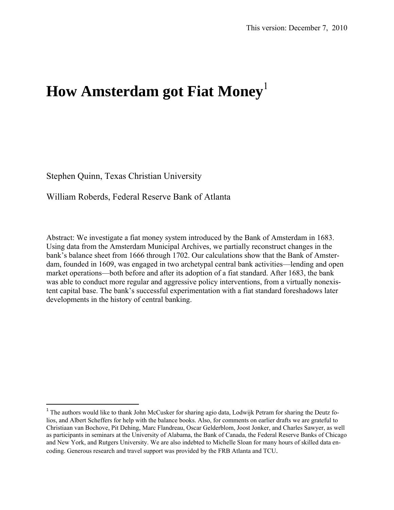## **How Amsterdam got Fiat Money**<sup>1</sup>

Stephen Quinn, Texas Christian University

 $\overline{a}$ 

William Roberds, Federal Reserve Bank of Atlanta

Abstract: We investigate a fiat money system introduced by the Bank of Amsterdam in 1683. Using data from the Amsterdam Municipal Archives, we partially reconstruct changes in the bank's balance sheet from 1666 through 1702. Our calculations show that the Bank of Amsterdam, founded in 1609, was engaged in two archetypal central bank activities—lending and open market operations—both before and after its adoption of a fiat standard. After 1683, the bank was able to conduct more regular and aggressive policy interventions, from a virtually nonexistent capital base. The bank's successful experimentation with a fiat standard foreshadows later developments in the history of central banking.

<sup>&</sup>lt;sup>1</sup> The authors would like to thank John McCusker for sharing agio data, Lodwijk Petram for sharing the Deutz folios, and Albert Scheffers for help with the balance books. Also, for comments on earlier drafts we are grateful to Christiaan van Bochove, Pit Dehing, Marc Flandreau, Oscar Gelderblom, Joost Jonker, and Charles Sawyer, as well as participants in seminars at the University of Alabama, the Bank of Canada, the Federal Reserve Banks of Chicago and New York, and Rutgers University. We are also indebted to Michelle Sloan for many hours of skilled data encoding. Generous research and travel support was provided by the FRB Atlanta and TCU.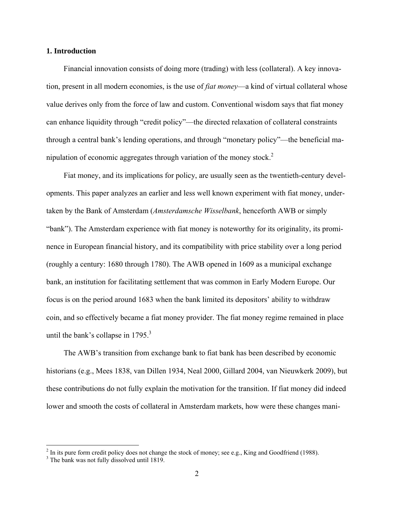#### **1. Introduction**

Financial innovation consists of doing more (trading) with less (collateral). A key innovation, present in all modern economies, is the use of *fiat money*—a kind of virtual collateral whose value derives only from the force of law and custom. Conventional wisdom says that fiat money can enhance liquidity through "credit policy"—the directed relaxation of collateral constraints through a central bank's lending operations, and through "monetary policy"—the beneficial manipulation of economic aggregates through variation of the money stock.<sup>2</sup>

Fiat money, and its implications for policy, are usually seen as the twentieth-century developments. This paper analyzes an earlier and less well known experiment with fiat money, undertaken by the Bank of Amsterdam (*Amsterdamsche Wisselbank*, henceforth AWB or simply "bank"). The Amsterdam experience with fiat money is noteworthy for its originality, its prominence in European financial history, and its compatibility with price stability over a long period (roughly a century: 1680 through 1780). The AWB opened in 1609 as a municipal exchange bank, an institution for facilitating settlement that was common in Early Modern Europe. Our focus is on the period around 1683 when the bank limited its depositors' ability to withdraw coin, and so effectively became a fiat money provider. The fiat money regime remained in place until the bank's collapse in  $1795<sup>3</sup>$ 

The AWB's transition from exchange bank to fiat bank has been described by economic historians (e.g., Mees 1838, van Dillen 1934, Neal 2000, Gillard 2004, van Nieuwkerk 2009), but these contributions do not fully explain the motivation for the transition. If fiat money did indeed lower and smooth the costs of collateral in Amsterdam markets, how were these changes mani-

<sup>&</sup>lt;sup>2</sup> In its pure form credit policy does not change the stock of money; see e.g., King and Goodfriend (1988).

<sup>&</sup>lt;sup>3</sup> The bank was not fully dissolved until 1819.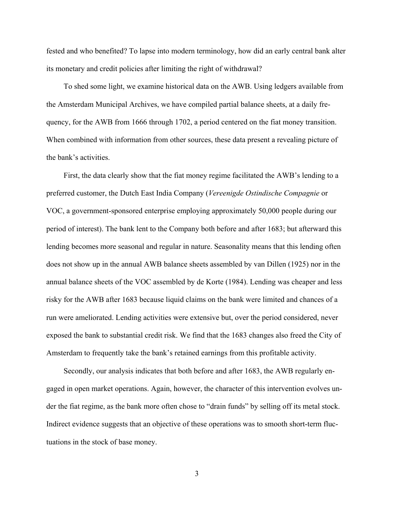fested and who benefited? To lapse into modern terminology, how did an early central bank alter its monetary and credit policies after limiting the right of withdrawal?

To shed some light, we examine historical data on the AWB. Using ledgers available from the Amsterdam Municipal Archives, we have compiled partial balance sheets, at a daily frequency, for the AWB from 1666 through 1702, a period centered on the fiat money transition. When combined with information from other sources, these data present a revealing picture of the bank's activities.

First, the data clearly show that the fiat money regime facilitated the AWB's lending to a preferred customer, the Dutch East India Company (*Vereenigde Ostindische Compagnie* or VOC, a government-sponsored enterprise employing approximately 50,000 people during our period of interest). The bank lent to the Company both before and after 1683; but afterward this lending becomes more seasonal and regular in nature. Seasonality means that this lending often does not show up in the annual AWB balance sheets assembled by van Dillen (1925) nor in the annual balance sheets of the VOC assembled by de Korte (1984). Lending was cheaper and less risky for the AWB after 1683 because liquid claims on the bank were limited and chances of a run were ameliorated. Lending activities were extensive but, over the period considered, never exposed the bank to substantial credit risk. We find that the 1683 changes also freed the City of Amsterdam to frequently take the bank's retained earnings from this profitable activity.

Secondly, our analysis indicates that both before and after 1683, the AWB regularly engaged in open market operations. Again, however, the character of this intervention evolves under the fiat regime, as the bank more often chose to "drain funds" by selling off its metal stock. Indirect evidence suggests that an objective of these operations was to smooth short-term fluctuations in the stock of base money.

3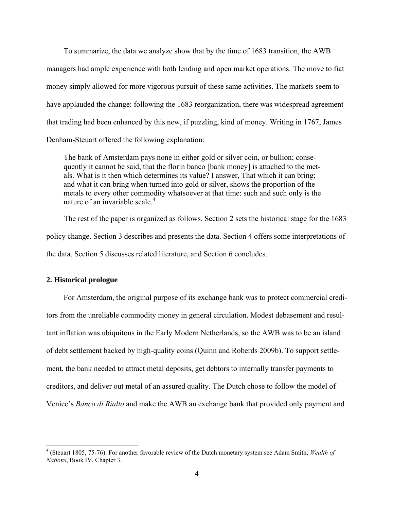To summarize, the data we analyze show that by the time of 1683 transition, the AWB managers had ample experience with both lending and open market operations. The move to fiat money simply allowed for more vigorous pursuit of these same activities. The markets seem to have applauded the change: following the 1683 reorganization, there was widespread agreement that trading had been enhanced by this new, if puzzling, kind of money. Writing in 1767, James Denham-Steuart offered the following explanation:

The bank of Amsterdam pays none in either gold or silver coin, or bullion; consequently it cannot be said, that the florin banco [bank money] is attached to the metals. What is it then which determines its value? I answer, That which it can bring; and what it can bring when turned into gold or silver, shows the proportion of the metals to every other commodity whatsoever at that time: such and such only is the nature of an invariable scale. $4$ 

The rest of the paper is organized as follows. Section 2 sets the historical stage for the 1683 policy change. Section 3 describes and presents the data. Section 4 offers some interpretations of the data. Section 5 discusses related literature, and Section 6 concludes.

#### **2. Historical prologue**

 $\overline{a}$ 

For Amsterdam, the original purpose of its exchange bank was to protect commercial creditors from the unreliable commodity money in general circulation. Modest debasement and resultant inflation was ubiquitous in the Early Modern Netherlands, so the AWB was to be an island of debt settlement backed by high-quality coins (Quinn and Roberds 2009b). To support settlement, the bank needed to attract metal deposits, get debtors to internally transfer payments to creditors, and deliver out metal of an assured quality. The Dutch chose to follow the model of Venice's *Banco di Rialto* and make the AWB an exchange bank that provided only payment and

<sup>4</sup> (Steuart 1805, 75-76). For another favorable review of the Dutch monetary system see Adam Smith, *Wealth of Nations*, Book IV, Chapter 3.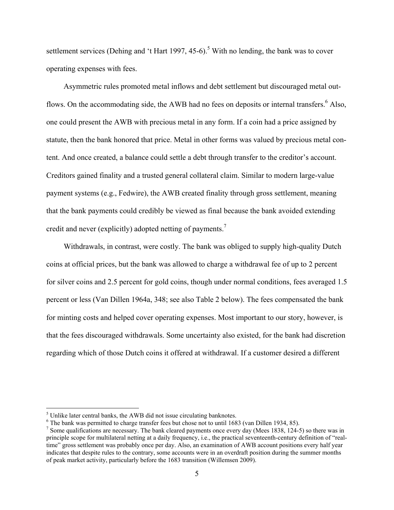settlement services (Dehing and 't Hart 1997, 45-6).<sup>5</sup> With no lending, the bank was to cover operating expenses with fees.

Asymmetric rules promoted metal inflows and debt settlement but discouraged metal outflows. On the accommodating side, the AWB had no fees on deposits or internal transfers.<sup>6</sup> Also, one could present the AWB with precious metal in any form. If a coin had a price assigned by statute, then the bank honored that price. Metal in other forms was valued by precious metal content. And once created, a balance could settle a debt through transfer to the creditor's account. Creditors gained finality and a trusted general collateral claim. Similar to modern large-value payment systems (e.g., Fedwire), the AWB created finality through gross settlement, meaning that the bank payments could credibly be viewed as final because the bank avoided extending credit and never (explicitly) adopted netting of payments.<sup>7</sup>

Withdrawals, in contrast, were costly. The bank was obliged to supply high-quality Dutch coins at official prices, but the bank was allowed to charge a withdrawal fee of up to 2 percent for silver coins and 2.5 percent for gold coins, though under normal conditions, fees averaged 1.5 percent or less (Van Dillen 1964a, 348; see also Table 2 below). The fees compensated the bank for minting costs and helped cover operating expenses. Most important to our story, however, is that the fees discouraged withdrawals. Some uncertainty also existed, for the bank had discretion regarding which of those Dutch coins it offered at withdrawal. If a customer desired a different

<u>.</u>

 $<sup>5</sup>$  Unlike later central banks, the AWB did not issue circulating banknotes.</sup>

<sup>&</sup>lt;sup>6</sup> The bank was permitted to charge transfer fees but chose not to until 1683 (van Dillen 1934, 85).<br><sup>7</sup> Some qualifications are necessary. The bank elegrad perments once overy day (Mags 1838, 124, 5).

<sup>&</sup>lt;sup>7</sup> Some qualifications are necessary. The bank cleared payments once every day (Mees 1838, 124-5) so there was in principle scope for multilateral netting at a daily frequency, i.e., the practical seventeenth-century definition of "realtime" gross settlement was probably once per day. Also, an examination of AWB account positions every half year indicates that despite rules to the contrary, some accounts were in an overdraft position during the summer months of peak market activity, particularly before the 1683 transition (Willemsen 2009).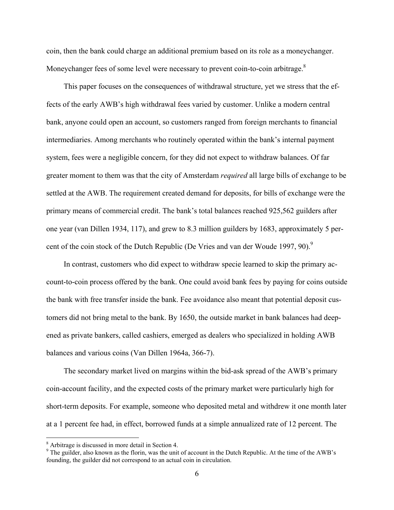coin, then the bank could charge an additional premium based on its role as a moneychanger. Moneychanger fees of some level were necessary to prevent coin-to-coin arbitrage.<sup>8</sup>

This paper focuses on the consequences of withdrawal structure, yet we stress that the effects of the early AWB's high withdrawal fees varied by customer. Unlike a modern central bank, anyone could open an account, so customers ranged from foreign merchants to financial intermediaries. Among merchants who routinely operated within the bank's internal payment system, fees were a negligible concern, for they did not expect to withdraw balances. Of far greater moment to them was that the city of Amsterdam *required* all large bills of exchange to be settled at the AWB. The requirement created demand for deposits, for bills of exchange were the primary means of commercial credit. The bank's total balances reached 925,562 guilders after one year (van Dillen 1934, 117), and grew to 8.3 million guilders by 1683, approximately 5 percent of the coin stock of the Dutch Republic (De Vries and van der Woude 1997, 90).<sup>9</sup>

In contrast, customers who did expect to withdraw specie learned to skip the primary account-to-coin process offered by the bank. One could avoid bank fees by paying for coins outside the bank with free transfer inside the bank. Fee avoidance also meant that potential deposit customers did not bring metal to the bank. By 1650, the outside market in bank balances had deepened as private bankers, called cashiers, emerged as dealers who specialized in holding AWB balances and various coins (Van Dillen 1964a, 366-7).

The secondary market lived on margins within the bid-ask spread of the AWB's primary coin-account facility, and the expected costs of the primary market were particularly high for short-term deposits. For example, someone who deposited metal and withdrew it one month later at a 1 percent fee had, in effect, borrowed funds at a simple annualized rate of 12 percent. The

<sup>8</sup> Arbitrage is discussed in more detail in Section 4.

 $9$  The guilder, also known as the florin, was the unit of account in the Dutch Republic. At the time of the AWB's founding, the guilder did not correspond to an actual coin in circulation.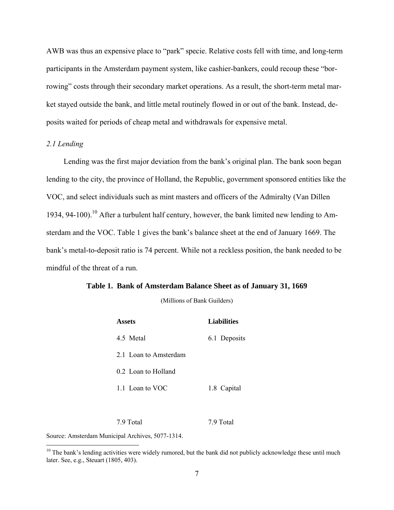AWB was thus an expensive place to "park" specie. Relative costs fell with time, and long-term participants in the Amsterdam payment system, like cashier-bankers, could recoup these "borrowing" costs through their secondary market operations. As a result, the short-term metal market stayed outside the bank, and little metal routinely flowed in or out of the bank. Instead, deposits waited for periods of cheap metal and withdrawals for expensive metal.

#### *2.1 Lending*

Lending was the first major deviation from the bank's original plan. The bank soon began lending to the city, the province of Holland, the Republic, government sponsored entities like the VOC, and select individuals such as mint masters and officers of the Admiralty (Van Dillen 1934, 94-100).<sup>10</sup> After a turbulent half century, however, the bank limited new lending to Amsterdam and the VOC. Table 1 gives the bank's balance sheet at the end of January 1669. The bank's metal-to-deposit ratio is 74 percent. While not a reckless position, the bank needed to be mindful of the threat of a run.

#### **Table 1. Bank of Amsterdam Balance Sheet as of January 31, 1669**

(Millions of Bank Guilders)

| Assets                | <b>Liabilities</b> |
|-----------------------|--------------------|
| 4.5 Metal             | 6.1 Deposits       |
| 2.1 Loan to Amsterdam |                    |
| 0.2 Loan to Holland   |                    |
| 1.1 Loan to VOC       | 1.8 Capital        |
|                       |                    |

7.9 Total 7.9 Total

Source: Amsterdam Municipal Archives, 5077-1314.

 $10$  The bank's lending activities were widely rumored, but the bank did not publicly acknowledge these until much later. See, e.g., Steuart (1805, 403).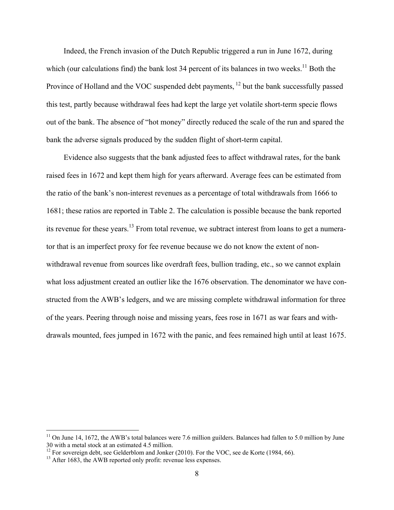Indeed, the French invasion of the Dutch Republic triggered a run in June 1672, during which (our calculations find) the bank lost 34 percent of its balances in two weeks.<sup>11</sup> Both the Province of Holland and the VOC suspended debt payments, <sup>12</sup> but the bank successfully passed this test, partly because withdrawal fees had kept the large yet volatile short-term specie flows out of the bank. The absence of "hot money" directly reduced the scale of the run and spared the bank the adverse signals produced by the sudden flight of short-term capital.

Evidence also suggests that the bank adjusted fees to affect withdrawal rates, for the bank raised fees in 1672 and kept them high for years afterward. Average fees can be estimated from the ratio of the bank's non-interest revenues as a percentage of total withdrawals from 1666 to 1681; these ratios are reported in Table 2. The calculation is possible because the bank reported its revenue for these years.<sup>13</sup> From total revenue, we subtract interest from loans to get a numerator that is an imperfect proxy for fee revenue because we do not know the extent of nonwithdrawal revenue from sources like overdraft fees, bullion trading, etc., so we cannot explain what loss adjustment created an outlier like the 1676 observation. The denominator we have constructed from the AWB's ledgers, and we are missing complete withdrawal information for three of the years. Peering through noise and missing years, fees rose in 1671 as war fears and withdrawals mounted, fees jumped in 1672 with the panic, and fees remained high until at least 1675.

 $11$  On June 14, 1672, the AWB's total balances were 7.6 million guilders. Balances had fallen to 5.0 million by June 30 with a metal stock at an estimated 4.5 million.

<sup>&</sup>lt;sup>12</sup> For sovereign debt, see Gelderblom and Jonker (2010). For the VOC, see de Korte (1984, 66).

<sup>&</sup>lt;sup>13</sup> After 1683, the AWB reported only profit: revenue less expenses.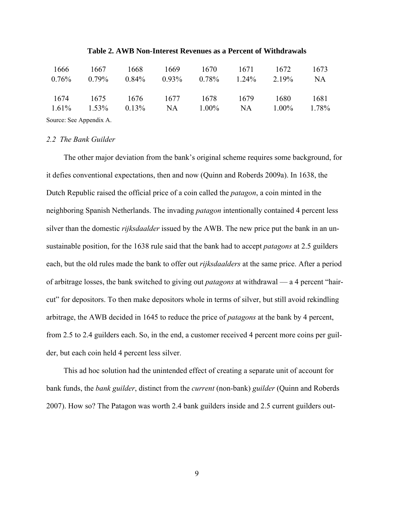|  |  | 1666 1667 1668 1669 1670 1671 1672                                |  | - 1673 |
|--|--|-------------------------------------------------------------------|--|--------|
|  |  | $0.76\%$ $0.79\%$ $0.84\%$ $0.93\%$ $0.78\%$ $1.24\%$ $2.19\%$ NA |  |        |
|  |  |                                                                   |  |        |
|  |  | 1674 1675 1676 1677 1678 1679 1680                                |  | 1681   |
|  |  | $1.61\%$ $1.53\%$ $0.13\%$ NA $1.00\%$ NA $1.00\%$ $1.78\%$       |  |        |
|  |  |                                                                   |  |        |

#### **Table 2. AWB Non-Interest Revenues as a Percent of Withdrawals**

Source: See Appendix A.

#### *2.2 The Bank Guilder*

The other major deviation from the bank's original scheme requires some background, for it defies conventional expectations, then and now (Quinn and Roberds 2009a). In 1638, the Dutch Republic raised the official price of a coin called the *patagon*, a coin minted in the neighboring Spanish Netherlands. The invading *patagon* intentionally contained 4 percent less silver than the domestic *rijksdaalder* issued by the AWB. The new price put the bank in an unsustainable position, for the 1638 rule said that the bank had to accept *patagons* at 2.5 guilders each, but the old rules made the bank to offer out *rijksdaalders* at the same price. After a period of arbitrage losses, the bank switched to giving out *patagons* at withdrawal — a 4 percent "haircut" for depositors. To then make depositors whole in terms of silver, but still avoid rekindling arbitrage, the AWB decided in 1645 to reduce the price of *patagons* at the bank by 4 percent, from 2.5 to 2.4 guilders each. So, in the end, a customer received 4 percent more coins per guilder, but each coin held 4 percent less silver.

This ad hoc solution had the unintended effect of creating a separate unit of account for bank funds, the *bank guilder*, distinct from the *current* (non-bank) *guilder* (Quinn and Roberds 2007). How so? The Patagon was worth 2.4 bank guilders inside and 2.5 current guilders out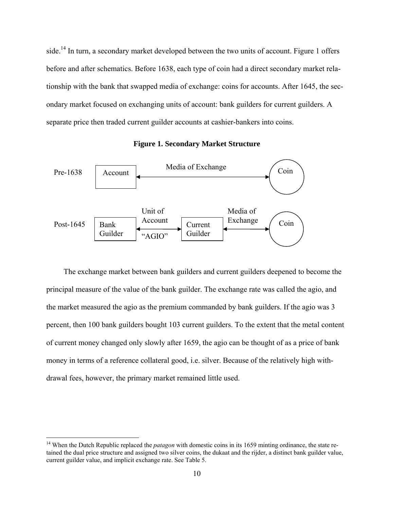side.<sup>14</sup> In turn, a secondary market developed between the two units of account. Figure 1 offers before and after schematics. Before 1638, each type of coin had a direct secondary market relationship with the bank that swapped media of exchange: coins for accounts. After 1645, the secondary market focused on exchanging units of account: bank guilders for current guilders. A separate price then traded current guilder accounts at cashier-bankers into coins.



**Figure 1. Secondary Market Structure** 

The exchange market between bank guilders and current guilders deepened to become the principal measure of the value of the bank guilder. The exchange rate was called the agio, and the market measured the agio as the premium commanded by bank guilders. If the agio was 3 percent, then 100 bank guilders bought 103 current guilders. To the extent that the metal content of current money changed only slowly after 1659, the agio can be thought of as a price of bank money in terms of a reference collateral good, i.e. silver. Because of the relatively high withdrawal fees, however, the primary market remained little used.

<sup>&</sup>lt;sup>14</sup> When the Dutch Republic replaced the *patagon* with domestic coins in its 1659 minting ordinance, the state retained the dual price structure and assigned two silver coins, the dukaat and the rijder, a distinct bank guilder value, current guilder value, and implicit exchange rate. See Table 5.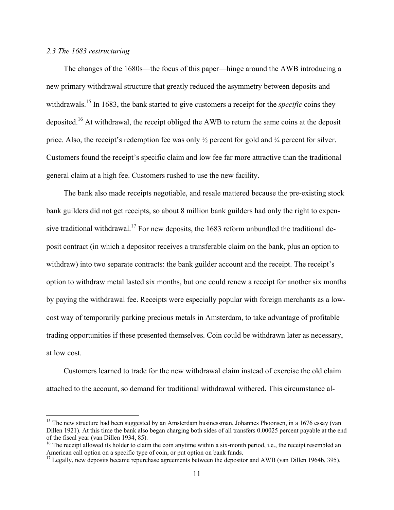#### *2.3 The 1683 restructuring*

1

The changes of the 1680s—the focus of this paper—hinge around the AWB introducing a new primary withdrawal structure that greatly reduced the asymmetry between deposits and withdrawals.<sup>15</sup> In 1683, the bank started to give customers a receipt for the *specific* coins they deposited.16 At withdrawal, the receipt obliged the AWB to return the same coins at the deposit price. Also, the receipt's redemption fee was only ½ percent for gold and ¼ percent for silver. Customers found the receipt's specific claim and low fee far more attractive than the traditional general claim at a high fee. Customers rushed to use the new facility.

The bank also made receipts negotiable, and resale mattered because the pre-existing stock bank guilders did not get receipts, so about 8 million bank guilders had only the right to expensive traditional withdrawal.<sup>17</sup> For new deposits, the 1683 reform unbundled the traditional deposit contract (in which a depositor receives a transferable claim on the bank, plus an option to withdraw) into two separate contracts: the bank guilder account and the receipt. The receipt's option to withdraw metal lasted six months, but one could renew a receipt for another six months by paying the withdrawal fee. Receipts were especially popular with foreign merchants as a lowcost way of temporarily parking precious metals in Amsterdam, to take advantage of profitable trading opportunities if these presented themselves. Coin could be withdrawn later as necessary, at low cost.

Customers learned to trade for the new withdrawal claim instead of exercise the old claim attached to the account, so demand for traditional withdrawal withered. This circumstance al-

<sup>&</sup>lt;sup>15</sup> The new structure had been suggested by an Amsterdam businessman, Johannes Phoonsen, in a 1676 essay (van Dillen 1921). At this time the bank also began charging both sides of all transfers 0.00025 percent payable at the end of the fiscal year (van Dillen 1934, 85).

<sup>&</sup>lt;sup>16</sup> The receipt allowed its holder to claim the coin anytime within a six-month period, i.e., the receipt resembled an American call option on a specific type of coin, or put option on bank funds.

<sup>&</sup>lt;sup>17</sup> Legally, new deposits became repurchase agreements between the depositor and AWB (van Dillen 1964b, 395).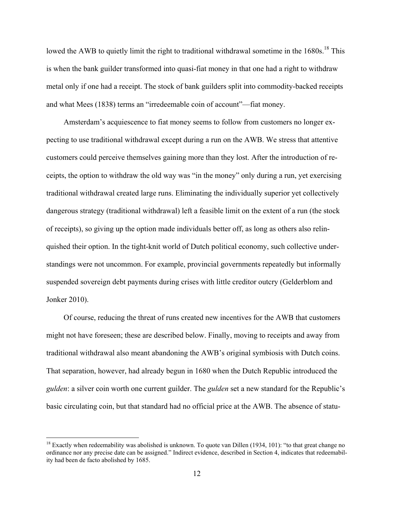lowed the AWB to quietly limit the right to traditional withdrawal sometime in the 1680s.<sup>18</sup> This is when the bank guilder transformed into quasi-fiat money in that one had a right to withdraw metal only if one had a receipt. The stock of bank guilders split into commodity-backed receipts and what Mees (1838) terms an "irredeemable coin of account"—fiat money.

Amsterdam's acquiescence to fiat money seems to follow from customers no longer expecting to use traditional withdrawal except during a run on the AWB. We stress that attentive customers could perceive themselves gaining more than they lost. After the introduction of receipts, the option to withdraw the old way was "in the money" only during a run, yet exercising traditional withdrawal created large runs. Eliminating the individually superior yet collectively dangerous strategy (traditional withdrawal) left a feasible limit on the extent of a run (the stock of receipts), so giving up the option made individuals better off, as long as others also relinquished their option. In the tight-knit world of Dutch political economy, such collective understandings were not uncommon. For example, provincial governments repeatedly but informally suspended sovereign debt payments during crises with little creditor outcry (Gelderblom and Jonker 2010).

Of course, reducing the threat of runs created new incentives for the AWB that customers might not have foreseen; these are described below. Finally, moving to receipts and away from traditional withdrawal also meant abandoning the AWB's original symbiosis with Dutch coins. That separation, however, had already begun in 1680 when the Dutch Republic introduced the *gulden*: a silver coin worth one current guilder. The *gulden* set a new standard for the Republic's basic circulating coin, but that standard had no official price at the AWB. The absence of statu-

1

<sup>&</sup>lt;sup>18</sup> Exactly when redeemability was abolished is unknown. To quote van Dillen (1934, 101): "to that great change no ordinance nor any precise date can be assigned." Indirect evidence, described in Section 4, indicates that redeemability had been de facto abolished by 1685.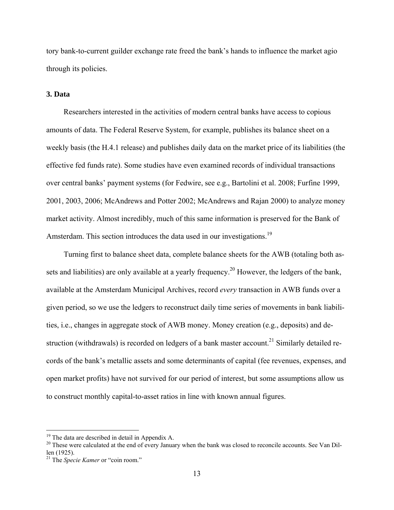tory bank-to-current guilder exchange rate freed the bank's hands to influence the market agio through its policies.

#### **3. Data**

Researchers interested in the activities of modern central banks have access to copious amounts of data. The Federal Reserve System, for example, publishes its balance sheet on a weekly basis (the H.4.1 release) and publishes daily data on the market price of its liabilities (the effective fed funds rate). Some studies have even examined records of individual transactions over central banks' payment systems (for Fedwire, see e.g., Bartolini et al. 2008; Furfine 1999, 2001, 2003, 2006; McAndrews and Potter 2002; McAndrews and Rajan 2000) to analyze money market activity. Almost incredibly, much of this same information is preserved for the Bank of Amsterdam. This section introduces the data used in our investigations.<sup>19</sup>

Turning first to balance sheet data, complete balance sheets for the AWB (totaling both assets and liabilities) are only available at a yearly frequency.<sup>20</sup> However, the ledgers of the bank, available at the Amsterdam Municipal Archives, record *every* transaction in AWB funds over a given period, so we use the ledgers to reconstruct daily time series of movements in bank liabilities, i.e., changes in aggregate stock of AWB money. Money creation (e.g., deposits) and destruction (withdrawals) is recorded on ledgers of a bank master account.<sup>21</sup> Similarly detailed records of the bank's metallic assets and some determinants of capital (fee revenues, expenses, and open market profits) have not survived for our period of interest, but some assumptions allow us to construct monthly capital-to-asset ratios in line with known annual figures.

<sup>&</sup>lt;sup>19</sup> The data are described in detail in Appendix A.

<sup>&</sup>lt;sup>20</sup> These were calculated at the end of every January when the bank was closed to reconcile accounts. See Van Dillen (1925).

<sup>&</sup>lt;sup>21</sup> The *Specie Kamer* or "coin room."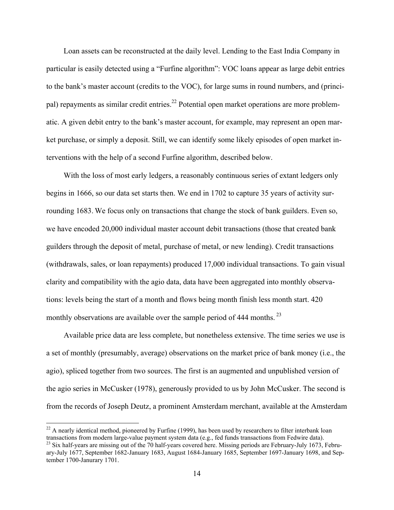Loan assets can be reconstructed at the daily level. Lending to the East India Company in particular is easily detected using a "Furfine algorithm": VOC loans appear as large debit entries to the bank's master account (credits to the VOC), for large sums in round numbers, and (principal) repayments as similar credit entries.<sup>22</sup> Potential open market operations are more problematic. A given debit entry to the bank's master account, for example, may represent an open market purchase, or simply a deposit. Still, we can identify some likely episodes of open market interventions with the help of a second Furfine algorithm, described below.

With the loss of most early ledgers, a reasonably continuous series of extant ledgers only begins in 1666, so our data set starts then. We end in 1702 to capture 35 years of activity surrounding 1683. We focus only on transactions that change the stock of bank guilders. Even so, we have encoded 20,000 individual master account debit transactions (those that created bank guilders through the deposit of metal, purchase of metal, or new lending). Credit transactions (withdrawals, sales, or loan repayments) produced 17,000 individual transactions. To gain visual clarity and compatibility with the agio data, data have been aggregated into monthly observations: levels being the start of a month and flows being month finish less month start. 420 monthly observations are available over the sample period of  $444$  months.<sup>23</sup>

Available price data are less complete, but nonetheless extensive. The time series we use is a set of monthly (presumably, average) observations on the market price of bank money (i.e., the agio), spliced together from two sources. The first is an augmented and unpublished version of the agio series in McCusker (1978), generously provided to us by John McCusker. The second is from the records of Joseph Deutz, a prominent Amsterdam merchant, available at the Amsterdam

1

<sup>&</sup>lt;sup>22</sup> A nearly identical method, pioneered by Furfine (1999), has been used by researchers to filter interbank loan transactions from modern large-value payment system data (e.g., fed funds transactions from Fedwire data).

 $t^{23}$  Six half-years are missing out of the 70 half-years covered here. Missing periods are February-July 1673, February-July 1677, September 1682-January 1683, August 1684-January 1685, September 1697-January 1698, and September 1700-Janurary 1701.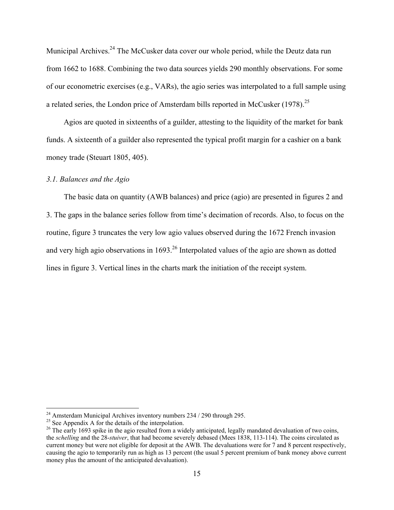Municipal Archives.<sup>24</sup> The McCusker data cover our whole period, while the Deutz data run from 1662 to 1688. Combining the two data sources yields 290 monthly observations. For some of our econometric exercises (e.g., VARs), the agio series was interpolated to a full sample using a related series, the London price of Amsterdam bills reported in McCusker (1978).<sup>25</sup>

Agios are quoted in sixteenths of a guilder, attesting to the liquidity of the market for bank funds. A sixteenth of a guilder also represented the typical profit margin for a cashier on a bank money trade (Steuart 1805, 405).

#### *3.1. Balances and the Agio*

The basic data on quantity (AWB balances) and price (agio) are presented in figures 2 and 3. The gaps in the balance series follow from time's decimation of records. Also, to focus on the routine, figure 3 truncates the very low agio values observed during the 1672 French invasion and very high agio observations in  $1693$ <sup>26</sup> Interpolated values of the agio are shown as dotted lines in figure 3. Vertical lines in the charts mark the initiation of the receipt system.

 $^{24}$  Amsterdam Municipal Archives inventory numbers 234 / 290 through 295.

 $25$  See Appendix A for the details of the interpolation.

 $^{26}$  The early 1693 spike in the agio resulted from a widely anticipated, legally mandated devaluation of two coins, the *schelling* and the 28-*stuiver*, that had become severely debased (Mees 1838, 113-114). The coins circulated as current money but were not eligible for deposit at the AWB. The devaluations were for  $\overline{7}$  and 8 percent respectively, causing the agio to temporarily run as high as 13 percent (the usual 5 percent premium of bank money above current money plus the amount of the anticipated devaluation).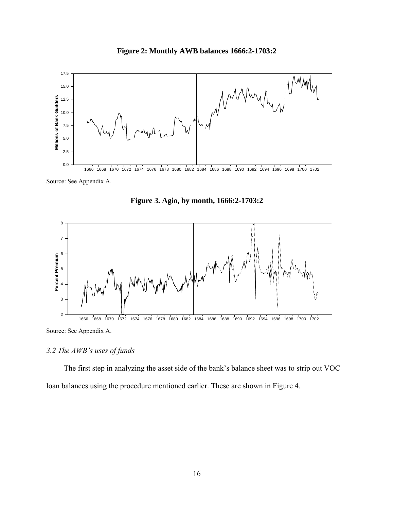



Source: See Appendix A.





#### *3.2 The AWB's uses of funds*

The first step in analyzing the asset side of the bank's balance sheet was to strip out VOC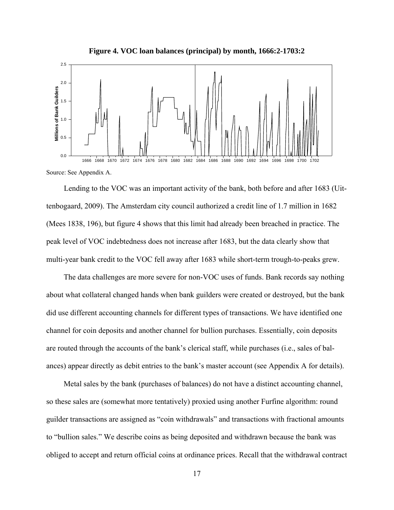



Source: See Appendix A.

Lending to the VOC was an important activity of the bank, both before and after 1683 (Uittenbogaard, 2009). The Amsterdam city council authorized a credit line of 1.7 million in 1682 (Mees 1838, 196), but figure 4 shows that this limit had already been breached in practice. The peak level of VOC indebtedness does not increase after 1683, but the data clearly show that multi-year bank credit to the VOC fell away after 1683 while short-term trough-to-peaks grew.

The data challenges are more severe for non-VOC uses of funds. Bank records say nothing about what collateral changed hands when bank guilders were created or destroyed, but the bank did use different accounting channels for different types of transactions. We have identified one channel for coin deposits and another channel for bullion purchases. Essentially, coin deposits are routed through the accounts of the bank's clerical staff, while purchases (i.e., sales of balances) appear directly as debit entries to the bank's master account (see Appendix A for details). obliged to accept and return official coins at ordinance prices. Recall that the withdrawal contract **Millions of Bank Guilders**

Metal sales by the bank (purchases of balances) do not have a distinct accounting channel, so these sales are (somewhat more tentatively) proxied using another Furfine algorithm: round guilder transactions are assigned as "coin withdrawals" and transactions with fractional amounts to "bullion sales." We describe coins as being deposited and withdrawn because the bank was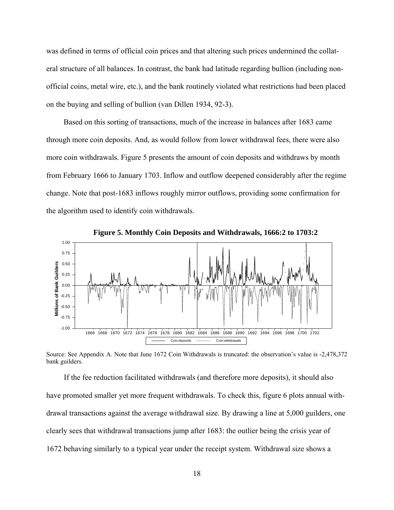was defined in terms of official coin prices and that altering such prices undermined the collateral structure of all balances. In contrast, the bank had latitude regarding bullion (including nonofficial coins, metal wire, etc.), and the bank routinely violated what restrictions had been placed on the buying and selling of bullion (van Dillen 1934, 92-3).

Based on this sorting of transactions, much of the increase in balances after 1683 came through more coin deposits. And, as would follow from lower withdrawal fees, there were also more coin withdrawals. Figure 5 presents the amount of coin deposits and withdraws by month from February 1666 to January 1703. Inflow and outflow deepened considerably after the regime change. Note that post-1683 inflows roughly mirror outflows, providing some confirmation for the algorithm used to identify coin withdrawals.



Source: See Appendix A. Note that June 1672 Coin Withdrawals is truncated: the observation's value is -2,478,372 bank guilders.

If the fee reduction facilitated withdrawals (and therefore more deposits), it should also have promoted smaller yet more frequent withdrawals. To check this, figure 6 plots annual withdrawal transactions against the average withdrawal size. By drawing a line at 5,000 guilders, one clearly sees that withdrawal transactions jump after 1683: the outlier being the crisis year of 1672 behaving similarly to a typical year under the receipt system. Withdrawal size shows a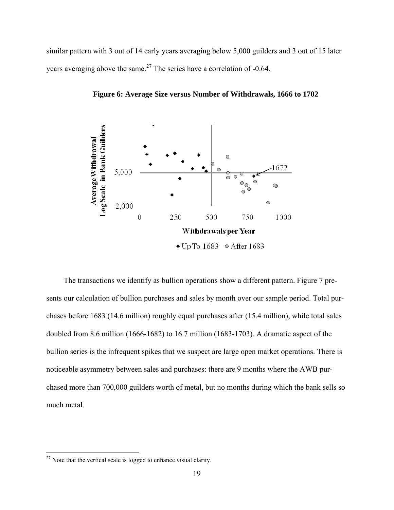similar pattern with 3 out of 14 early years averaging below 5,000 guilders and 3 out of 15 later years averaging above the same.<sup>27</sup> The series have a correlation of -0.64.



**Figure 6: Average Size versus Number of Withdrawals, 1666 to 1702** 

The transactions we identify as bullion operations show a different pattern. Figure 7 presents our calculation of bullion purchases and sales by month over our sample period. Total purchases before 1683 (14.6 million) roughly equal purchases after (15.4 million), while total sales doubled from 8.6 million (1666-1682) to 16.7 million (1683-1703). A dramatic aspect of the doubled from 8.6 million (1666-1682) to 16.7 million (1683-1703). A dramatic aspect of the<br>bullion series is the infrequent spikes that we suspect are large open market operations. There is noticeable asymmetry between sales and purchases: there are 9 months where the AWB purchased more than 700,000 guilders worth of metal, but no months during which the bank sells so much metal.

 $\overline{a}$ 

 $\overline{a}$ 

 $27$  Note tha at the vertical s cale is logged to enhance vis ual clarity.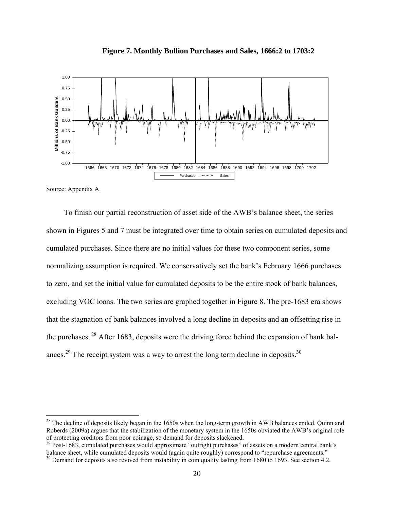



Source: Appendix A.

 $\overline{a}$ 

To finish our partial reconstruction of asset side of the AWB's balance sheet, the series shown in Figures 5 and 7 must be integrated over time to obtain series on cumulated deposits and cumulated purchases. Since there are no initial values for these two component series, some normalizing assumption is required. We conservatively set the bank's February 1666 purchases to zero, and set the initial value for cumulated deposits to be the entire stock of bank balances, excluding VOC loans. The two series are graphed together in Figure 8. The pre-1683 era shows that the stagnation of bank balances involved a long decline in deposits and an offsetting rise in the purchases.  $^{28}$  After 1683, deposits were the driving force behind the expansion of bank balances.<sup>29</sup> The receipt system was a way to arrest the long term decline in deposits.<sup>30</sup>

 $^{28}$  The decline of deposits likely began in the 1650s when the long-term growth in AWB balances ended. Quinn and Roberds (2009a) argues that the stabilization of the monetary system in the 1650s obviated the AWB's original role of protecting creditors from poor coinage, so demand for deposits slackened.

<sup>&</sup>lt;sup>29</sup> Post-1683, cumulated purchases would approximate "outright purchases" of assets on a modern central bank's balance sheet, while cumulated deposits would (again quite roughly) correspond to "repurchase agreements." <sup>30</sup> Demand for deposits also revived from instability in coin quality lasting from 1680 to 1693. See section 4.2.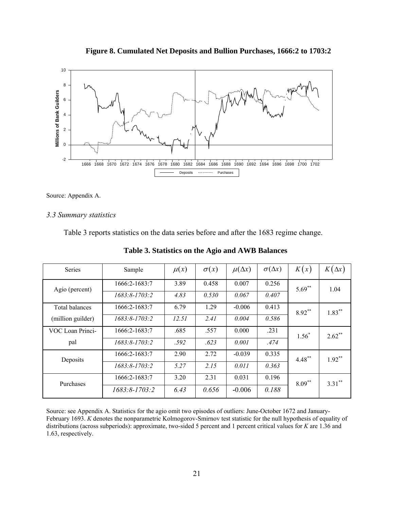





#### *3.3 Summary statistics*

Table 3 reports statistics on the data series before and after the 1683 regime change.

| <b>Series</b>                              | Sample            | $\mu(x)$ | $\sigma(x)$ | $\mu(\Delta x)$ | $\sigma(\Delta x)$ | K(x)      | $K(\Delta x)$ |
|--------------------------------------------|-------------------|----------|-------------|-----------------|--------------------|-----------|---------------|
| Agio (percent)                             | $1666:2 - 1683:7$ | 3.89     | 0.458       | 0.007           | 0.256              | $5.69$ ** | 1.04          |
|                                            | $1683:8 - 1703:2$ | 4.83     | 0.530       | 0.067           | 0.407              |           |               |
| <b>Total balances</b><br>(million guilder) | $1666:2 - 1683:7$ | 6.79     | 1.29        | $-0.006$        | 0.413              | $8.92***$ | $1.83***$     |
|                                            | $1683:8 - 1703:2$ | 12.51    | 2.41        | 0.004           | 0.586              |           |               |
| VOC Loan Princi-<br>pal                    | $1666:2 - 1683:7$ | .685     | .557        | 0.000           | .231               | $1.56^*$  | $2.62$ **     |
|                                            | $1683:8 - 1703:2$ | .592     | .623        | 0.001           | .474               |           |               |
| Deposits                                   | $1666:2 - 1683:7$ | 2.90     | 2.72        | $-0.039$        | 0.335              | $4.48***$ | $1.92**$      |
|                                            | 1683:8-1703:2     | 5.27     | 2.15        | 0.011           | 0.363              |           |               |
| Purchases                                  | 1666:2-1683:7     | 3.20     | 2.31        | 0.031           | 0.196              | $8.09***$ | $3.31***$     |
|                                            | $1683:8 - 1703:2$ | 6.43     | 0.656       | $-0.006$        | 0.188              |           |               |

**Table 3. Statistics on the Agio and AWB Balances** 

Source: see Appendix A. Statistics for the agio omit two episodes of outliers: June-October 1672 and January-February 1693. *K* denotes the nonparametric Kolmogorov-Smirnov test statistic for the null hypothesis of equality of distributions (across subperiods): approximate, two-sided 5 percent and 1 percent critical values for *K* are 1.36 and 1.63, respectively.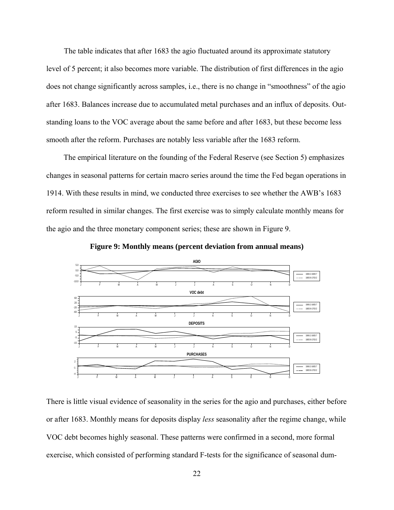The table indicates that after 1683 the agio fluctuated around its approximate statutory level of 5 percent; it also becomes more variable. The distribution of first differences in the agio does not change significantly across samples, i.e., there is no change in "smoothness" of the agio after 1683. Balances increase due to accumulated metal purchases and an influx of deposits. Outstanding loans to the VOC average about the same before and after 1683, but these become less smooth after the reform. Purchases are notably less variable after the 1683 reform.

The empirical literature on the founding of the Federal Reserve (see Section 5) emphasizes changes in seasonal patterns for certain macro series around the time the Fed began operations in 1914. With these results in mind, we conducted three exercises to see whether the AWB's 1683 reform resulted in similar changes. The first exercise was to simply calculate monthly means for the agio and the three monetary component series; these are shown in Figure 9.



**Figure 9: Monthly means (percent deviation from annual means)** 

There is little visual evidence of seasonality in the series for the agio and purchases, either before or after 1683. Monthly means for deposits display *less* seasonality after the regime change, while VOC debt becomes highly seasonal. These patterns were confirmed in a second, more formal exercise, which consisted of performing standard F-tests for the significance of seasonal dum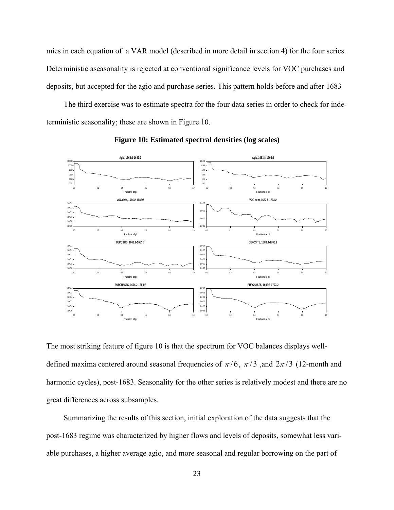mies in each equation of a VAR model (described in more detail in section 4) for the four series. Deterministic aseasonality is rejected at conventional significance levels for VOC purchases and deposits, but accepted for the agio and purchase series. This pattern holds before and after 1683

The third exercise was to estimate spectra for the four data series in order to check for indeterministic seasonality; these are shown in Figure 10.



**Figure 10: Estimated spectral densities (log scales)** 

The most striking feature of figure 10 is that the spectrum for VOC balances displays welldefined maxima centered around seasonal frequencies of  $\pi/6$ ,  $\pi/3$ , and  $2\pi/3$  (12-month and harmonic cycles), post-1683. Seasonality for the other series is relatively modest and there are no great differences across subsamples.

Summarizing the results of this section, initial exploration of the data suggests that the post-1683 regime was characterized by higher flows and levels of deposits, somewhat less variable purchases, a higher average agio, and more seasonal and regular borrowing on the part of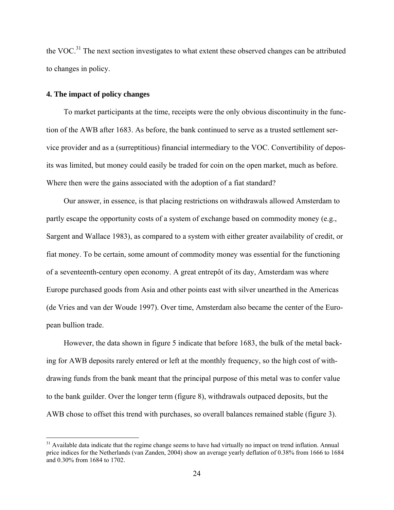the VOC.<sup>31</sup> The next section investigates to what extent these observed changes can be attributed to changes in policy.

#### **4. The impact of policy changes**

 $\overline{a}$ 

To market participants at the time, receipts were the only obvious discontinuity in the function of the AWB after 1683. As before, the bank continued to serve as a trusted settlement service provider and as a (surreptitious) financial intermediary to the VOC. Convertibility of deposits was limited, but money could easily be traded for coin on the open market, much as before. Where then were the gains associated with the adoption of a fiat standard?

Our answer, in essence, is that placing restrictions on withdrawals allowed Amsterdam to partly escape the opportunity costs of a system of exchange based on commodity money (e.g., Sargent and Wallace 1983), as compared to a system with either greater availability of credit, or fiat money. To be certain, some amount of commodity money was essential for the functioning of a seventeenth-century open economy. A great entrepôt of its day, Amsterdam was where Europe purchased goods from Asia and other points east with silver unearthed in the Americas (de Vries and van der Woude 1997). Over time, Amsterdam also became the center of the European bullion trade.

However, the data shown in figure 5 indicate that before 1683, the bulk of the metal backing for AWB deposits rarely entered or left at the monthly frequency, so the high cost of withdrawing funds from the bank meant that the principal purpose of this metal was to confer value to the bank guilder. Over the longer term (figure 8), withdrawals outpaced deposits, but the AWB chose to offset this trend with purchases, so overall balances remained stable (figure 3).

<sup>&</sup>lt;sup>31</sup> Available data indicate that the regime change seems to have had virtually no impact on trend inflation. Annual price indices for the Netherlands (van Zanden, 2004) show an average yearly deflation of 0.38% from 1666 to 1684 and 0.30% from 1684 to 1702.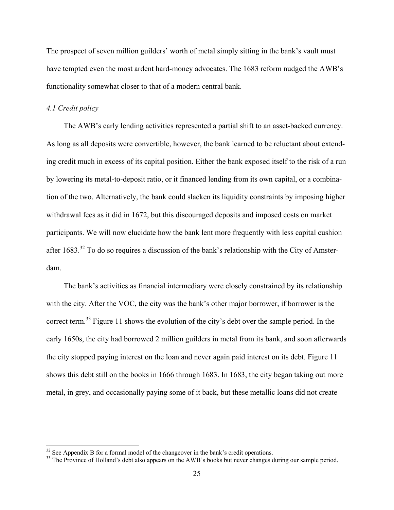The prospect of seven million guilders' worth of metal simply sitting in the bank's vault must have tempted even the most ardent hard-money advocates. The 1683 reform nudged the AWB's functionality somewhat closer to that of a modern central bank.

#### *4.1 Credit policy*

 $\overline{a}$ 

The AWB's early lending activities represented a partial shift to an asset-backed currency. As long as all deposits were convertible, however, the bank learned to be reluctant about extending credit much in excess of its capital position. Either the bank exposed itself to the risk of a run by lowering its metal-to-deposit ratio, or it financed lending from its own capital, or a combination of the two. Alternatively, the bank could slacken its liquidity constraints by imposing higher withdrawal fees as it did in 1672, but this discouraged deposits and imposed costs on market participants. We will now elucidate how the bank lent more frequently with less capital cushion after  $1683$ <sup>32</sup> To do so requires a discussion of the bank's relationship with the City of Amsterdam.

The bank's activities as financial intermediary were closely constrained by its relationship with the city. After the VOC, the city was the bank's other major borrower, if borrower is the correct term.<sup>33</sup> Figure 11 shows the evolution of the city's debt over the sample period. In the early 1650s, the city had borrowed 2 million guilders in metal from its bank, and soon afterwards the city stopped paying interest on the loan and never again paid interest on its debt. Figure 11 shows this debt still on the books in 1666 through 1683. In 1683, the city began taking out more metal, in grey, and occasionally paying some of it back, but these metallic loans did not create

 $32$  See Appendix B for a formal model of the changeover in the bank's credit operations.

<sup>&</sup>lt;sup>33</sup> The Province of Holland's debt also appears on the AWB's books but never changes during our sample period.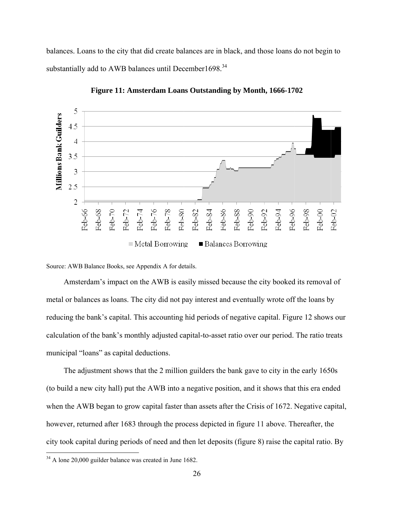balances. Loans to the city that did create balances are in black, and those loans do not begin to substantially add to AWB balances until December1698.<sup>34</sup>



**Figure 11: Amsterdam Loans Outstanding by Month, 1666-1702** 

Source: AWB Balance Books, see Appendix A for details.

Amsterdam's impact on the AWB is easily missed because the city booked its removal of metal or balances as loans. The city did not pay interest and eventually wrote off the loans by metal or balances as loans. The city did not pay interest and eventually wrote off the loans by<br>reducing the bank's capital. This accounting hid periods of negative capital. Figure 12 shows our calculation of the bank's monthly adjusted capital-to-asset ratio over our period. The ratio treats municipal "loans" as capital deductions.

The adjustment shows that the 2 million guilders the bank gave to city in the early 1650s (to build a new city hall) put the AWB into a negative position, and it shows that this era ended when the AWB began to grow capital faster than assets after the Crisis of 1672. Negative capital, however, returned after 1683 through the process depicted in figure 11 above. Thereafter, the however, returned after 1683 through the process depicted in figure 11 above. Thereafter, the<br>city took capital during periods of need and then let deposits (figure 8) raise the capital ratio. By

 $\overline{a}$ 

 $\overline{a}$ 

 $34$  A lone 2 20,000 guilder b balance was created in June 1682.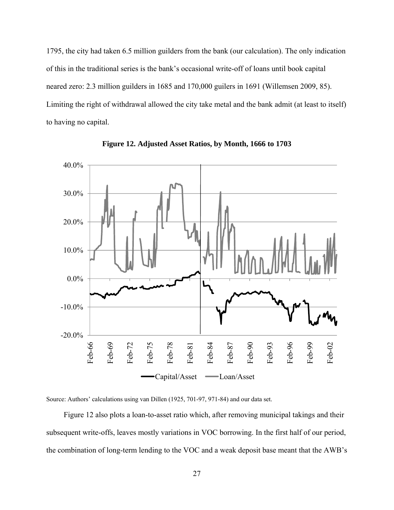1795, the city had taken 6.5 million guilders from the bank (our calculation). The only indication of this in the traditional series is the bank's occasional write-off of loans until book capital neared zero: 2.3 million guilders in 1685 and 170,000 guilers in 1691 (Willemsen 2009, 85). Limiting the right of withdrawal allowed the city take metal and the bank admit (at least to itself) to having no capital.





Source: Authors' calculations using van Dillen (1925, 701-97, 971-84) and our data set.

Figure 12 also plots a loan-to-asset ratio which, after removing municipal takings and their subsequent write-offs, leaves mostly variations in VOC borrowing. In the first half of our period, the combination of long-term lending to the VOC and a weak deposit base meant that the AWB's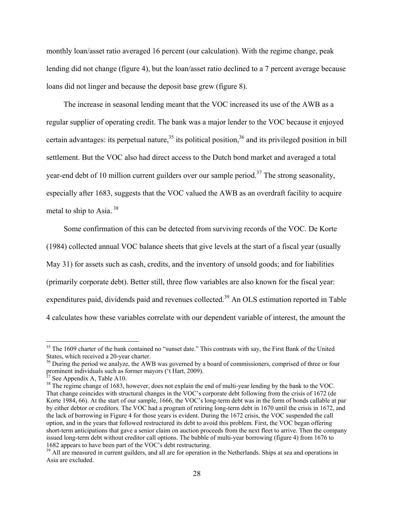monthly loan/asset ratio averaged 16 percent (our calculation). With the regime change, peak lending did not change (figure 4), but the loan/asset ratio declined to a 7 percent average because loans did not linger and because the deposit base grew (figure 8).

The increase in seasonal lending meant that the VOC increased its use of the AWB as a regular supplier of operating credit. The bank was a major lender to the VOC because it enjoyed certain advantages: its perpetual nature,<sup>35</sup> its political position,<sup>36</sup> and its privileged position in bill settlement. But the VOC also had direct access to the Dutch bond market and averaged a total year-end debt of 10 million current guilders over our sample period.<sup>37</sup> The strong seasonality, especially after 1683, suggests that the VOC valued the AWB as an overdraft facility to acquire metal to ship to Asia. 38

Some confirmation of this can be detected from surviving records of the VOC. De Korte (1984) collected annual VOC balance sheets that give levels at the start of a fiscal year (usually May 31) for assets such as cash, credits, and the inventory of unsold goods; and for liabilities (primarily corporate debt). Better still, three flow variables are also known for the fiscal year: expenditures paid, dividends paid and revenues collected.<sup>39</sup> An OLS estimation reported in Table 4 calculates how these variables correlate with our dependent variable of interest, the amount the

1

<sup>&</sup>lt;sup>35</sup> The 1609 charter of the bank contained no "sunset date." This contrasts with say, the First Bank of the United States, which received a 20-year charter.

<sup>&</sup>lt;sup>36</sup> During the period we analyze, the AWB was governed by a board of commissioners, comprised of three or four prominent individuals such as former mayors ( $\frac{1}{27}$  S<sub>2</sub>,  $\frac{3}{27}$  S<sub>2</sub>,  $\frac{1}{27}$  S<sub>2</sub>,  $\frac{1}{27}$  S<sub>2</sub>,  $\frac{1}{27}$  S<sub>2</sub>,  $\frac{1}{27}$  S<sub>2</sub>,  $\frac{1}{27}$  S<sub>2</sub>,  $\frac{1}{27}$  S<sub>2</sub>,  $\frac{1}{27}$  S<sub>2</sub>,  $\frac{1}{27}$  S<sub>2</sub>,  $\frac{1}{$ 

<sup>&</sup>lt;sup>7</sup> See Appendix A, Table A10.

<sup>&</sup>lt;sup>38</sup> The regime change of 1683, however, does not explain the end of multi-year lending by the bank to the VOC. That change coincides with structural changes in the VOC's corporate debt following from the crisis of 1672 (de Korte 1984, 66). At the start of our sample, 1666, the VOC's long-term debt was in the form of bonds callable at par by either debtor or creditors. The VOC had a program of retiring long-term debt in 1670 until the crisis in 1672, and the lack of borrowing in Figure 4 for those years is evident. During the 1672 crisis, the VOC suspended the call option, and in the years that followed restructured its debt to avoid this problem. First, the VOC began offering short-term anticipations that gave a senior claim on auction proceeds from the next fleet to arrive. Then the company issued long-term debt without creditor call options. The bubble of multi-year borrowing (figure 4) from 1676 to 1682 appears to have been part of the VOC's debt restructuring.

<sup>&</sup>lt;sup>39</sup> All are measured in current guilders, and all are for operation in the Netherlands. Ships at sea and operations in Asia are excluded.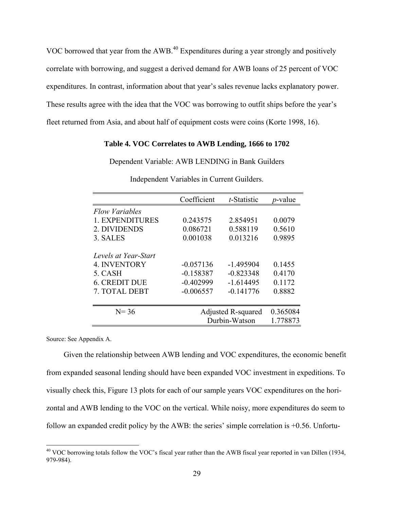VOC borrowed that year from the AWB.<sup>40</sup> Expenditures during a year strongly and positively correlate with borrowing, and suggest a derived demand for AWB loans of 25 percent of VOC expenditures. In contrast, information about that year's sales revenue lacks explanatory power. These results agree with the idea that the VOC was borrowing to outfit ships before the year's fleet returned from Asia, and about half of equipment costs were coins (Korte 1998, 16).

#### **Table 4. VOC Correlates to AWB Lending, 1666 to 1702**

Dependent Variable: AWB LENDING in Bank Guilders

|                       | Coefficient   | t-Statistic                    | <i>p</i> -value |
|-----------------------|---------------|--------------------------------|-----------------|
| <b>Flow Variables</b> |               |                                |                 |
| 1. EXPENDITURES       | 0.243575      | 2.854951                       | 0.0079          |
| 2. DIVIDENDS          | 0.086721      | 0.588119                       | 0.5610          |
| 3. SALES              | 0.001038      | 0.013216                       | 0.9895          |
| Levels at Year-Start  |               |                                |                 |
| <b>4. INVENTORY</b>   | $-0.057136$   | $-1.495904$                    | 0.1455          |
| 5. CASH               | $-0.158387$   | $-0.823348$                    | 0.4170          |
| <b>6. CREDIT DUE</b>  | $-0.402999$   | $-1.614495$                    | 0.1172          |
| 7. TOTAL DEBT         | $-0.006557$   | $-0.141776$                    | 0.8882          |
|                       |               |                                |                 |
| $N = 36$              |               | Adjusted R-squared<br>0.365084 |                 |
|                       | Durbin-Watson | 1.778873                       |                 |

Independent Variables in Current Guilders.

Source: See Appendix A.

1

Given the relationship between AWB lending and VOC expenditures, the economic benefit from expanded seasonal lending should have been expanded VOC investment in expeditions. To visually check this, Figure 13 plots for each of our sample years VOC expenditures on the horizontal and AWB lending to the VOC on the vertical. While noisy, more expenditures do seem to follow an expanded credit policy by the AWB: the series' simple correlation is +0.56. Unfortu-

 $40$  VOC borrowing totals follow the VOC's fiscal year rather than the AWB fiscal year reported in van Dillen (1934, 979-984).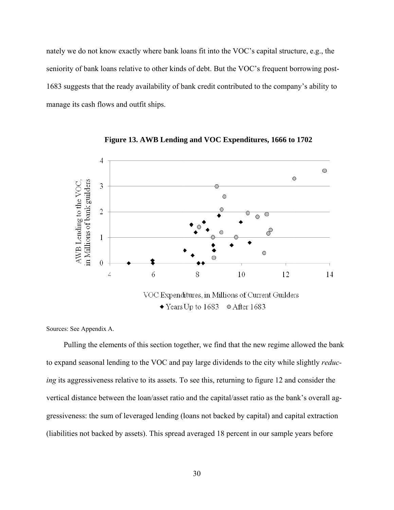nately we do not know exactly where bank loans fit into the VOC's capital structure, e.g., the seniority of bank loans relative to other kinds of debt. But the VOC's frequent borrowing post-1683 suggests that the ready availability of bank credit contributed to the company's ability to manage its cash flows and outfit ships.





Sources: S ee Appendix A A.

Pulling the elements of this section together, we find that the new regime allowed the bank to expand seasonal lending to the VOC and pay large dividends to the city while slightly *reduc*ing its aggressiveness relative to its assets. To see this, returning to figure 12 and consider the vertical distance between the loan/asset ratio and the capital/asset ratio as the bank's overall aggressiveness: the sum of leveraged lending (loans not backed by capital) and capital extraction (liabilities not backed by assets). This spread averaged 18 percent in our sample years before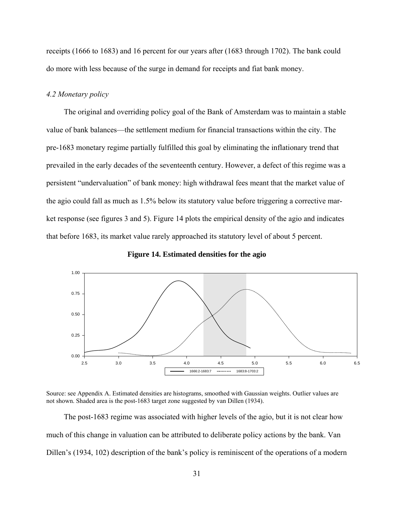receipts (1666 to 1683) and 16 percent for our years after (1683 through 1702). The bank could do more with less because of the surge in demand for receipts and fiat bank money.

#### *4.2 Monetary policy*

The original and overriding policy goal of the Bank of Amsterdam was to maintain a stable value of bank balances—the settlement medium for financial transactions within the city. The pre-1683 monetary regime partially fulfilled this goal by eliminating the inflationary trend that prevailed in the early decades of the seventeenth century. However, a defect of this regime was a persistent "undervaluation" of bank money: high withdrawal fees meant that the market value of the agio could fall as much as 1.5% below its statutory value before triggering a corrective market response (see figures 3 and 5). Figure 14 plots the empirical density of the agio and indicates that before 1683, its market value rarely approached its statutory level of about 5 percent.

**Figure 14. Estimated densities for the agio** 



Source: see Appendix A. Estimated densities are histograms, smoothed with Gaussian weights. Outlier values are not shown. Shaded area is the post-1683 target zone suggested by van Dillen (1934).

The post-1683 regime was associated with higher levels of the agio, but it is not clear how much of this change in valuation can be attributed to deliberate policy actions by the bank. Van Dillen's (1934, 102) description of the bank's policy is reminiscent of the operations of a modern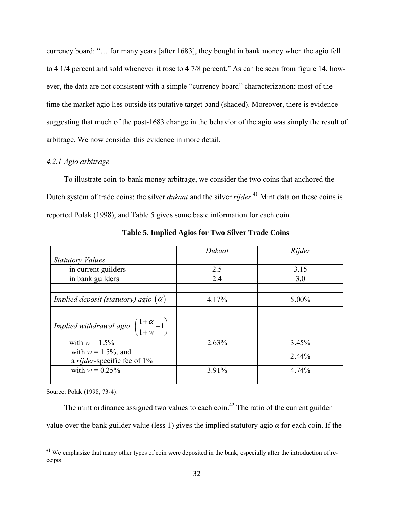currency board: "… for many years [after 1683], they bought in bank money when the agio fell to 4 1/4 percent and sold whenever it rose to 4 7/8 percent." As can be seen from figure 14, however, the data are not consistent with a simple "currency board" characterization: most of the time the market agio lies outside its putative target band (shaded). Moreover, there is evidence suggesting that much of the post-1683 change in the behavior of the agio was simply the result of arbitrage. We now consider this evidence in more detail.

#### *4.2.1 Agio arbitrage*

To illustrate coin-to-bank money arbitrage, we consider the two coins that anchored the Dutch system of trade coins: the silver *dukaat* and the silver *rijder*. 41 Mint data on these coins is reported Polak (1998), and Table 5 gives some basic information for each coin.

|                                                                  | Dukaat | Rijder |
|------------------------------------------------------------------|--------|--------|
| <b>Statutory Values</b>                                          |        |        |
| in current guilders                                              | 2.5    | 3.15   |
| in bank guilders                                                 | 2.4    | 3.0    |
|                                                                  |        |        |
| Implied deposit (statutory) agio $(\alpha)$                      | 4.17%  | 5.00%  |
|                                                                  |        |        |
| Implied withdrawal agio $\left(\frac{1+\alpha}{1+w}-1\right)$    |        |        |
| with $w = 1.5\%$                                                 | 2.63%  | 3.45%  |
| with $w = 1.5\%$ , and<br>a <i>rijder</i> -specific fee of $1\%$ |        | 2.44%  |
| with $w = 0.25\%$                                                | 3.91%  | 4.74%  |
|                                                                  |        |        |

**Table 5. Implied Agios for Two Silver Trade Coins** 

Source: Polak (1998, 73-4).

 $\overline{a}$ 

The mint ordinance assigned two values to each coin.<sup>42</sup> The ratio of the current guilder value over the bank guilder value (less 1) gives the implied statutory agio  $\alpha$  for each coin. If the

<sup>&</sup>lt;sup>41</sup> We emphasize that many other types of coin were deposited in the bank, especially after the introduction of receipts.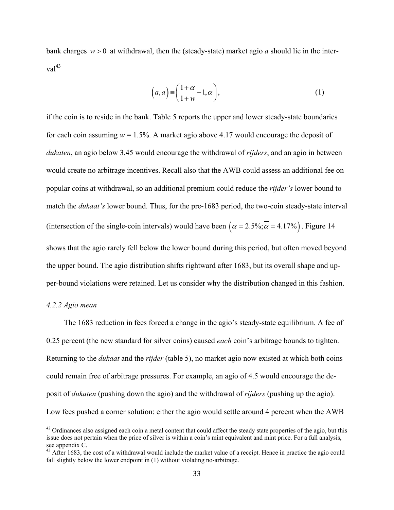bank charges  $w > 0$  at withdrawal, then the (steady-state) market agio *a* should lie in the inter- $\mathrm{val}^{43}$ 

$$
\left(\underline{a}, \overline{a}\right) = \left(\frac{1+\alpha}{1+w} - 1, \alpha\right),\tag{1}
$$

if the coin is to reside in the bank. Table 5 reports the upper and lower steady-state boundaries for each coin assuming  $w = 1.5\%$ . A market agio above 4.17 would encourage the deposit of *dukaten*, an agio below 3.45 would encourage the withdrawal of *rijders*, and an agio in between would create no arbitrage incentives. Recall also that the AWB could assess an additional fee on popular coins at withdrawal, so an additional premium could reduce the *rijder's* lower bound to match the *dukaat's* lower bound. Thus, for the pre-1683 period, the two-coin steady-state interval (intersection of the single-coin intervals) would have been  $(\alpha = 2.5\%;\alpha = 4.17\%)$ . Figure 14. shows that the agio rarely fell below the lower bound during this period, but often moved beyond

the upper bound. The agio distribution shifts rightward after 1683, but its overall shape and upper-bound violations were retained. Let us consider why the distribution changed in this fashion.

#### *4.2.2 Agio mean*

The 1683 reduction in fees forced a change in the agio's steady-state equilibrium. A fee of 0.25 percent (the new standard for silver coins) caused *each* coin's arbitrage bounds to tighten. Returning to the *dukaat* and the *rijder* (table 5), no market agio now existed at which both coins could remain free of arbitrage pressures. For example, an agio of 4.5 would encourage the deposit of *dukaten* (pushing down the agio) and the withdrawal of *rijders* (pushing up the agio). Low fees pushed a corner solution: either the agio would settle around 4 percent when the AWB

 $42$  Ordinances also assigned each coin a metal content that could affect the steady state properties of the agio, but this issue does not pertain when the price of silver is within a coin's mint equivalent and mint price. For a full analysis, see appendix C.

<sup>&</sup>lt;sup>43</sup> After 1683, the cost of a withdrawal would include the market value of a receipt. Hence in practice the agio could fall slightly below the lower endpoint in (1) without violating no-arbitrage.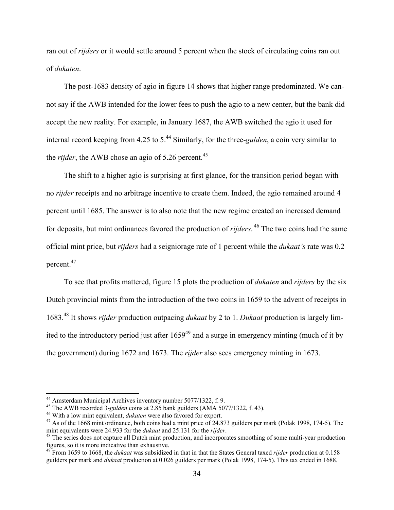ran out of *rijders* or it would settle around 5 percent when the stock of circulating coins ran out of *dukaten*.

The post-1683 density of agio in figure 14 shows that higher range predominated. We cannot say if the AWB intended for the lower fees to push the agio to a new center, but the bank did accept the new reality. For example, in January 1687, the AWB switched the agio it used for internal record keeping from 4.25 to 5.<sup>44</sup> Similarly, for the three-*gulden*, a coin very similar to the *rijder*, the AWB chose an agio of  $5.26$  percent.<sup>45</sup>

The shift to a higher agio is surprising at first glance, for the transition period began with no *rijder* receipts and no arbitrage incentive to create them. Indeed, the agio remained around 4 percent until 1685. The answer is to also note that the new regime created an increased demand for deposits, but mint ordinances favored the production of *rijders*.<sup>46</sup> The two coins had the same official mint price, but *rijders* had a seigniorage rate of 1 percent while the *dukaat's* rate was 0.2 percent.47

To see that profits mattered, figure 15 plots the production of *dukaten* and *rijders* by the six Dutch provincial mints from the introduction of the two coins in 1659 to the advent of receipts in 1683.48 It shows *rijder* production outpacing *dukaat* by 2 to 1. *Dukaat* production is largely limited to the introductory period just after  $1659^{49}$  and a surge in emergency minting (much of it by the government) during 1672 and 1673. The *rijder* also sees emergency minting in 1673.

<sup>&</sup>lt;sup>44</sup> Amsterdam Municipal Archives inventory number 5077/1322, f. 9.<br><sup>45</sup> The AWB recorded 3-*gulden* coins at 2.85 bank guilders (AMA 5077/1322, f. 43).

<sup>&</sup>lt;sup>46</sup> With a low mint equivalent, *dukaten* were also favored for export.<br><sup>47</sup> As of the 1668 mint ordinance, both coins had a mint price of 24.873 guilders per mark (Polak 1998, 174-5). The mint equivalents were 24.933 fo

<sup>&</sup>lt;sup>48</sup> The series does not capture all Dutch mint production, and incorporates smoothing of some multi-year production figures, so it is more indicative than exhaustive.

<sup>49</sup> From 1659 to 1668, the *dukaat* was subsidized in that in that the States General taxed *rijder* production at 0.158 guilders per mark and *dukaat* production at 0.026 guilders per mark (Polak 1998, 174-5). This tax ended in 1688.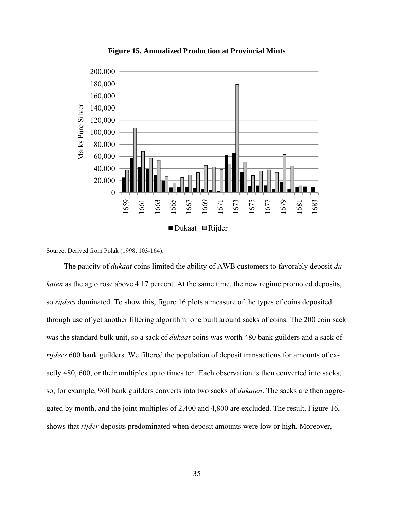

**Figure 15. Annualized Production at Provincial Mints** 

Source: Derived from Polak (1998, 103-164).

The paucity of *dukaat* coins limited the ability of AWB customers to favorably deposit *dukaten* as the agio rose above 4.17 percent. At the same time, the new regime promoted deposits, so *rijders* dominated. To show this, figure 16 plots a measure of the types of coins deposited through use of yet another filtering algorithm: one built around sacks of coins. The 200 coin sack was the standard bulk unit, so a sack of *dukaat* coins was worth 480 bank guilders and a sack of *rijders* 600 bank guilders. We filtered the population of deposit transactions for amounts of exactly 480, 600, or their multiples up to times ten. Each observation is then converted into sacks, so, for example, 960 bank guilders converts into two sacks of *dukaten*. The sacks are then aggregated by month, and the joint-multiples of 2,400 and 4,800 are excluded. The result, Figure 16, shows that *rijder* deposits predominated when deposit amounts were low or high. Moreover,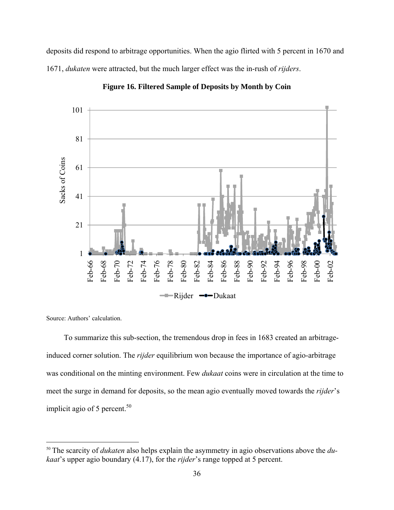deposits did respond to arbitrage opportunities. When the agio flirted with 5 percent in 1670 and 1671, *dukaten* were attracted, but the much larger effect was the in-rush of *rijders*.



**Figure 16. Filtered Sample of Deposits by Month by Coin** 

Source: Authors' calculation.

 $\overline{a}$ 

To summarize this sub-section, the tremendous drop in fees in 1683 created an arbitrageinduced corner solution. The *rijder* equilibrium won because the importance of agio-arbitrage was conditional on the minting environment. Few *dukaat* coins were in circulation at the time to meet the surge in demand for deposits, so the mean agio eventually moved towards the *rijder*'s implicit agio of 5 percent. $50$ 

<sup>50</sup> The scarcity of *dukaten* also helps explain the asymmetry in agio observations above the *dukaat*'s upper agio boundary (4.17), for the *rijder*'s range topped at 5 percent.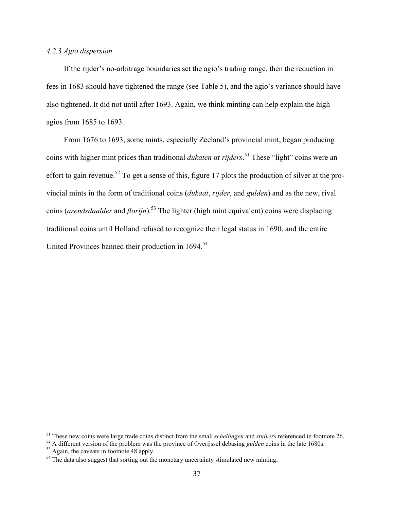# *4.2.3 Agio dispersion*

If the rijder's no-arbitrage boundaries set the agio's trading range, then the reduction in fees in 1683 should have tightened the range (see Table 5), and the agio's variance should have also tightened. It did not until after 1693. Again, we think minting can help explain the high agios from 1685 to 1693.

From 1676 to 1693, some mints, especially Zeeland's provincial mint, began producing coins with higher mint prices than traditional *dukaten* or *rijders*. 51 These "light" coins were an effort to gain revenue.<sup>52</sup> To get a sense of this, figure 17 plots the production of silver at the provincial mints in the form of traditional coins (*dukaat*, *rijder*, and *gulden*) and as the new, rival coins (*arendsdaalder* and *florijn*).53 The lighter (high mint equivalent) coins were displacing traditional coins until Holland refused to recognize their legal status in 1690, and the entire United Provinces banned their production in 1694.<sup>54</sup>

 $51$  These new coins were large trade coins distinct from the small *schellingen* and *stuivers* referenced in footnote 26.

<sup>&</sup>lt;sup>52</sup> A different version of the problem was the province of Overijssel debasing *gulden* coins in the late 1680s.<br><sup>53</sup> Again, the caveats in footnote 48 apply.

 $<sup>54</sup>$  The data also suggest that sorting out the monetary uncertainty stimulated new minting.</sup>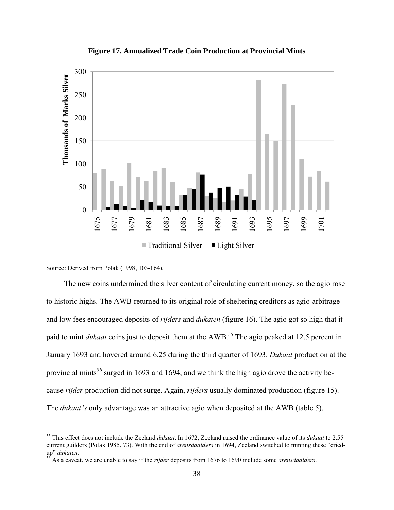

**Figure 17. Annualized Trade Coin Production at Provincial Mints** 

Source: Derived from Polak (1998, 103-164).

<u>.</u>

The new coins undermined the silver content of circulating current money, so the agio rose to historic highs. The AWB returned to its original role of sheltering creditors as agio-arbitrage and low fees encouraged deposits of *rijders* and *dukaten* (figure 16). The agio got so high that it paid to mint *dukaat* coins just to deposit them at the AWB.<sup>55</sup> The agio peaked at 12.5 percent in January 1693 and hovered around 6.25 during the third quarter of 1693. *Dukaat* production at the provincial mints<sup>56</sup> surged in 1693 and 1694, and we think the high agio drove the activity because *rijder* production did not surge. Again, *rijders* usually dominated production (figure 15). The *dukaat's* only advantage was an attractive agio when deposited at the AWB (table 5).

<sup>55</sup> This effect does not include the Zeeland *dukaat*. In 1672, Zeeland raised the ordinance value of its *dukaat* to 2.55 current guilders (Polak 1985, 73). With the end of *arensdaalders* in 1694, Zeeland switched to minting these "cried-<br><sup>16</sup> As a caveat, we are unable to south the wide distribution of the state of the state of the state of

As a caveat, we are unable to say if the *rijder* deposits from 1676 to 1690 include some *arensdaalders*.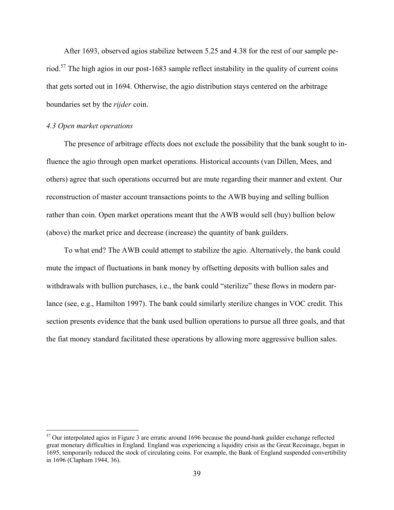After 1693, observed agios stabilize between 5.25 and 4.38 for the rest of our sample period.<sup>57</sup> The high agios in our post-1683 sample reflect instability in the quality of current coins that gets sorted out in 1694. Otherwise, the agio distribution stays centered on the arbitrage boundaries set by the *rijder* coin.

# *4.3 Open market operations*

 $\overline{a}$ 

The presence of arbitrage effects does not exclude the possibility that the bank sought to influence the agio through open market operations. Historical accounts (van Dillen, Mees, and others) agree that such operations occurred but are mute regarding their manner and extent. Our reconstruction of master account transactions points to the AWB buying and selling bullion rather than coin. Open market operations meant that the AWB would sell (buy) bullion below (above) the market price and decrease (increase) the quantity of bank guilders.

To what end? The AWB could attempt to stabilize the agio. Alternatively, the bank could mute the impact of fluctuations in bank money by offsetting deposits with bullion sales and withdrawals with bullion purchases, i.e., the bank could "sterilize" these flows in modern parlance (see, e.g., Hamilton 1997). The bank could similarly sterilize changes in VOC credit. This section presents evidence that the bank used bullion operations to pursue all three goals, and that the fiat money standard facilitated these operations by allowing more aggressive bullion sales.

<sup>&</sup>lt;sup>57</sup> Our interpolated agios in Figure 3 are erratic around 1696 because the pound-bank guilder exchange reflected great monetary difficulties in England. England was experiencing a liquidity crisis as the Great Recoinage, begun in 1695, temporarily reduced the stock of circulating coins. For example, the Bank of England suspended convertibility in 1696 (Clapham 1944, 36).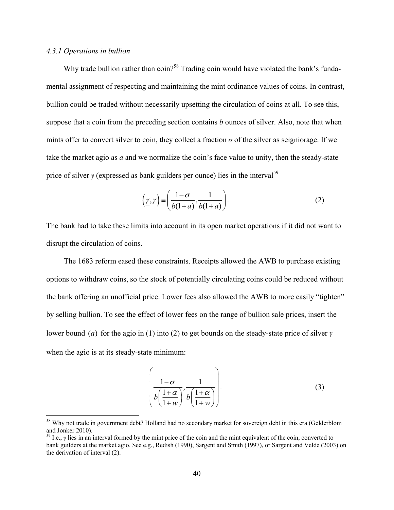## *4.3.1 Operations in bullion*

 $\overline{a}$ 

Why trade bullion rather than  $\cosh^{58}$  Trading coin would have violated the bank's fundamental assignment of respecting and maintaining the mint ordinance values of coins. In contrast, bullion could be traded without necessarily upsetting the circulation of coins at all. To see this, suppose that a coin from the preceding section contains *b* ounces of silver. Also, note that when mints offer to convert silver to coin, they collect a fraction  $\sigma$  of the silver as seigniorage. If we take the market agio as *a* and we normalize the coin's face value to unity, then the steady-state price of silver *γ* (expressed as bank guilders per ounce) lies in the interval<sup>59</sup>

$$
\left(\underline{\gamma}, \overline{\gamma}\right) \equiv \left(\frac{1-\sigma}{b(1+a)}, \frac{1}{b(1+a)}\right). \tag{2}
$$

The bank had to take these limits into account in its open market operations if it did not want to disrupt the circulation of coins.

The 1683 reform eased these constraints. Receipts allowed the AWB to purchase existing options to withdraw coins, so the stock of potentially circulating coins could be reduced without the bank offering an unofficial price. Lower fees also allowed the AWB to more easily "tighten" by selling bullion. To see the effect of lower fees on the range of bullion sale prices, insert the lower bound (*a*) for the agio in (1) into (2) to get bounds on the steady-state price of silver *γ* when the agio is at its steady-state minimum:

$$
\left(\frac{1-\sigma}{b\left(\frac{1+\alpha}{1+w}\right)}, \frac{1}{b\left(\frac{1+\alpha}{1+w}\right)}\right).
$$
\n(3)

<sup>&</sup>lt;sup>58</sup> Why not trade in government debt? Holland had no secondary market for sovereign debt in this era (Gelderblom and Jonker 2010).

<sup>59</sup> I.e., *γ* lies in an interval formed by the mint price of the coin and the mint equivalent of the coin, converted to bank guilders at the market agio. See e.g., Redish (1990), Sargent and Smith (1997), or Sargent and Velde (2003) on the derivation of interval (2).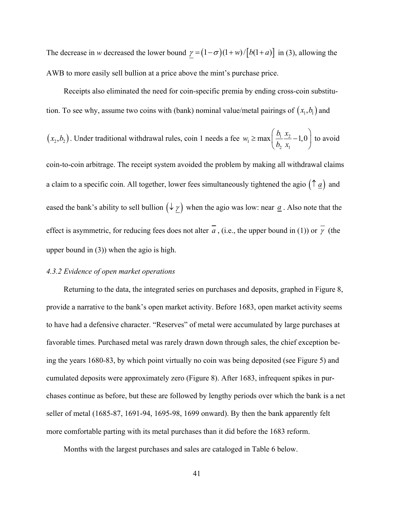The decrease in *w* decreased the lower bound  $\underline{\gamma} = (1 - \sigma)(1 + w) / [b(1 + a)]$  in (3), allowing the AWB to more easily sell bullion at a price above the mint's purchase price.

Receipts also eliminated the need for coin-specific premia by ending cross-coin substitution. To see why, assume two coins with (bank) nominal value/metal pairings of  $(x_1, b_1)$  and

$$
(x_2, b_2)
$$
. Under traditional withdrawal rules, coin 1 needs a fee  $w_1 \ge \max\left(\frac{b_1}{b_2} \frac{x_2}{x_1} - 1, 0\right)$  to avoid

coin-to-coin arbitrage. The receipt system avoided the problem by making all withdrawal claims a claim to a specific coin. All together, lower fees simultaneously tightened the agio  $(\uparrow \underline{a})$  and eased the bank's ability to sell bullion  $(\downarrow \gamma)$  when the agio was low: near <u>a</u>. Also note that the effect is asymmetric, for reducing fees does not alter  $\overline{a}$ , (i.e., the upper bound in (1)) or  $\overline{\gamma}$  (the upper bound in (3)) when the agio is high.

#### *4.3.2 Evidence of open market operations*

Returning to the data, the integrated series on purchases and deposits, graphed in Figure 8, provide a narrative to the bank's open market activity. Before 1683, open market activity seems to have had a defensive character. "Reserves" of metal were accumulated by large purchases at favorable times. Purchased metal was rarely drawn down through sales, the chief exception being the years 1680-83, by which point virtually no coin was being deposited (see Figure 5) and cumulated deposits were approximately zero (Figure 8). After 1683, infrequent spikes in purchases continue as before, but these are followed by lengthy periods over which the bank is a net seller of metal (1685-87, 1691-94, 1695-98, 1699 onward). By then the bank apparently felt more comfortable parting with its metal purchases than it did before the 1683 reform.

Months with the largest purchases and sales are cataloged in Table 6 below.

41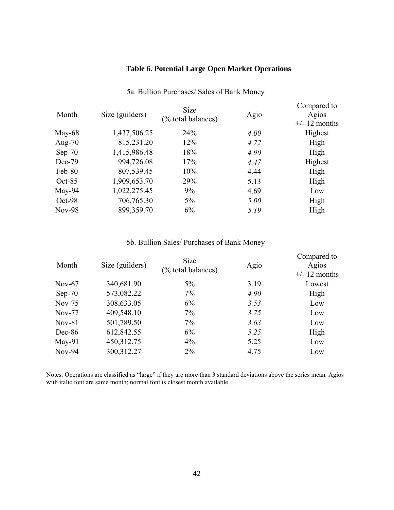# **Table 6. Potential Large Open Market Operations**

| Month     | Size (guilders) | <b>Size</b><br>(% total balances) | Agio | Compared to<br>Agios<br>$+/- 12$ months |
|-----------|-----------------|-----------------------------------|------|-----------------------------------------|
| May- $68$ | 1,437,506.25    | 24%                               | 4.00 | Highest                                 |
| Aug- $70$ | 815,231.20      | 12%                               | 4.72 | High                                    |
| $Sep-70$  | 1,415,986.48    | 18%                               | 4.90 | High                                    |
| $Dec-79$  | 994,726.08      | 17%                               | 4.47 | Highest                                 |
| Feb-80    | 807,539.45      | 10%                               | 4.44 | High                                    |
| $Oct-85$  | 1,909,653.70    | 29%                               | 5.13 | High                                    |
| May-94    | 1,022,275.45    | 9%                                | 4.69 | Low                                     |
| Oct-98    | 706,765.30      | 5%                                | 5.00 | High                                    |
| Nov-98    | 899,359.70      | 6%                                | 5.19 | High                                    |

# 5a. Bullion Purchases/ Sales of Bank Money

# 5b. Bullion Sales/ Purchases of Bank Money

| Month     | Size (guilders) | <b>Size</b><br>(% total balances) | Agio | Compared to<br>Agios<br>$+/- 12$ months |
|-----------|-----------------|-----------------------------------|------|-----------------------------------------|
| Nov- $67$ | 340,681.90      | $5\%$                             | 3.19 | Lowest                                  |
| $Sep-70$  | 573,082.22      | 7%                                | 4.90 | High                                    |
| $Nov-75$  | 308,633.05      | 6%                                | 3.53 | Low                                     |
| $Nov-77$  | 409,548.10      | 7%                                | 3.75 | Low                                     |
| $Nov-81$  | 501,789.50      | $7\%$                             | 3.63 | Low                                     |
| $Dec-86$  | 612,842.55      | 6%                                | 5.25 | High                                    |
| $May-91$  | 450, 312. 75    | $4\%$                             | 5.25 | Low                                     |
| $Nov-94$  | 300,312.27      | $2\%$                             | 4.75 | Low                                     |

Notes: Operations are classified as "large" if they are more than 3 standard deviations above the series mean. Agios with italic font are same month; normal font is closest month available.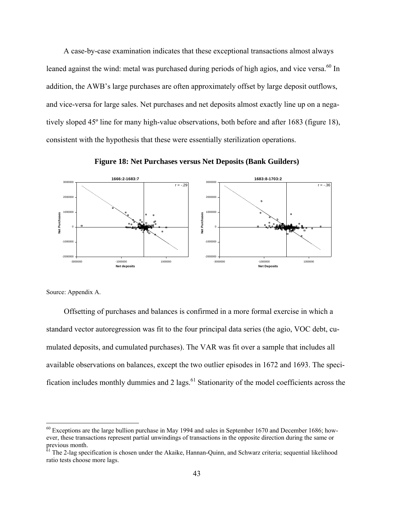A case-by-case examination indicates that these exceptional transactions almost always leaned against the wind: metal was purchased during periods of high agios, and vice versa.<sup>60</sup> In addition, the AWB's large purchases are often approximately offset by large deposit outflows, and vice-versa for large sales. Net purchases and net deposits almost exactly line up on a negatively sloped 45º line for many high-value observations, both before and after 1683 (figure 18), consistent with the hypothesis that these were essentially sterilization operations.



**Figure 18: Net Purchases versus Net Deposits (Bank Guilders)** 

Source: Appendix A.

 $\overline{a}$ 

Offsetting of purchases and balances is confirmed in a more formal exercise in which a standard vector autoregression was fit to the four principal data series (the agio, VOC debt, cumulated deposits, and cumulated purchases). The VAR was fit over a sample that includes all available observations on balances, except the two outlier episodes in 1672 and 1693. The specification includes monthly dummies and  $2 \text{ lags.}^{61}$  Stationarity of the model coefficients across the

<sup>&</sup>lt;sup>60</sup> Exceptions are the large bullion purchase in May 1994 and sales in September 1670 and December 1686; however, these transactions represent partial unwindings of transactions in the opposite direction during the same or previous month.

 $\overline{61}$  The 2-lag specification is chosen under the Akaike, Hannan-Quinn, and Schwarz criteria; sequential likelihood ratio tests choose more lags.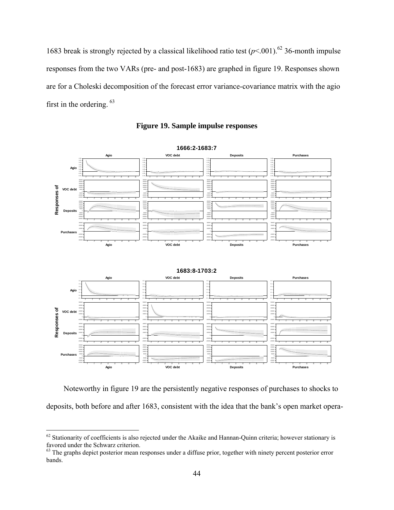1683 break is strongly rejected by a classical likelihood ratio test  $(p<.001)$ .<sup>62</sup> 36-month impulse responses from the two VARs (pre- and post-1683) are graphed in figure 19. Responses shown are for a Choleski decomposition of the forecast error variance-covariance matrix with the agio first in the ordering. <sup>63</sup>



**Figure 19. Sample impulse responses** 

Noteworthy in figure 19 are the persistently negative responses of purchases to shocks to deposits, both before and after 1683, consistent with the idea that the bank's open market opera-

 $\overline{a}$ 

 $62$  Stationarity of coefficients is also rejected under the Akaike and Hannan-Quinn criteria; however stationary is favored under the Schwarz criterion.

<sup>&</sup>lt;sup>63</sup> The graphs depict posterior mean responses under a diffuse prior, together with ninety percent posterior error bands.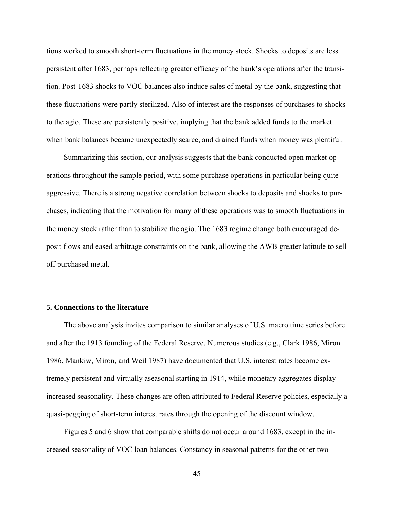tions worked to smooth short-term fluctuations in the money stock. Shocks to deposits are less persistent after 1683, perhaps reflecting greater efficacy of the bank's operations after the transition. Post-1683 shocks to VOC balances also induce sales of metal by the bank, suggesting that these fluctuations were partly sterilized. Also of interest are the responses of purchases to shocks to the agio. These are persistently positive, implying that the bank added funds to the market when bank balances became unexpectedly scarce, and drained funds when money was plentiful.

Summarizing this section, our analysis suggests that the bank conducted open market operations throughout the sample period, with some purchase operations in particular being quite aggressive. There is a strong negative correlation between shocks to deposits and shocks to purchases, indicating that the motivation for many of these operations was to smooth fluctuations in the money stock rather than to stabilize the agio. The 1683 regime change both encouraged deposit flows and eased arbitrage constraints on the bank, allowing the AWB greater latitude to sell off purchased metal.

#### **5. Connections to the literature**

The above analysis invites comparison to similar analyses of U.S. macro time series before and after the 1913 founding of the Federal Reserve. Numerous studies (e.g., Clark 1986, Miron 1986, Mankiw, Miron, and Weil 1987) have documented that U.S. interest rates become extremely persistent and virtually aseasonal starting in 1914, while monetary aggregates display increased seasonality. These changes are often attributed to Federal Reserve policies, especially a quasi-pegging of short-term interest rates through the opening of the discount window.

Figures 5 and 6 show that comparable shifts do not occur around 1683, except in the increased seasonality of VOC loan balances. Constancy in seasonal patterns for the other two

45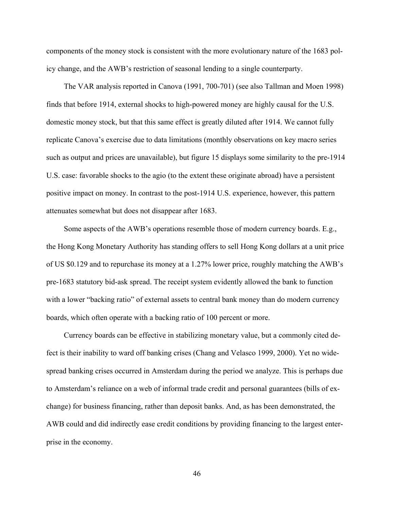components of the money stock is consistent with the more evolutionary nature of the 1683 policy change, and the AWB's restriction of seasonal lending to a single counterparty.

The VAR analysis reported in Canova (1991, 700-701) (see also Tallman and Moen 1998) finds that before 1914, external shocks to high-powered money are highly causal for the U.S. domestic money stock, but that this same effect is greatly diluted after 1914. We cannot fully replicate Canova's exercise due to data limitations (monthly observations on key macro series such as output and prices are unavailable), but figure 15 displays some similarity to the pre-1914 U.S. case: favorable shocks to the agio (to the extent these originate abroad) have a persistent positive impact on money. In contrast to the post-1914 U.S. experience, however, this pattern attenuates somewhat but does not disappear after 1683.

Some aspects of the AWB's operations resemble those of modern currency boards. E.g., the Hong Kong Monetary Authority has standing offers to sell Hong Kong dollars at a unit price of US \$0.129 and to repurchase its money at a 1.27% lower price, roughly matching the AWB's pre-1683 statutory bid-ask spread. The receipt system evidently allowed the bank to function with a lower "backing ratio" of external assets to central bank money than do modern currency boards, which often operate with a backing ratio of 100 percent or more.

Currency boards can be effective in stabilizing monetary value, but a commonly cited defect is their inability to ward off banking crises (Chang and Velasco 1999, 2000). Yet no widespread banking crises occurred in Amsterdam during the period we analyze. This is perhaps due to Amsterdam's reliance on a web of informal trade credit and personal guarantees (bills of exchange) for business financing, rather than deposit banks. And, as has been demonstrated, the AWB could and did indirectly ease credit conditions by providing financing to the largest enterprise in the economy.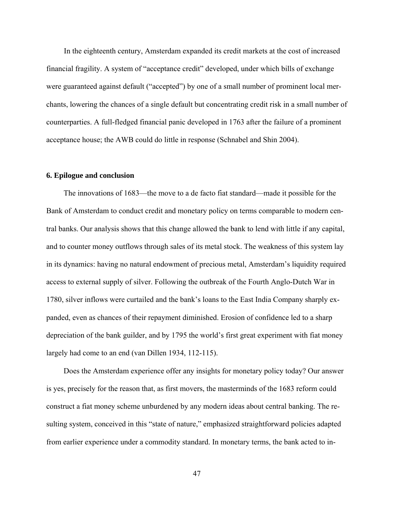In the eighteenth century, Amsterdam expanded its credit markets at the cost of increased financial fragility. A system of "acceptance credit" developed, under which bills of exchange were guaranteed against default ("accepted") by one of a small number of prominent local merchants, lowering the chances of a single default but concentrating credit risk in a small number of counterparties. A full-fledged financial panic developed in 1763 after the failure of a prominent acceptance house; the AWB could do little in response (Schnabel and Shin 2004).

#### **6. Epilogue and conclusion**

The innovations of 1683—the move to a de facto fiat standard—made it possible for the Bank of Amsterdam to conduct credit and monetary policy on terms comparable to modern central banks. Our analysis shows that this change allowed the bank to lend with little if any capital, and to counter money outflows through sales of its metal stock. The weakness of this system lay in its dynamics: having no natural endowment of precious metal, Amsterdam's liquidity required access to external supply of silver. Following the outbreak of the Fourth Anglo-Dutch War in 1780, silver inflows were curtailed and the bank's loans to the East India Company sharply expanded, even as chances of their repayment diminished. Erosion of confidence led to a sharp depreciation of the bank guilder, and by 1795 the world's first great experiment with fiat money largely had come to an end (van Dillen 1934, 112-115).

Does the Amsterdam experience offer any insights for monetary policy today? Our answer is yes, precisely for the reason that, as first movers, the masterminds of the 1683 reform could construct a fiat money scheme unburdened by any modern ideas about central banking. The resulting system, conceived in this "state of nature," emphasized straightforward policies adapted from earlier experience under a commodity standard. In monetary terms, the bank acted to in-

47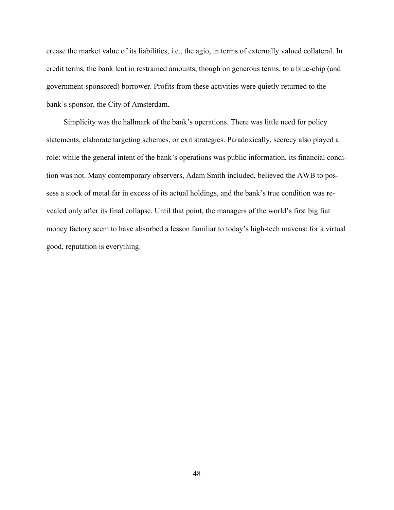crease the market value of its liabilities, i.e., the agio, in terms of externally valued collateral. In credit terms, the bank lent in restrained amounts, though on generous terms, to a blue-chip (and government-sponsored) borrower. Profits from these activities were quietly returned to the bank's sponsor, the City of Amsterdam.

Simplicity was the hallmark of the bank's operations. There was little need for policy statements, elaborate targeting schemes, or exit strategies. Paradoxically, secrecy also played a role: while the general intent of the bank's operations was public information, its financial condition was not. Many contemporary observers, Adam Smith included, believed the AWB to possess a stock of metal far in excess of its actual holdings, and the bank's true condition was revealed only after its final collapse. Until that point, the managers of the world's first big fiat money factory seem to have absorbed a lesson familiar to today's high-tech mavens: for a virtual good, reputation is everything.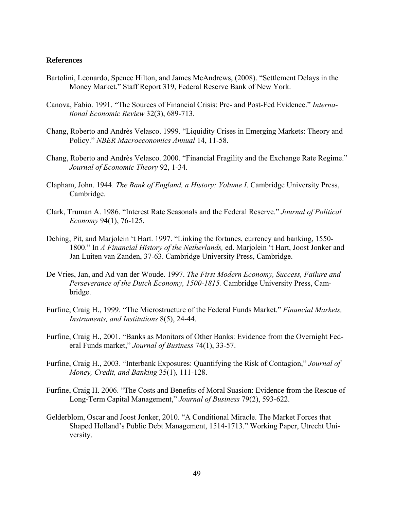## **References**

- Bartolini, Leonardo, Spence Hilton, and James McAndrews, (2008). "Settlement Delays in the Money Market." Staff Report 319, Federal Reserve Bank of New York.
- Canova, Fabio. 1991. "The Sources of Financial Crisis: Pre- and Post-Fed Evidence." *International Economic Review* 32(3), 689-713.
- Chang, Roberto and Andrès Velasco. 1999. "Liquidity Crises in Emerging Markets: Theory and Policy." *NBER Macroeconomics Annual* 14, 11-58.
- Chang, Roberto and Andrès Velasco. 2000. "Financial Fragility and the Exchange Rate Regime." *Journal of Economic Theory* 92, 1-34.
- Clapham, John. 1944. *The Bank of England, a History: Volume I*. Cambridge University Press, Cambridge.
- Clark, Truman A. 1986. "Interest Rate Seasonals and the Federal Reserve." *Journal of Political Economy* 94(1), 76-125.
- Dehing, Pit, and Marjolein 't Hart. 1997. "Linking the fortunes, currency and banking, 1550- 1800." In *A Financial History of the Netherlands,* ed. Marjolein 't Hart, Joost Jonker and Jan Luiten van Zanden, 37-63. Cambridge University Press, Cambridge.
- De Vries, Jan, and Ad van der Woude. 1997. *The First Modern Economy, Success, Failure and Perseverance of the Dutch Economy, 1500-1815.* Cambridge University Press, Cambridge.
- Furfine, Craig H., 1999. "The Microstructure of the Federal Funds Market." *Financial Markets, Instruments, and Institutions* 8(5), 24-44.
- Furfine, Craig H., 2001. "Banks as Monitors of Other Banks: Evidence from the Overnight Federal Funds market," *Journal of Business* 74(1), 33-57.
- Furfine, Craig H., 2003. "Interbank Exposures: Quantifying the Risk of Contagion," *Journal of Money, Credit, and Banking* 35(1), 111-128.
- Furfine, Craig H. 2006. "The Costs and Benefits of Moral Suasion: Evidence from the Rescue of Long-Term Capital Management," *Journal of Business* 79(2), 593-622.
- Gelderblom, Oscar and Joost Jonker, 2010. "A Conditional Miracle. The Market Forces that Shaped Holland's Public Debt Management, 1514-1713." Working Paper, Utrecht University.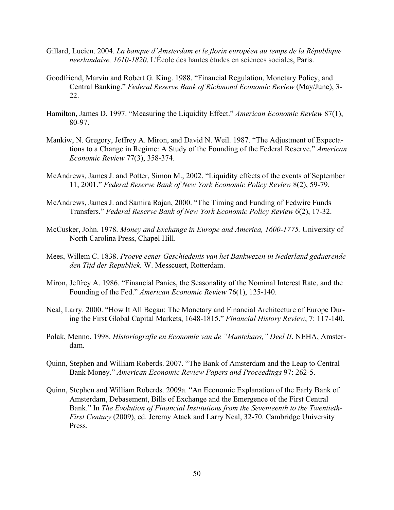- Gillard, Lucien. 2004. *La banque d'Amsterdam et le florin européen au temps de la République neerlandaise, 1610-1820*. L'École des hautes études en sciences sociales, Paris.
- Goodfriend, Marvin and Robert G. King. 1988. "Financial Regulation, Monetary Policy, and Central Banking." *Federal Reserve Bank of Richmond Economic Review* (May/June), 3- 22.
- Hamilton, James D. 1997. "Measuring the Liquidity Effect." *American Economic Review* 87(1), 80-97.
- Mankiw, N. Gregory, Jeffrey A. Miron, and David N. Weil. 1987. "The Adjustment of Expectations to a Change in Regime: A Study of the Founding of the Federal Reserve." *American Economic Review* 77(3), 358-374.
- McAndrews, James J. and Potter, Simon M., 2002. "Liquidity effects of the events of September 11, 2001." *Federal Reserve Bank of New York Economic Policy Review* 8(2), 59-79.
- McAndrews, James J. and Samira Rajan, 2000. "The Timing and Funding of Fedwire Funds Transfers." *Federal Reserve Bank of New York Economic Policy Review* 6(2), 17-32.
- McCusker, John. 1978. *Money and Exchange in Europe and America, 1600-1775.* University of North Carolina Press, Chapel Hill.
- Mees, Willem C. 1838. *Proeve eener Geschiedenis van het Bankwezen in Nederland geduerende den Tijd der Republiek.* W. Messcuert, Rotterdam.
- Miron, Jeffrey A. 1986. "Financial Panics, the Seasonality of the Nominal Interest Rate, and the Founding of the Fed." *American Economic Review* 76(1), 125-140.
- Neal, Larry. 2000. "How It All Began: The Monetary and Financial Architecture of Europe During the First Global Capital Markets, 1648-1815." *Financial History Review*, 7: 117-140.
- Polak, Menno. 1998. *Historiografie en Economie van de "Muntchaos," Deel II*. NEHA, Amsterdam.
- Quinn, Stephen and William Roberds. 2007. "The Bank of Amsterdam and the Leap to Central Bank Money." *American Economic Review Papers and Proceedings* 97: 262-5.
- Quinn, Stephen and William Roberds. 2009a. "An Economic Explanation of the Early Bank of Amsterdam, Debasement, Bills of Exchange and the Emergence of the First Central Bank." In *The Evolution of Financial Institutions from the Seventeenth to the Twentieth-First Century* (2009), ed. Jeremy Atack and Larry Neal, 32-70. Cambridge University Press.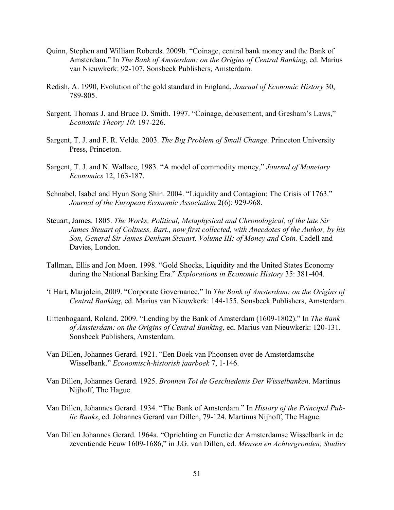- Quinn, Stephen and William Roberds. 2009b. "Coinage, central bank money and the Bank of Amsterdam." In *The Bank of Amsterdam: on the Origins of Central Banking*, ed. Marius van Nieuwkerk: 92-107. Sonsbeek Publishers, Amsterdam.
- Redish, A. 1990, Evolution of the gold standard in England, *Journal of Economic History* 30, 789-805.
- Sargent, Thomas J. and Bruce D. Smith. 1997. "Coinage, debasement, and Gresham's Laws," *Economic Theory 10*: 197-226.
- Sargent, T. J. and F. R. Velde. 2003. *The Big Problem of Small Change*. Princeton University Press, Princeton.
- Sargent, T. J. and N. Wallace, 1983. "A model of commodity money," *Journal of Monetary Economics* 12, 163-187.
- Schnabel, Isabel and Hyun Song Shin. 2004. "Liquidity and Contagion: The Crisis of 1763." *Journal of the European Economic Association* 2(6): 929-968.
- Steuart, James. 1805. *The Works, Political, Metaphysical and Chronological, of the late Sir James Steuart of Coltness, Bart., now first collected, with Anecdotes of the Author, by his Son, General Sir James Denham Steuart*. *Volume III: of Money and Coin.* Cadell and Davies, London.
- Tallman, Ellis and Jon Moen. 1998. "Gold Shocks, Liquidity and the United States Economy during the National Banking Era." *Explorations in Economic History* 35: 381-404.
- 't Hart, Marjolein, 2009. "Corporate Governance." In *The Bank of Amsterdam: on the Origins of Central Banking*, ed. Marius van Nieuwkerk: 144-155. Sonsbeek Publishers, Amsterdam.
- Uittenbogaard, Roland. 2009. "Lending by the Bank of Amsterdam (1609-1802)." In *The Bank of Amsterdam: on the Origins of Central Banking*, ed. Marius van Nieuwkerk: 120-131. Sonsbeek Publishers, Amsterdam.
- Van Dillen, Johannes Gerard. 1921. "Een Boek van Phoonsen over de Amsterdamsche Wisselbank." *Economisch-historish jaarboek* 7, 1-146.
- Van Dillen, Johannes Gerard. 1925. *Bronnen Tot de Geschiedenis Der Wisselbanken*. Martinus Nijhoff, The Hague.
- Van Dillen, Johannes Gerard. 1934. "The Bank of Amsterdam." In *History of the Principal Public Banks*, ed. Johannes Gerard van Dillen, 79-124. Martinus Nijhoff, The Hague.
- Van Dillen Johannes Gerard. 1964a. "Oprichting en Functie der Amsterdamse Wisselbank in de zeventiende Eeuw 1609-1686," in J.G. van Dillen, ed. *Mensen en Achtergronden, Studies*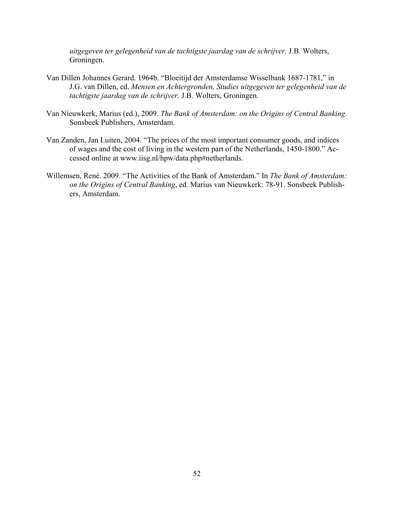*uitgegeven ter gelegenheid van de tachtigste jaardag van de schrijver.* J.B. Wolters, Groningen.

- Van Dillen Johannes Gerard. 1964b. "Bloeitijd der Amsterdamse Wisselbank 1687-1781," in J.G. van Dillen, ed. *Mensen en Achtergronden, Studies uitgegeven ter gelegenheid van de tachtigste jaardag van de schrijver.* J.B. Wolters, Groningen.
- Van Nieuwkerk, Marius (ed.), 2009. *The Bank of Amsterdam: on the Origins of Central Banking.*  Sonsbeek Publishers, Amsterdam.
- Van Zanden, Jan Luiten, 2004. "The prices of the most important consumer goods, and indices of wages and the cost of living in the western part of the Netherlands, 1450-1800." Accessed online at www.iisg.nl/hpw/data.php#netherlands.
- Willemsen, René. 2009. "The Activities of the Bank of Amsterdam." In *The Bank of Amsterdam: on the Origins of Central Banking*, ed. Marius van Nieuwkerk: 78-91. Sonsbeek Publishers, Amsterdam.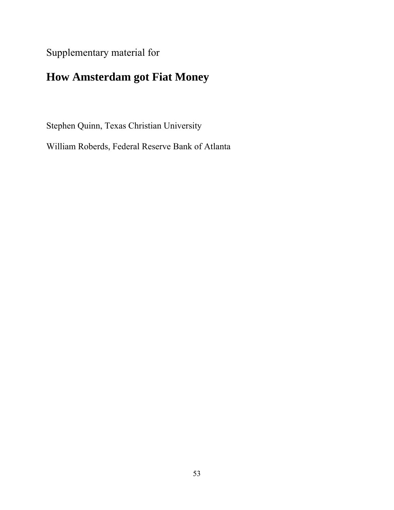Supplementary material for

# **How Amsterdam got Fiat Money**

Stephen Quinn, Texas Christian University

William Roberds, Federal Reserve Bank of Atlanta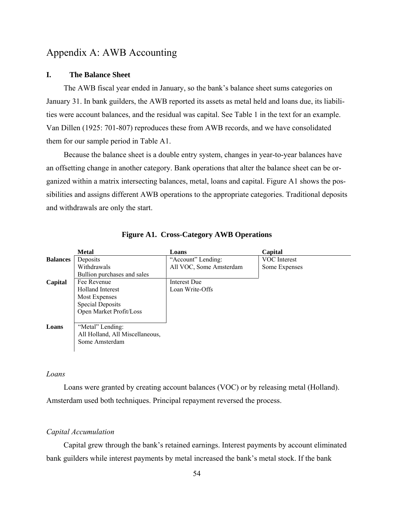# Appendix A: AWB Accounting

# **I. The Balance Sheet**

The AWB fiscal year ended in January, so the bank's balance sheet sums categories on January 31. In bank guilders, the AWB reported its assets as metal held and loans due, its liabilities were account balances, and the residual was capital. See Table 1 in the text for an example. Van Dillen (1925: 701-807) reproduces these from AWB records, and we have consolidated them for our sample period in Table A1.

Because the balance sheet is a double entry system, changes in year-to-year balances have an offsetting change in another category. Bank operations that alter the balance sheet can be organized within a matrix intersecting balances, metal, loans and capital. Figure A1 shows the possibilities and assigns different AWB operations to the appropriate categories. Traditional deposits and withdrawals are only the start.

|                 | <b>Metal</b>                    | Loans                   | Capital       |
|-----------------|---------------------------------|-------------------------|---------------|
| <b>Balances</b> | Deposits                        | "Account" Lending:      | VOC Interest  |
|                 | Withdrawals                     | All VOC, Some Amsterdam | Some Expenses |
|                 | Bullion purchases and sales     |                         |               |
| Capital         | Fee Revenue                     | Interest Due            |               |
|                 | <b>Holland Interest</b>         | Loan Write-Offs         |               |
|                 | Most Expenses                   |                         |               |
|                 | <b>Special Deposits</b>         |                         |               |
|                 | Open Market Profit/Loss         |                         |               |
|                 |                                 |                         |               |
| Loans           | "Metal" Lending:                |                         |               |
|                 | All Holland, All Miscellaneous, |                         |               |
|                 | Some Amsterdam                  |                         |               |
|                 |                                 |                         |               |

**Figure A1. Cross-Category AWB Operations** 

# *Loans*

Loans were granted by creating account balances (VOC) or by releasing metal (Holland). Amsterdam used both techniques. Principal repayment reversed the process.

## *Capital Accumulation*

Capital grew through the bank's retained earnings. Interest payments by account eliminated bank guilders while interest payments by metal increased the bank's metal stock. If the bank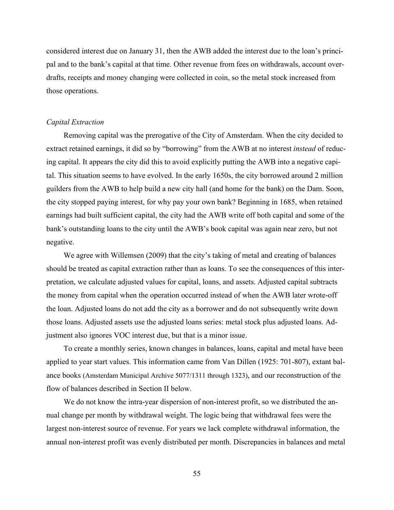considered interest due on January 31, then the AWB added the interest due to the loan's principal and to the bank's capital at that time. Other revenue from fees on withdrawals, account overdrafts, receipts and money changing were collected in coin, so the metal stock increased from those operations.

#### *Capital Extraction*

Removing capital was the prerogative of the City of Amsterdam. When the city decided to extract retained earnings, it did so by "borrowing" from the AWB at no interest *instead* of reducing capital. It appears the city did this to avoid explicitly putting the AWB into a negative capital. This situation seems to have evolved. In the early 1650s, the city borrowed around 2 million guilders from the AWB to help build a new city hall (and home for the bank) on the Dam. Soon, the city stopped paying interest, for why pay your own bank? Beginning in 1685, when retained earnings had built sufficient capital, the city had the AWB write off both capital and some of the bank's outstanding loans to the city until the AWB's book capital was again near zero, but not negative.

We agree with Willemsen (2009) that the city's taking of metal and creating of balances should be treated as capital extraction rather than as loans. To see the consequences of this interpretation, we calculate adjusted values for capital, loans, and assets. Adjusted capital subtracts the money from capital when the operation occurred instead of when the AWB later wrote-off the loan. Adjusted loans do not add the city as a borrower and do not subsequently write down those loans. Adjusted assets use the adjusted loans series: metal stock plus adjusted loans. Adjustment also ignores VOC interest due, but that is a minor issue.

To create a monthly series, known changes in balances, loans, capital and metal have been applied to year start values. This information came from Van Dillen (1925: 701-807), extant balance books (Amsterdam Municipal Archive 5077/1311 through 1323), and our reconstruction of the flow of balances described in Section II below.

We do not know the intra-year dispersion of non-interest profit, so we distributed the annual change per month by withdrawal weight. The logic being that withdrawal fees were the largest non-interest source of revenue. For years we lack complete withdrawal information, the annual non-interest profit was evenly distributed per month. Discrepancies in balances and metal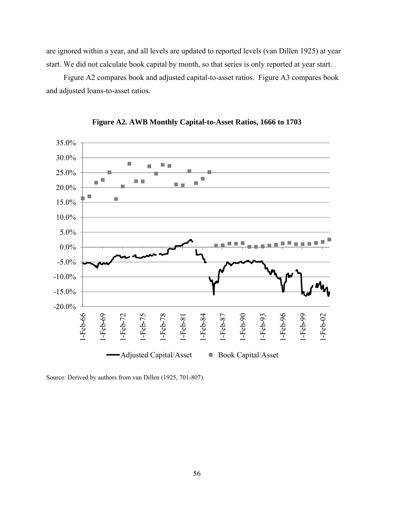are ignored within a year, and all levels are updated to reported levels (van Dillen 1925) at year start. We did not calculate book capital by month, so that series is only reported at year start.

Figure A2 compares book and adjusted capital-to-asset ratios. Figure A3 compares book and adjusted loans-to-asset ratios.



**Figure A2. AWB Monthly Capital-to-Asset Ratios, 1666 to 1703** 

Source: Derived by authors from van Dillen (1925, 701-807).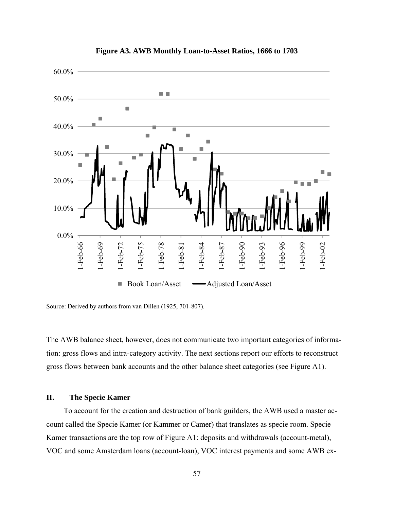

**Figure A3. AWB Monthly Loan-to-Asset Ratios, 1666 to 1703** 

Source: Derived by authors from van Dillen (1925, 701-807).

The AWB balance sheet, however, does not communicate two important categories of information: gross flows and intra-category activity. The next sections report our efforts to reconstruct gross flows between bank accounts and the other balance sheet categories (see Figure A1).

# **II. The Specie Kamer**

To account for the creation and destruction of bank guilders, the AWB used a master account called the Specie Kamer (or Kammer or Camer) that translates as specie room. Specie Kamer transactions are the top row of Figure A1: deposits and withdrawals (account-metal), VOC and some Amsterdam loans (account-loan), VOC interest payments and some AWB ex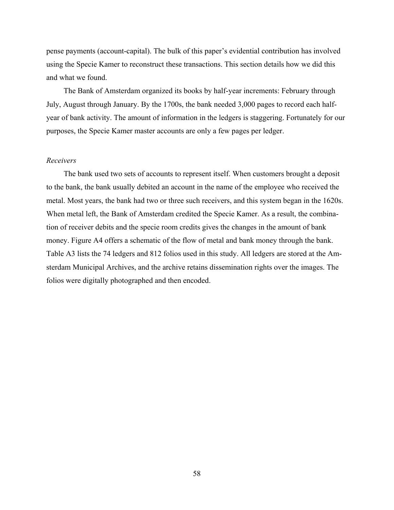pense payments (account-capital). The bulk of this paper's evidential contribution has involved using the Specie Kamer to reconstruct these transactions. This section details how we did this and what we found.

The Bank of Amsterdam organized its books by half-year increments: February through July, August through January. By the 1700s, the bank needed 3,000 pages to record each halfyear of bank activity. The amount of information in the ledgers is staggering. Fortunately for our purposes, the Specie Kamer master accounts are only a few pages per ledger.

# *Receivers*

The bank used two sets of accounts to represent itself. When customers brought a deposit to the bank, the bank usually debited an account in the name of the employee who received the metal. Most years, the bank had two or three such receivers, and this system began in the 1620s. When metal left, the Bank of Amsterdam credited the Specie Kamer. As a result, the combination of receiver debits and the specie room credits gives the changes in the amount of bank money. Figure A4 offers a schematic of the flow of metal and bank money through the bank. Table A3 lists the 74 ledgers and 812 folios used in this study. All ledgers are stored at the Amsterdam Municipal Archives, and the archive retains dissemination rights over the images. The folios were digitally photographed and then encoded.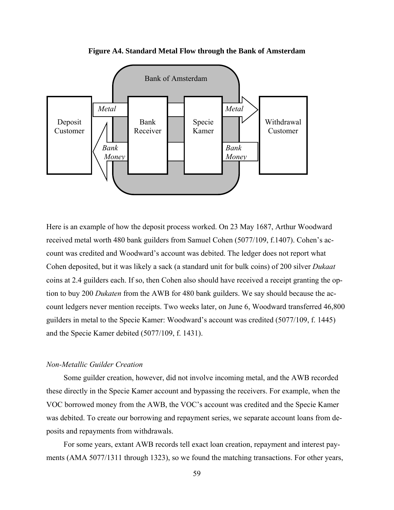

**Figure A4. Standard Metal Flow through the Bank of Amsterdam** 

Here is an example of how the deposit process worked. On 23 May 1687, Arthur Woodward received metal worth 480 bank guilders from Samuel Cohen (5077/109, f.1407). Cohen's account was credited and Woodward's account was debited. The ledger does not report what Cohen deposited, but it was likely a sack (a standard unit for bulk coins) of 200 silver *Dukaat* coins at 2.4 guilders each. If so, then Cohen also should have received a receipt granting the option to buy 200 *Dukaten* from the AWB for 480 bank guilders. We say should because the account ledgers never mention receipts. Two weeks later, on June 6, Woodward transferred 46,800 guilders in metal to the Specie Kamer: Woodward's account was credited (5077/109, f. 1445) and the Specie Kamer debited (5077/109, f. 1431).

# *Non-Metallic Guilder Creation*

Some guilder creation, however, did not involve incoming metal, and the AWB recorded these directly in the Specie Kamer account and bypassing the receivers. For example, when the VOC borrowed money from the AWB, the VOC's account was credited and the Specie Kamer was debited. To create our borrowing and repayment series, we separate account loans from deposits and repayments from withdrawals.

For some years, extant AWB records tell exact loan creation, repayment and interest payments (AMA 5077/1311 through 1323), so we found the matching transactions. For other years,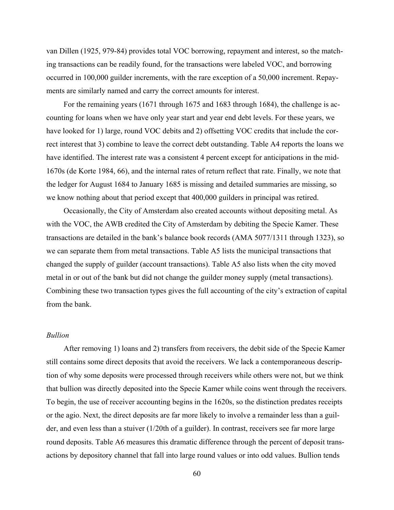van Dillen (1925, 979-84) provides total VOC borrowing, repayment and interest, so the matching transactions can be readily found, for the transactions were labeled VOC, and borrowing occurred in 100,000 guilder increments, with the rare exception of a 50,000 increment. Repayments are similarly named and carry the correct amounts for interest.

For the remaining years (1671 through 1675 and 1683 through 1684), the challenge is accounting for loans when we have only year start and year end debt levels. For these years, we have looked for 1) large, round VOC debits and 2) offsetting VOC credits that include the correct interest that 3) combine to leave the correct debt outstanding. Table A4 reports the loans we have identified. The interest rate was a consistent 4 percent except for anticipations in the mid-1670s (de Korte 1984, 66), and the internal rates of return reflect that rate. Finally, we note that the ledger for August 1684 to January 1685 is missing and detailed summaries are missing, so we know nothing about that period except that 400,000 guilders in principal was retired.

Occasionally, the City of Amsterdam also created accounts without depositing metal. As with the VOC, the AWB credited the City of Amsterdam by debiting the Specie Kamer. These transactions are detailed in the bank's balance book records (AMA 5077/1311 through 1323), so we can separate them from metal transactions. Table A5 lists the municipal transactions that changed the supply of guilder (account transactions). Table A5 also lists when the city moved metal in or out of the bank but did not change the guilder money supply (metal transactions). Combining these two transaction types gives the full accounting of the city's extraction of capital from the bank.

## *Bullion*

After removing 1) loans and 2) transfers from receivers, the debit side of the Specie Kamer still contains some direct deposits that avoid the receivers. We lack a contemporaneous description of why some deposits were processed through receivers while others were not, but we think that bullion was directly deposited into the Specie Kamer while coins went through the receivers. To begin, the use of receiver accounting begins in the 1620s, so the distinction predates receipts or the agio. Next, the direct deposits are far more likely to involve a remainder less than a guilder, and even less than a stuiver (1/20th of a guilder). In contrast, receivers see far more large round deposits. Table A6 measures this dramatic difference through the percent of deposit transactions by depository channel that fall into large round values or into odd values. Bullion tends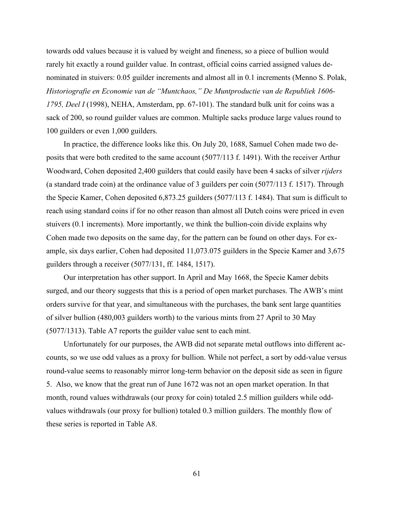towards odd values because it is valued by weight and fineness, so a piece of bullion would rarely hit exactly a round guilder value. In contrast, official coins carried assigned values denominated in stuivers: 0.05 guilder increments and almost all in 0.1 increments (Menno S. Polak, *Historiografie en Economie van de "Muntchaos," De Muntproductie van de Republiek 1606- 1795, Deel I* (1998), NEHA, Amsterdam, pp. 67-101). The standard bulk unit for coins was a sack of 200, so round guilder values are common. Multiple sacks produce large values round to 100 guilders or even 1,000 guilders.

In practice, the difference looks like this. On July 20, 1688, Samuel Cohen made two deposits that were both credited to the same account (5077/113 f. 1491). With the receiver Arthur Woodward, Cohen deposited 2,400 guilders that could easily have been 4 sacks of silver *rijders* (a standard trade coin) at the ordinance value of 3 guilders per coin (5077/113 f. 1517). Through the Specie Kamer, Cohen deposited 6,873.25 guilders (5077/113 f. 1484). That sum is difficult to reach using standard coins if for no other reason than almost all Dutch coins were priced in even stuivers (0.1 increments). More importantly, we think the bullion-coin divide explains why Cohen made two deposits on the same day, for the pattern can be found on other days. For example, six days earlier, Cohen had deposited 11,073.075 guilders in the Specie Kamer and 3,675 guilders through a receiver (5077/131, ff. 1484, 1517).

Our interpretation has other support. In April and May 1668, the Specie Kamer debits surged, and our theory suggests that this is a period of open market purchases. The AWB's mint orders survive for that year, and simultaneous with the purchases, the bank sent large quantities of silver bullion (480,003 guilders worth) to the various mints from 27 April to 30 May (5077/1313). Table A7 reports the guilder value sent to each mint.

Unfortunately for our purposes, the AWB did not separate metal outflows into different accounts, so we use odd values as a proxy for bullion. While not perfect, a sort by odd-value versus round-value seems to reasonably mirror long-term behavior on the deposit side as seen in figure 5. Also, we know that the great run of June 1672 was not an open market operation. In that month, round values withdrawals (our proxy for coin) totaled 2.5 million guilders while oddvalues withdrawals (our proxy for bullion) totaled 0.3 million guilders. The monthly flow of these series is reported in Table A8.

61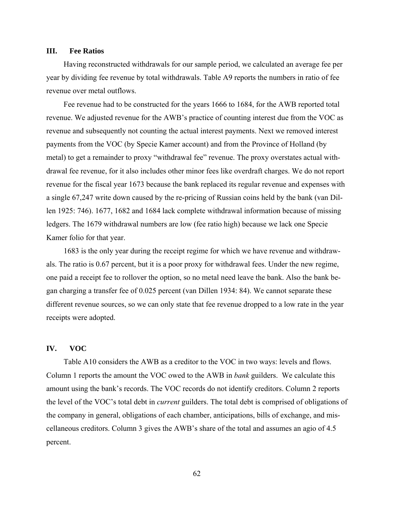#### **III. Fee Ratios**

Having reconstructed withdrawals for our sample period, we calculated an average fee per year by dividing fee revenue by total withdrawals. Table A9 reports the numbers in ratio of fee revenue over metal outflows.

Fee revenue had to be constructed for the years 1666 to 1684, for the AWB reported total revenue. We adjusted revenue for the AWB's practice of counting interest due from the VOC as revenue and subsequently not counting the actual interest payments. Next we removed interest payments from the VOC (by Specie Kamer account) and from the Province of Holland (by metal) to get a remainder to proxy "withdrawal fee" revenue. The proxy overstates actual withdrawal fee revenue, for it also includes other minor fees like overdraft charges. We do not report revenue for the fiscal year 1673 because the bank replaced its regular revenue and expenses with a single 67,247 write down caused by the re-pricing of Russian coins held by the bank (van Dillen 1925: 746). 1677, 1682 and 1684 lack complete withdrawal information because of missing ledgers. The 1679 withdrawal numbers are low (fee ratio high) because we lack one Specie Kamer folio for that year.

1683 is the only year during the receipt regime for which we have revenue and withdrawals. The ratio is 0.67 percent, but it is a poor proxy for withdrawal fees. Under the new regime, one paid a receipt fee to rollover the option, so no metal need leave the bank. Also the bank began charging a transfer fee of 0.025 percent (van Dillen 1934: 84). We cannot separate these different revenue sources, so we can only state that fee revenue dropped to a low rate in the year receipts were adopted.

#### **IV. VOC**

Table A10 considers the AWB as a creditor to the VOC in two ways: levels and flows. Column 1 reports the amount the VOC owed to the AWB in *bank* guilders. We calculate this amount using the bank's records. The VOC records do not identify creditors. Column 2 reports the level of the VOC's total debt in *current* guilders. The total debt is comprised of obligations of the company in general, obligations of each chamber, anticipations, bills of exchange, and miscellaneous creditors. Column 3 gives the AWB's share of the total and assumes an agio of 4.5 percent.

62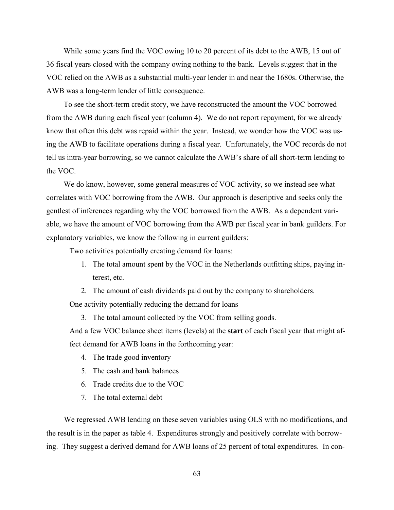While some years find the VOC owing 10 to 20 percent of its debt to the AWB, 15 out of 36 fiscal years closed with the company owing nothing to the bank. Levels suggest that in the VOC relied on the AWB as a substantial multi-year lender in and near the 1680s. Otherwise, the AWB was a long-term lender of little consequence.

To see the short-term credit story, we have reconstructed the amount the VOC borrowed from the AWB during each fiscal year (column 4). We do not report repayment, for we already know that often this debt was repaid within the year. Instead, we wonder how the VOC was using the AWB to facilitate operations during a fiscal year. Unfortunately, the VOC records do not tell us intra-year borrowing, so we cannot calculate the AWB's share of all short-term lending to the VOC.

We do know, however, some general measures of VOC activity, so we instead see what correlates with VOC borrowing from the AWB. Our approach is descriptive and seeks only the gentlest of inferences regarding why the VOC borrowed from the AWB. As a dependent variable, we have the amount of VOC borrowing from the AWB per fiscal year in bank guilders. For explanatory variables, we know the following in current guilders:

Two activities potentially creating demand for loans:

- 1. The total amount spent by the VOC in the Netherlands outfitting ships, paying interest, etc.
- 2. The amount of cash dividends paid out by the company to shareholders.

One activity potentially reducing the demand for loans

3. The total amount collected by the VOC from selling goods.

And a few VOC balance sheet items (levels) at the **start** of each fiscal year that might affect demand for AWB loans in the forthcoming year:

- 4. The trade good inventory
- 5. The cash and bank balances
- 6. Trade credits due to the VOC
- 7. The total external debt

We regressed AWB lending on these seven variables using OLS with no modifications, and the result is in the paper as table 4. Expenditures strongly and positively correlate with borrowing. They suggest a derived demand for AWB loans of 25 percent of total expenditures. In con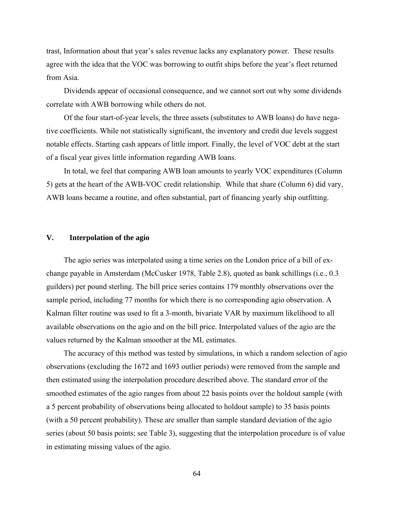trast, Information about that year's sales revenue lacks any explanatory power. These results agree with the idea that the VOC was borrowing to outfit ships before the year's fleet returned from Asia.

Dividends appear of occasional consequence, and we cannot sort out why some dividends correlate with AWB borrowing while others do not.

Of the four start-of-year levels, the three assets (substitutes to AWB loans) do have negative coefficients. While not statistically significant, the inventory and credit due levels suggest notable effects. Starting cash appears of little import. Finally, the level of VOC debt at the start of a fiscal year gives little information regarding AWB loans.

In total, we feel that comparing AWB loan amounts to yearly VOC expenditures (Column 5) gets at the heart of the AWB-VOC credit relationship. While that share (Column 6) did vary, AWB loans became a routine, and often substantial, part of financing yearly ship outfitting.

# **V. Interpolation of the agio**

The agio series was interpolated using a time series on the London price of a bill of exchange payable in Amsterdam (McCusker 1978, Table 2.8), quoted as bank schillings (i.e., 0.3 guilders) per pound sterling. The bill price series contains 179 monthly observations over the sample period, including 77 months for which there is no corresponding agio observation. A Kalman filter routine was used to fit a 3-month, bivariate VAR by maximum likelihood to all available observations on the agio and on the bill price. Interpolated values of the agio are the values returned by the Kalman smoother at the ML estimates.

The accuracy of this method was tested by simulations, in which a random selection of agio observations (excluding the 1672 and 1693 outlier periods) were removed from the sample and then estimated using the interpolation procedure described above. The standard error of the smoothed estimates of the agio ranges from about 22 basis points over the holdout sample (with a 5 percent probability of observations being allocated to holdout sample) to 35 basis points (with a 50 percent probability). These are smaller than sample standard deviation of the agio series (about 50 basis points; see Table 3), suggesting that the interpolation procedure is of value in estimating missing values of the agio.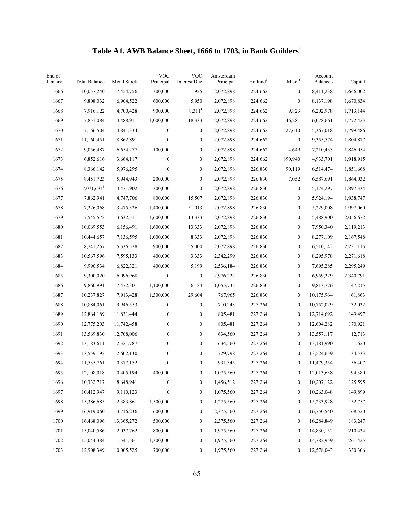# **Table A1. AWB Balance Sheet, 1666 to 1703, in Bank Guilders1**

| End of<br>January | <b>Total Balance</b> | Metal Stock | <b>VOC</b><br>Principal | <b>VOC</b><br>Interest Due | Amsterdam<br>Principal | Holland <sup>2</sup> | Misc. <sup>3</sup> | Account<br><b>Balances</b> | Capital   |
|-------------------|----------------------|-------------|-------------------------|----------------------------|------------------------|----------------------|--------------------|----------------------------|-----------|
| 1666              | 10,057,240           | 7,454,756   | 300,000                 | 1,925                      | 2,072,898              | 224,662              | $\boldsymbol{0}$   | 8,411,238                  | 1,646,002 |
| 1667              | 9,808,032            | 6,904,522   | 600,000                 | 5,950                      | 2,072,898              | 224,662              | $\boldsymbol{0}$   | 8,137,198                  | 1,670,834 |
| 1668              | 7,916,122            | 4,700,428   | 900,000                 | 8,311 <sup>4</sup>         | 2,072,898              | 224,662              | 9,823              | 6,202,978                  | 1,713,144 |
| 1669              | 7,851,084            | 4,488,911   | 1,000,000               | 18,333                     | 2,072,898              | 224,662              | 46,281             | 6,078,661                  | 1,772,423 |
| 1670              | 7,166,504            | 4,841,334   | $\boldsymbol{0}$        | $\boldsymbol{0}$           | 2,072,898              | 224,662              | 27,610             | 5,367,018                  | 1,799,486 |
| 1671              | 11,160,451           | 8,862,891   | $\boldsymbol{0}$        | $\boldsymbol{0}$           | 2,072,898              | 224,662              | $\boldsymbol{0}$   | 9,355,574                  | 1,804,877 |
| 1672              | 9,056,487            | 6,654,277   | 100,000                 | $\boldsymbol{0}$           | 2,072,898              | 224,662              | 4,649              | 7,210,433                  | 1,846,054 |
| 1673              | 6,852,616            | 3,664,117   | $\boldsymbol{0}$        | $\boldsymbol{0}$           | 2,072,898              | 224,662              | 890,940            | 4,933,701                  | 1,918,915 |
| 1674              | 8,366,142            | 5,976,295   | $\boldsymbol{0}$        | $\boldsymbol{0}$           | 2,072,898              | 226,830              | 90,119             | 6,514,474                  | 1,851,668 |
| 1675              | 8,451,723            | 5,944,943   | 200,000                 | $\boldsymbol{0}$           | 2,072,898              | 226,830              | 7,052              | 6,587,691                  | 1,864,032 |
| 1676              | $7,071,631^5$        | 4,471,902   | 300,000                 | $\boldsymbol{0}$           | 2,072,898              | 226,830              | $\boldsymbol{0}$   | 5,174,297                  | 1,897,334 |
| 1677              | 7,862,941            | 4,747,706   | 800,000                 | 15,507                     | 2,072,898              | 226,830              | $\boldsymbol{0}$   | 5,924,194                  | 1,938,747 |
| 1678              | 7,226,068            | 3,475,326   | 1,400,000               | 51,013                     | 2,072,898              | 226,830              | $\boldsymbol{0}$   | 5,229,008                  | 1,997,060 |
| 1679              | 7,545,572            | 3,632,511   | 1,600,000               | 13,333                     | 2,072,898              | 226,830              | $\boldsymbol{0}$   | 5,488,900                  | 2,056,672 |
| 1680              | 10,069,553           | 6,156,491   | 1,600,000               | 13,333                     | 2,072,898              | 226,830              | $\boldsymbol{0}$   | 7,950,340                  | 2,119,213 |
| 1681              | 10,444,657           | 7,136,595   | 1,000,000               | 8,333                      | 2,072,898              | 226,830              | $\boldsymbol{0}$   | 8,277,109                  | 2,167,548 |
| 1682              | 8,741,257            | 5,536,528   | 900,000                 | 5,000                      | 2,072,898              | 226,830              | $\boldsymbol{0}$   | 6,510,142                  | 2,231,115 |
| 1683              | 10,567,596           | 7,595,133   | 400,000                 | 3,333                      | 2,342,299              | 226,830              | $\boldsymbol{0}$   | 8,295,978                  | 2,271,618 |
| 1684              | 9,990,534            | 6,822,321   | 400,000                 | 5,199                      | 2,536,184              | 226,830              | $\boldsymbol{0}$   | 7,695,285                  | 2,295,249 |
| 1685              | 9,300,020            | 6,096,968   | $\boldsymbol{0}$        | $\boldsymbol{0}$           | 2,976,222              | 226,830              | $\boldsymbol{0}$   | 6,959,229                  | 2,340,791 |
| 1686              | 9,860,991            | 7,472,301   | 1,100,000               | 6,124                      | 1,055,735              | 226,830              | $\boldsymbol{0}$   | 9,813,776                  | 47,215    |
| 1687              | 10,237,827           | 7,913,428   | 1,300,000               | 29,604                     | 767,965                | 226,830              | $\boldsymbol{0}$   | 10,175,964                 | 61,863    |
| 1688              | 10,884,061           | 9,946,553   | $\boldsymbol{0}$        | $\boldsymbol{0}$           | 710,243                | 227,264              | $\boldsymbol{0}$   | 10,752,029                 | 132,032   |
| 1689              | 12,864,189           | 11,831,444  | $\boldsymbol{0}$        | $\boldsymbol{0}$           | 805,481                | 227,264              | $\boldsymbol{0}$   | 12,714,692                 | 149,497   |
| 1690              | 12,775,203           | 11,742,458  | $\boldsymbol{0}$        | $\boldsymbol{0}$           | 805,481                | 227,264              | $\boldsymbol{0}$   | 12,604,282                 | 170,921   |
| 1691              | 13,569,830           | 12,708,006  | $\boldsymbol{0}$        | $\boldsymbol{0}$           | 634,560                | 227,264              | $\boldsymbol{0}$   | 13,557,117                 | 12,713    |
| 1692              | 13,183,611           | 12,321,787  | $\boldsymbol{0}$        | $\boldsymbol{0}$           | 634,560                | 227,264              | $\boldsymbol{0}$   | 13,181,990                 | 1,620     |
| 1693              | 13,559,192           | 12,602,130  | $\boldsymbol{0}$        | $\boldsymbol{0}$           | 729,798                | 227,264              | $\boldsymbol{0}$   | 13,524,659                 | 34,533    |
| 1694              | 11,535,761           | 10,377,152  | $\boldsymbol{0}$        | $\boldsymbol{0}$           | 931,345                | 227,264              | 0                  | 11,479,354                 | 56,407    |
| 1695              | 12,108,018           | 10,405,194  | 400,000                 | $\boldsymbol{0}$           | 1,075,560              | 227,264              | $\boldsymbol{0}$   | 12,013,638                 | 94,380    |
| 1696              | 10,332,717           | 8,648,941   | $\mathbf{0}$            | $\boldsymbol{0}$           | 1,456,512              | 227,264              | $\boldsymbol{0}$   | 10,207,122                 | 125,595   |
| 1697              | 10,412,947           | 9,110,123   | $\boldsymbol{0}$        | $\boldsymbol{0}$           | 1,075,560              | 227,264              | $\boldsymbol{0}$   | 10,263,048                 | 149,899   |
| 1698              | 15,386,685           | 12,383,861  | 1,500,000               | $\boldsymbol{0}$           | 1,275,560              | 227,264              | $\boldsymbol{0}$   | 15,233,928                 | 152,757   |
| 1699              | 16,919,060           | 13,716,236  | 600,000                 | $\boldsymbol{0}$           | 2,375,560              | 227,264              | $\boldsymbol{0}$   | 16,750,540                 | 168,520   |
| 1700              | 16,468,096           | 13,365,272  | 500,000                 | $\boldsymbol{0}$           | 2,375,560              | 227,264              | $\boldsymbol{0}$   | 16,284,849                 | 183,247   |
| 1701              | 15,040,586           | 12,037,762  | 800,000                 | $\boldsymbol{0}$           | 1,975,560              | 227,264              | $\boldsymbol{0}$   | 14,830,152                 | 210,434   |
| 1702              | 15,044,384           | 11,541,561  | 1,300,000               | $\boldsymbol{0}$           | 1,975,560              | 227,264              | $\boldsymbol{0}$   | 14,782,959                 | 261,425   |
| 1703              | 12,908,349           | 10,005,525  | 700,000                 | $\boldsymbol{0}$           | 1,975,560              | 227,264              | 0                  | 12,578,043                 | 330,306   |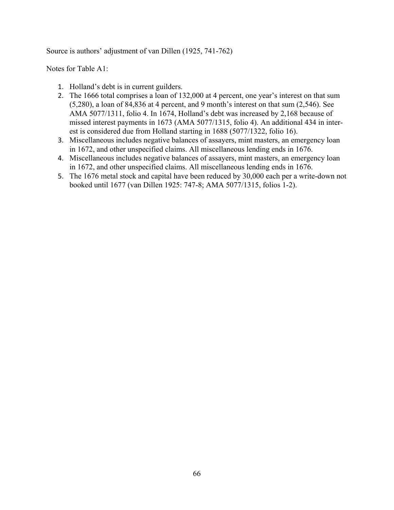Source is authors' adjustment of van Dillen (1925, 741-762)

Notes for Table A1:

- 1. Holland's debt is in current guilders.
- 2. The 1666 total comprises a loan of 132,000 at 4 percent, one year's interest on that sum (5,280), a loan of 84,836 at 4 percent, and 9 month's interest on that sum (2,546). See AMA 5077/1311, folio 4. In 1674, Holland's debt was increased by 2,168 because of missed interest payments in 1673 (AMA 5077/1315, folio 4). An additional 434 in interest is considered due from Holland starting in 1688 (5077/1322, folio 16).
- 3. Miscellaneous includes negative balances of assayers, mint masters, an emergency loan in 1672, and other unspecified claims. All miscellaneous lending ends in 1676.
- 4. Miscellaneous includes negative balances of assayers, mint masters, an emergency loan in 1672, and other unspecified claims. All miscellaneous lending ends in 1676.
- 5. The 1676 metal stock and capital have been reduced by 30,000 each per a write-down not booked until 1677 (van Dillen 1925: 747-8; AMA 5077/1315, folios 1-2).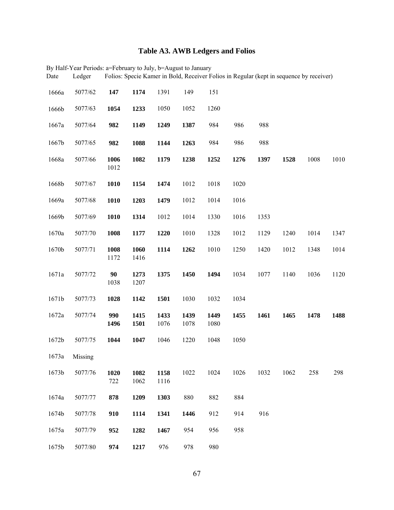# **Table A3. AWB Ledgers and Folios**

By Half-Year Periods: a=February to July, b=August to January<br>Date Ledger Folios: Specie Kamer in Bold, Receiver Fo Date Ledger Folios: Specie Kamer in Bold, Receiver Folios in Regular (kept in sequence by receiver)

|       | 5077/62 | 147          | 1174         | 1391         | 149          | 151          |           |      |      |      |      |
|-------|---------|--------------|--------------|--------------|--------------|--------------|-----------|------|------|------|------|
| 1666a |         |              |              |              |              |              |           |      |      |      |      |
| 1666b | 5077/63 | 1054         | 1233         | 1050         | 1052         | 1260         |           |      |      |      |      |
| 1667a | 5077/64 | 982          | 1149         | 1249         | 1387         | 984          | 986       | 988  |      |      |      |
| 1667b | 5077/65 | 982          | 1088         | 1144         | 1263         | 984          | 986       | 988  |      |      |      |
| 1668a | 5077/66 | 1006<br>1012 | 1082         | 1179         | 1238         | 1252         | 1276      | 1397 | 1528 | 1008 | 1010 |
| 1668b | 5077/67 | 1010         | 1154         | 1474         | 1012         | 1018         | 1020      |      |      |      |      |
| 1669a | 5077/68 | 1010         | 1203         | 1479         | 1012         | 1014         | 1016      |      |      |      |      |
| 1669b | 5077/69 | 1010         | 1314         | 1012         | 1014         | 1330         | 1016      | 1353 |      |      |      |
| 1670a | 5077/70 | 1008         | 1177         | 1220         | 1010         | 1328         | 1012      | 1129 | 1240 | 1014 | 1347 |
| 1670b | 5077/71 | 1008<br>1172 | 1060<br>1416 | 1114         | 1262         | 1010         | 1250      | 1420 | 1012 | 1348 | 1014 |
| 1671a | 5077/72 | 90<br>1038   | 1273<br>1207 | 1375         | 1450         | 1494         | 1034      | 1077 | 1140 | 1036 | 1120 |
| 1671b | 5077/73 | 1028         | 1142         | 1501         | 1030         | 1032         | 1034      |      |      |      |      |
| 1672a | 5077/74 | 990<br>1496  | 1415<br>1501 | 1433<br>1076 | 1439<br>1078 | 1449<br>1080 | 1455      | 1461 | 1465 | 1478 | 1488 |
| 1672b | 5077/75 | 1044         | 1047         | 1046         | 1220         | 1048         | 1050      |      |      |      |      |
| 1673a | Missing |              |              |              |              |              |           |      |      |      |      |
| 1673b | 5077/76 | 1020<br>722  | 1082<br>1062 | 1116         | 1158 1022    |              | 1024 1026 | 1032 | 1062 | 258  | 298  |
| 1674a | 5077/77 | 878          | 1209         | 1303         | 880          | 882          | 884       |      |      |      |      |
| 1674b | 5077/78 | 910          | 1114         | 1341         | 1446         | 912          | 914       | 916  |      |      |      |
| 1675a | 5077/79 | 952          | 1282         | 1467         | 954          | 956          | 958       |      |      |      |      |
| 1675b | 5077/80 | 974          | 1217         | 976          | 978          | 980          |           |      |      |      |      |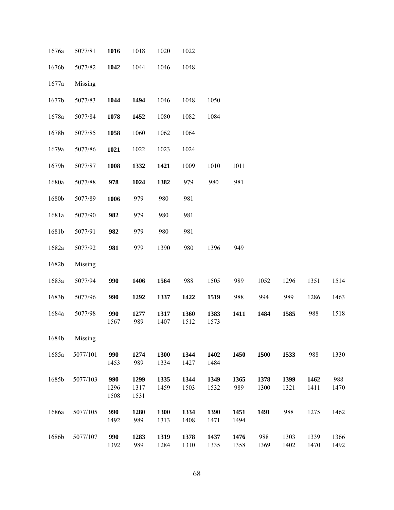| 1676a | 5077/81  | 1016                | 1018                 | 1020         | 1022         |              |              |              |              |              |              |
|-------|----------|---------------------|----------------------|--------------|--------------|--------------|--------------|--------------|--------------|--------------|--------------|
| 1676b | 5077/82  | 1042                | 1044                 | 1046         | 1048         |              |              |              |              |              |              |
| 1677a | Missing  |                     |                      |              |              |              |              |              |              |              |              |
| 1677b | 5077/83  | 1044                | 1494                 | 1046         | 1048         | 1050         |              |              |              |              |              |
| 1678a | 5077/84  | 1078                | 1452                 | 1080         | 1082         | 1084         |              |              |              |              |              |
| 1678b | 5077/85  | 1058                | 1060                 | 1062         | 1064         |              |              |              |              |              |              |
| 1679a | 5077/86  | 1021                | 1022                 | 1023         | 1024         |              |              |              |              |              |              |
| 1679b | 5077/87  | 1008                | 1332                 | 1421         | 1009         | 1010         | 1011         |              |              |              |              |
| 1680a | 5077/88  | 978                 | 1024                 | 1382         | 979          | 980          | 981          |              |              |              |              |
| 1680b | 5077/89  | 1006                | 979                  | 980          | 981          |              |              |              |              |              |              |
| 1681a | 5077/90  | 982                 | 979                  | 980          | 981          |              |              |              |              |              |              |
| 1681b | 5077/91  | 982                 | 979                  | 980          | 981          |              |              |              |              |              |              |
| 1682a | 5077/92  | 981                 | 979                  | 1390         | 980          | 1396         | 949          |              |              |              |              |
| 1682b | Missing  |                     |                      |              |              |              |              |              |              |              |              |
| 1683a | 5077/94  | 990                 | 1406                 | 1564         | 988          | 1505         | 989          | 1052         | 1296         | 1351         | 1514         |
| 1683b | 5077/96  | 990                 | 1292                 | 1337         | 1422         | 1519         | 988          | 994          | 989          | 1286         | 1463         |
| 1684a | 5077/98  | 990<br>1567         | 1277<br>989          | 1317<br>1407 | 1360<br>1512 | 1383<br>1573 | 1411         | 1484         | 1585         | 988          | 1518         |
| 1684b | Missing  |                     |                      |              |              |              |              |              |              |              |              |
| 1685a | 5077/101 | 990<br>1453         | 1274<br>989          | 1300<br>1334 | 1344<br>1427 | 1402<br>1484 | 1450         | 1500         | 1533         | 988          | 1330         |
| 1685b | 5077/103 | 990<br>1296<br>1508 | 1299<br>1317<br>1531 | 1335<br>1459 | 1344<br>1503 | 1349<br>1532 | 1365<br>989  | 1378<br>1300 | 1399<br>1321 | 1462<br>1411 | 988<br>1470  |
| 1686a | 5077/105 | 990<br>1492         | 1280<br>989          | 1300<br>1313 | 1334<br>1408 | 1390<br>1471 | 1451<br>1494 | 1491         | 988          | 1275         | 1462         |
| 1686b | 5077/107 | 990<br>1392         | 1283<br>989          | 1319<br>1284 | 1378<br>1310 | 1437<br>1335 | 1476<br>1358 | 988<br>1369  | 1303<br>1402 | 1339<br>1470 | 1366<br>1492 |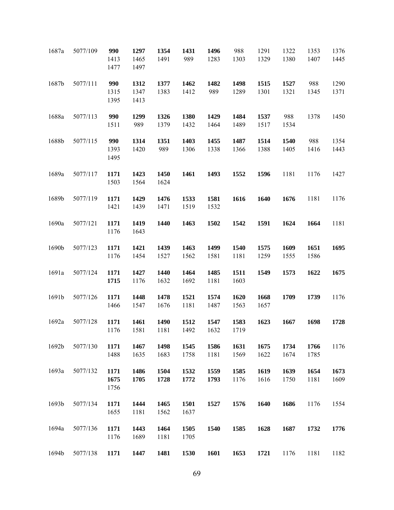| 1687a | 5077/109 | 990<br>1413          | 1297<br>1465 | 1354<br>1491 | 1431<br>989  | 1496<br>1283 | 988<br>1303  | 1291<br>1329 | 1322<br>1380 | 1353<br>1407 | 1376<br>1445 |
|-------|----------|----------------------|--------------|--------------|--------------|--------------|--------------|--------------|--------------|--------------|--------------|
| 1687b | 5077/111 | 1477<br>990          | 1497<br>1312 | 1377         | 1462         | 1482         | 1498         | 1515         | 1527         | 988          | 1290         |
|       |          | 1315<br>1395         | 1347<br>1413 | 1383         | 1412         | 989          | 1289         | 1301         | 1321         | 1345         | 1371         |
| 1688a | 5077/113 | 990<br>1511          | 1299<br>989  | 1326<br>1379 | 1380<br>1432 | 1429<br>1464 | 1484<br>1489 | 1537<br>1517 | 988<br>1534  | 1378         | 1450         |
| 1688b | 5077/115 | 990<br>1393<br>1495  | 1314<br>1420 | 1351<br>989  | 1403<br>1306 | 1455<br>1338 | 1487<br>1366 | 1514<br>1388 | 1540<br>1405 | 988<br>1416  | 1354<br>1443 |
| 1689a | 5077/117 | 1171<br>1503         | 1423<br>1564 | 1450<br>1624 | 1461         | 1493         | 1552         | 1596         | 1181         | 1176         | 1427         |
| 1689b | 5077/119 | 1171<br>1421         | 1429<br>1439 | 1476<br>1471 | 1533<br>1519 | 1581<br>1532 | 1616         | 1640         | 1676         | 1181         | 1176         |
| 1690a | 5077/121 | 1171<br>1176         | 1419<br>1643 | 1440         | 1463         | 1502         | 1542         | 1591         | 1624         | 1664         | 1181         |
| 1690b | 5077/123 | 1171<br>1176         | 1421<br>1454 | 1439<br>1527 | 1463<br>1562 | 1499<br>1581 | 1540<br>1181 | 1575<br>1259 | 1609<br>1555 | 1651<br>1586 | 1695         |
| 1691a | 5077/124 | 1171<br>1715         | 1427<br>1176 | 1440<br>1632 | 1464<br>1692 | 1485<br>1181 | 1511<br>1603 | 1549         | 1573         | 1622         | 1675         |
| 1691b | 5077/126 | 1171<br>1466         | 1448<br>1547 | 1478<br>1676 | 1521<br>1181 | 1574<br>1487 | 1620<br>1563 | 1668<br>1657 | 1709         | 1739         | 1176         |
| 1692a | 5077/128 | 1171<br>1176         | 1461<br>1581 | 1490<br>1181 | 1512<br>1492 | 1547<br>1632 | 1583<br>1719 | 1623         | 1667         | 1698         | 1728         |
| 1692b | 5077/130 | 1171<br>1488         | 1467<br>1635 | 1498<br>1683 | 1545<br>1758 | 1586<br>1181 | 1631<br>1569 | 1675<br>1622 | 1734<br>1674 | 1766<br>1785 | 1176         |
| 1693a | 5077/132 | 1171<br>1675<br>1756 | 1486<br>1705 | 1504<br>1728 | 1532<br>1772 | 1559<br>1793 | 1585<br>1176 | 1619<br>1616 | 1639<br>1750 | 1654<br>1181 | 1673<br>1609 |
| 1693b | 5077/134 | 1171<br>1655         | 1444<br>1181 | 1465<br>1562 | 1501<br>1637 | 1527         | 1576         | 1640         | 1686         | 1176         | 1554         |
| 1694a | 5077/136 | 1171<br>1176         | 1443<br>1689 | 1464<br>1181 | 1505<br>1705 | 1540         | 1585         | 1628         | 1687         | 1732         | 1776         |
| 1694b | 5077/138 | 1171                 | 1447         | 1481         | 1530         | 1601         | 1653         | 1721         | 1176         | 1181         | 1182         |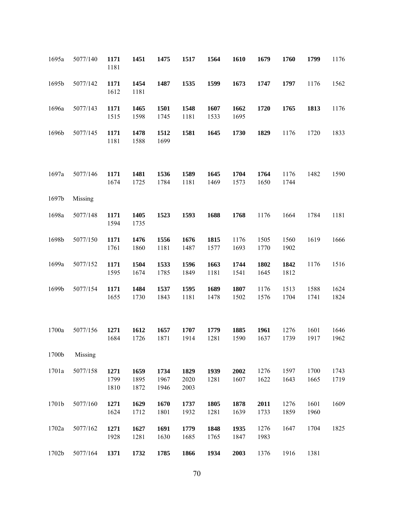| 1695a | 5077/140 | 1171<br>1181         | 1451                 | 1475                 | 1517                 | 1564         | 1610         | 1679         | 1760         | 1799         | 1176         |
|-------|----------|----------------------|----------------------|----------------------|----------------------|--------------|--------------|--------------|--------------|--------------|--------------|
| 1695b | 5077/142 | 1171<br>1612         | 1454<br>1181         | 1487                 | 1535                 | 1599         | 1673         | 1747         | 1797         | 1176         | 1562         |
| 1696a | 5077/143 | 1171<br>1515         | 1465<br>1598         | 1501<br>1745         | 1548<br>1181         | 1607<br>1533 | 1662<br>1695 | 1720         | 1765         | 1813         | 1176         |
| 1696b | 5077/145 | 1171<br>1181         | 1478<br>1588         | 1512<br>1699         | 1581                 | 1645         | 1730         | 1829         | 1176         | 1720         | 1833         |
| 1697a | 5077/146 | 1171<br>1674         | 1481<br>1725         | 1536<br>1784         | 1589<br>1181         | 1645<br>1469 | 1704<br>1573 | 1764<br>1650 | 1176<br>1744 | 1482         | 1590         |
| 1697b | Missing  |                      |                      |                      |                      |              |              |              |              |              |              |
| 1698a | 5077/148 | 1171<br>1594         | 1405<br>1735         | 1523                 | 1593                 | 1688         | 1768         | 1176         | 1664         | 1784         | 1181         |
| 1698b | 5077/150 | 1171<br>1761         | 1476<br>1860         | 1556<br>1181         | 1676<br>1487         | 1815<br>1577 | 1176<br>1693 | 1505<br>1770 | 1560<br>1902 | 1619         | 1666         |
| 1699a | 5077/152 | 1171<br>1595         | 1504<br>1674         | 1533<br>1785         | 1596<br>1849         | 1663<br>1181 | 1744<br>1541 | 1802<br>1645 | 1842<br>1812 | 1176         | 1516         |
| 1699b | 5077/154 | 1171<br>1655         | 1484<br>1730         | 1537<br>1843         | 1595<br>1181         | 1689<br>1478 | 1807<br>1502 | 1176<br>1576 | 1513<br>1704 | 1588<br>1741 | 1624<br>1824 |
| 1700a | 5077/156 | 1271<br>1684         | 1612<br>1726         | 1657<br>1871         | 1707<br>1914         | 1779<br>1281 | 1885<br>1590 | 1961<br>1637 | 1276<br>1739 | 1601<br>1917 | 1646<br>1962 |
| 1700b | Missing  |                      |                      |                      |                      |              |              |              |              |              |              |
| 1701a | 5077/158 | 1271<br>1799<br>1810 | 1659<br>1895<br>1872 | 1734<br>1967<br>1946 | 1829<br>2020<br>2003 | 1939<br>1281 | 2002<br>1607 | 1276<br>1622 | 1597<br>1643 | 1700<br>1665 | 1743<br>1719 |
| 1701b | 5077/160 | 1271<br>1624         | 1629<br>1712         | 1670<br>1801         | 1737<br>1932         | 1805<br>1281 | 1878<br>1639 | 2011<br>1733 | 1276<br>1859 | 1601<br>1960 | 1609         |
| 1702a | 5077/162 | 1271<br>1928         | 1627<br>1281         | 1691<br>1630         | 1779<br>1685         | 1848<br>1765 | 1935<br>1847 | 1276<br>1983 | 1647         | 1704         | 1825         |
| 1702b | 5077/164 | 1371                 | 1732                 | 1785                 | 1866                 | 1934         | 2003         | 1376         | 1916         | 1381         |              |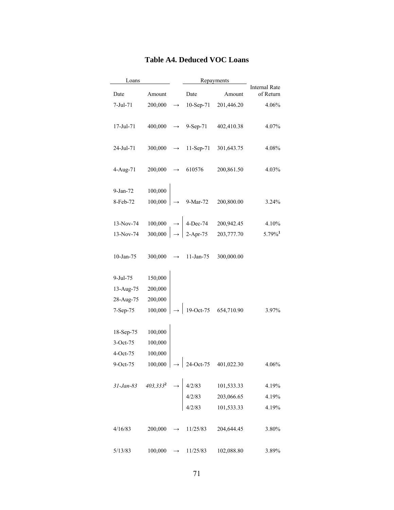| Loans        |         |               |                                                                                                                       | Repayments                                                                                               |                                   |
|--------------|---------|---------------|-----------------------------------------------------------------------------------------------------------------------|----------------------------------------------------------------------------------------------------------|-----------------------------------|
| Date         | Amount  |               | Date                                                                                                                  | Amount                                                                                                   | <b>Internal Rate</b><br>of Return |
| $7-Jul-71$   | 200,000 |               | 10-Sep-71                                                                                                             | 201,446.20                                                                                               | 4.06%                             |
|              |         |               |                                                                                                                       |                                                                                                          |                                   |
| 17-Jul-71    | 400,000 |               | 9-Sep-71                                                                                                              | 402,410.38                                                                                               | 4.07%                             |
|              |         |               |                                                                                                                       |                                                                                                          |                                   |
| 24-Jul-71    | 300,000 |               | 11-Sep-71                                                                                                             | 301,643.75                                                                                               | 4.08%                             |
|              |         |               |                                                                                                                       |                                                                                                          |                                   |
| 4-Aug-71     | 200,000 | →             | 610576                                                                                                                | 200,861.50                                                                                               | 4.03%                             |
|              |         |               |                                                                                                                       |                                                                                                          |                                   |
| 9-Jan-72     | 100,000 |               |                                                                                                                       |                                                                                                          |                                   |
| 8-Feb-72     | 100,000 |               | 9-Mar-72                                                                                                              | 200,800.00                                                                                               | 3.24%                             |
|              |         |               |                                                                                                                       |                                                                                                          |                                   |
| 13-Nov-74    |         |               | $\begin{array}{c c}\n100,000 & \rightarrow & 4\text{-Dec-74} \\ 300,000 & \rightarrow & 2\text{-Apr-75}\n\end{array}$ | 200,942.45                                                                                               | 4.10%                             |
| 13-Nov-74    |         |               |                                                                                                                       | 203,777.70                                                                                               | $5.79\%$ <sup>1</sup>             |
|              |         |               |                                                                                                                       |                                                                                                          |                                   |
| $10$ -Jan-75 | 300,000 | $\rightarrow$ | 11-Jan-75                                                                                                             | 300,000.00                                                                                               |                                   |
|              |         |               |                                                                                                                       |                                                                                                          |                                   |
| 9-Jul-75     | 150,000 |               |                                                                                                                       |                                                                                                          |                                   |
| 13-Aug-75    | 200,000 |               |                                                                                                                       |                                                                                                          |                                   |
| 28-Aug-75    | 200,000 |               |                                                                                                                       |                                                                                                          |                                   |
| 7-Sep-75     | 100,000 |               | 19-Oct-75                                                                                                             | 654,710.90                                                                                               | 3.97%                             |
|              |         |               |                                                                                                                       |                                                                                                          |                                   |
| 18-Sep-75    | 100,000 |               |                                                                                                                       |                                                                                                          |                                   |
| 3-Oct-75     | 100,000 |               |                                                                                                                       |                                                                                                          |                                   |
| 4-Oct-75     | 100,000 |               |                                                                                                                       |                                                                                                          |                                   |
| 9-Oct-75     |         |               |                                                                                                                       | $100,000$ $\rightarrow$ 24-Oct-75 401,022.30                                                             | 4.06%                             |
|              |         |               |                                                                                                                       |                                                                                                          |                                   |
|              |         |               |                                                                                                                       | 31-Jan-83 403,333 <sup>2</sup> $\rightarrow$ 4/2/83 101,533.33<br>4/2/83 203,066.65<br>4/2/83 101,533.33 | 4.19%                             |
|              |         |               |                                                                                                                       |                                                                                                          | 4.19%                             |
|              |         |               |                                                                                                                       |                                                                                                          | 4.19%                             |
|              |         |               |                                                                                                                       |                                                                                                          |                                   |
| 4/16/83      | 200,000 |               | 11/25/83                                                                                                              | 204,644.45                                                                                               | 3.80%                             |
|              |         |               |                                                                                                                       |                                                                                                          |                                   |
| 5/13/83      | 100,000 | $\rightarrow$ | 11/25/83                                                                                                              | 102,088.80                                                                                               | 3.89%                             |

# **Table A4. Deduced VOC Loans**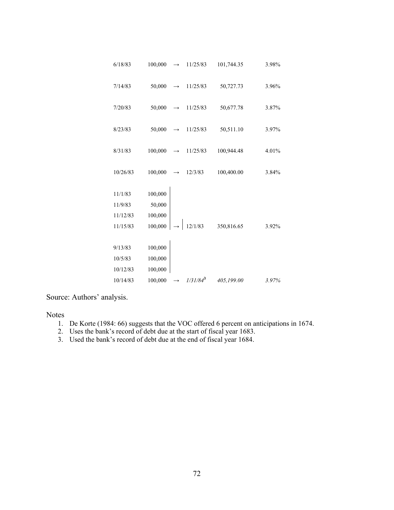| 6/18/83                                    | 100,000                                 | $\rightarrow$ | 11/25/83    | 101,744.35 | 3.98% |
|--------------------------------------------|-----------------------------------------|---------------|-------------|------------|-------|
| 7/14/83                                    | 50,000                                  | $\rightarrow$ | 11/25/83    | 50,727.73  | 3.96% |
| 7/20/83                                    | 50,000                                  | $\rightarrow$ | 11/25/83    | 50,677.78  | 3.87% |
| 8/23/83                                    | 50,000                                  |               | 11/25/83    | 50,511.10  | 3.97% |
| 8/31/83                                    | 100,000                                 |               | 11/25/83    | 100,944.48 | 4.01% |
| 10/26/83                                   | 100,000                                 | $\rightarrow$ | 12/3/83     | 100,400.00 | 3.84% |
| 11/1/83<br>11/9/83<br>11/12/83<br>11/15/83 | 100,000<br>50,000<br>100,000<br>100,000 |               | 12/1/83     | 350,816.65 | 3.92% |
| 9/13/83<br>10/5/83<br>10/12/83             | 100,000<br>100,000<br>100,000           |               |             |            |       |
| 10/14/83                                   | 100,000                                 | $\rightarrow$ | $1/31/84^3$ | 405,199.00 | 3.97% |

Source: Authors' analysis.

Notes

- 1. De Korte (1984: 66) suggests that the VOC offered 6 percent on anticipations in 1674.
- 2. Uses the bank's record of debt due at the start of fiscal year 1683.
- 3. Used the bank's record of debt due at the end of fiscal year 1684.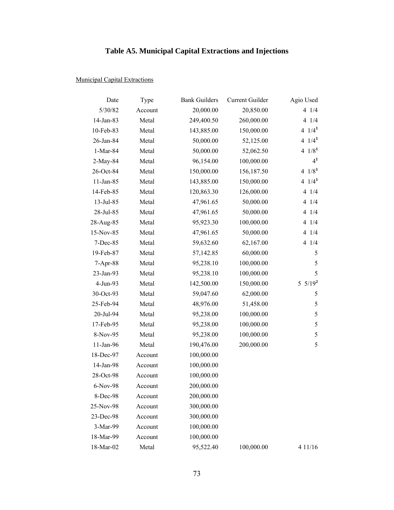# **Table A5. Municipal Capital Extractions and Injections**

# Municipal Capital Extractions

| Date       | Type    | <b>Bank Guilders</b> | Current Guilder | Agio Used                    |
|------------|---------|----------------------|-----------------|------------------------------|
| 5/30/82    | Account | 20,000.00            | 20,850.00       | 41/4                         |
| 14-Jan-83  | Metal   | 249,400.50           | 260,000.00      | 41/4                         |
| 10-Feb-83  | Metal   | 143,885.00           | 150,000.00      | $4 \frac{1}{4}$              |
| 26-Jan-84  | Metal   | 50,000.00            | 52,125.00       | $4 \frac{1}{4}$              |
| 1-Mar-84   | Metal   | 50,000.00            | 52,062.50       | $4 \frac{1}{8}$ <sup>1</sup> |
| 2-May-84   | Metal   | 96,154.00            | 100,000.00      | $4^{1}$                      |
| 26-Oct-84  | Metal   | 150,000.00           | 156,187.50      | 4 $1/8^1$                    |
| 11-Jan-85  | Metal   | 143,885.00           | 150,000.00      | 4 $1/4^1$                    |
| 14-Feb-85  | Metal   | 120,863.30           | 126,000.00      | 41/4                         |
| 13-Jul-85  | Metal   | 47,961.65            | 50,000.00       | 41/4                         |
| 28-Jul-85  | Metal   | 47,961.65            | 50,000.00       | 41/4                         |
| 28-Aug-85  | Metal   | 95,923.30            | 100,000.00      | 41/4                         |
| 15-Nov-85  | Metal   | 47,961.65            | 50,000.00       | 41/4                         |
| 7-Dec-85   | Metal   | 59,632.60            | 62,167.00       | 41/4                         |
| 19-Feb-87  | Metal   | 57,142.85            | 60,000.00       | 5                            |
| $7-Apr-88$ | Metal   | 95,238.10            | 100,000.00      | 5                            |
| 23-Jan-93  | Metal   | 95,238.10            | 100,000.00      | 5                            |
| 4-Jun-93   | Metal   | 142,500.00           | 150,000.00      | $5 \frac{5}{19^2}$           |
| 30-Oct-93  | Metal   | 59,047.60            | 62,000.00       | 5                            |
| 25-Feb-94  | Metal   | 48,976.00            | 51,458.00       | 5                            |
| 20-Jul-94  | Metal   | 95,238.00            | 100,000.00      | 5                            |
| 17-Feb-95  | Metal   | 95,238.00            | 100,000.00      | 5                            |
| 8-Nov-95   | Metal   | 95,238.00            | 100,000.00      | 5                            |
| 11-Jan-96  | Metal   | 190,476.00           | 200,000.00      | 5                            |
| 18-Dec-97  | Account | 100,000.00           |                 |                              |
| 14-Jan-98  | Account | 100,000.00           |                 |                              |
| 28-Oct-98  | Account | 100,000.00           |                 |                              |
| 6-Nov-98   | Account | 200,000.00           |                 |                              |
| 8-Dec-98   | Account | 200,000.00           |                 |                              |
| 25-Nov-98  | Account | 300,000.00           |                 |                              |
| 23-Dec-98  | Account | 300,000.00           |                 |                              |
| 3-Mar-99   | Account | 100,000.00           |                 |                              |
| 18-Mar-99  | Account | 100,000.00           |                 |                              |
| 18-Mar-02  | Metal   | 95,522.40            | 100,000.00      | 4 1 1 / 1 6                  |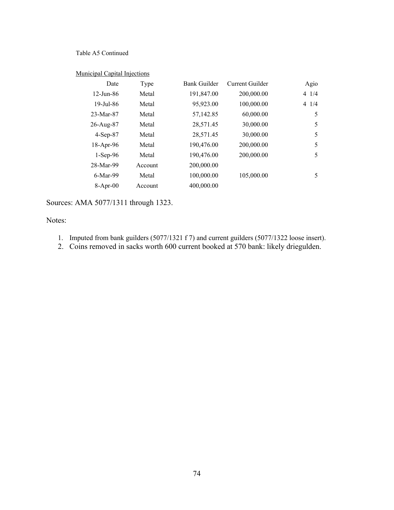#### Table A5 Continued

# Municipal Capital Injections

| Date          | Type    | Bank Guilder | Current Guilder | Agio            |
|---------------|---------|--------------|-----------------|-----------------|
| $12 - Jun-86$ | Metal   | 191,847.00   | 200,000.00      | $4 \frac{1}{4}$ |
| $19$ -Jul-86  | Metal   | 95,923.00    | 100,000.00      | $4 \frac{1}{4}$ |
| 23-Mar-87     | Metal   | 57,142.85    | 60,000.00       | 5               |
| $26 - Aug-87$ | Metal   | 28,571.45    | 30,000.00       | 5               |
| $4-Sep-87$    | Metal   | 28,571.45    | 30,000.00       | 5               |
| 18-Apr-96     | Metal   | 190,476.00   | 200,000.00      | 5               |
| $1-Sep-96$    | Metal   | 190,476.00   | 200,000.00      | 5               |
| 28-Mar-99     | Account | 200,000.00   |                 |                 |
| $6$ -Mar-99   | Metal   | 100,000.00   | 105,000.00      | 5               |
| $8-Apr-00$    | Account | 400,000.00   |                 |                 |

Sources: AMA 5077/1311 through 1323.

## Notes:

- 1. Imputed from bank guilders (5077/1321 f 7) and current guilders (5077/1322 loose insert).
- 2. Coins removed in sacks worth 600 current booked at 570 bank: likely driegulden.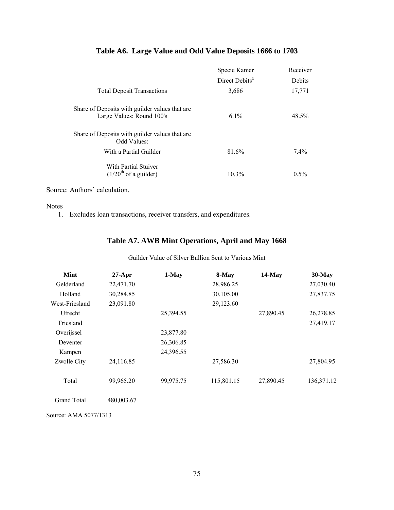|                                                                             | Specie Kamer               | Receiver |
|-----------------------------------------------------------------------------|----------------------------|----------|
|                                                                             | Direct Debits <sup>1</sup> | Debits   |
| <b>Total Deposit Transactions</b>                                           | 3,686                      | 17,771   |
| Share of Deposits with guilder values that are<br>Large Values: Round 100's | $6.1\%$                    | 48.5%    |
| Share of Deposits with guilder values that are<br>Odd Values:               |                            |          |
| With a Partial Guilder                                                      | 81.6%                      | $7.4\%$  |
| With Partial Stuiver<br>$(1/20th$ of a guilder)                             | 10.3%                      | $0.5\%$  |

# **Table A6. Large Value and Odd Value Deposits 1666 to 1703**

Source: Authors' calculation.

#### Notes

1. Excludes loan transactions, receiver transfers, and expenditures.

# **Table A7. AWB Mint Operations, April and May 1668**

Guilder Value of Silver Bullion Sent to Various Mint

| <b>Mint</b>        | $27$ -Apr  | 1-May     | 8-May      | 14-May    | $30$ -May  |
|--------------------|------------|-----------|------------|-----------|------------|
| Gelderland         | 22,471.70  |           | 28,986.25  |           | 27,030.40  |
| Holland            | 30,284.85  |           | 30,105.00  |           | 27,837.75  |
| West-Friesland     | 23,091.80  |           | 29,123.60  |           |            |
| Utrecht            |            | 25,394.55 |            | 27,890.45 | 26,278.85  |
| Friesland          |            |           |            |           | 27,419.17  |
| Overijssel         |            | 23,877.80 |            |           |            |
| Deventer           |            | 26,306.85 |            |           |            |
| Kampen             |            | 24,396.55 |            |           |            |
| Zwolle City        | 24,116.85  |           | 27,586.30  |           | 27,804.95  |
| Total              | 99,965.20  | 99,975.75 | 115,801.15 | 27,890.45 | 136,371.12 |
| <b>Grand Total</b> | 480,003.67 |           |            |           |            |

Source: AMA 5077/1313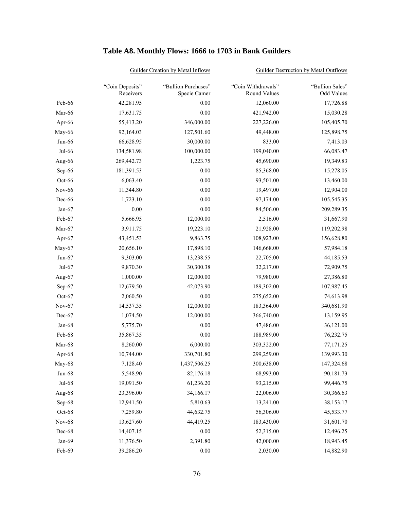|               | Guilder Creation by Metal Inflows |                                     | <b>Guilder Destruction by Metal Outflows</b> |                               |
|---------------|-----------------------------------|-------------------------------------|----------------------------------------------|-------------------------------|
|               | "Coin Deposits"<br>Receivers      | "Bullion Purchases"<br>Specie Camer | "Coin Withdrawals"<br>Round Values           | "Bullion Sales"<br>Odd Values |
| Feb-66        | 42,281.95                         | 0.00                                | 12,060.00                                    | 17,726.88                     |
| Mar-66        | 17,631.75                         | 0.00                                | 421,942.00                                   | 15,030.28                     |
| Apr-66        | 55,413.20                         | 346,000.00                          | 227,226.00                                   | 105,405.70                    |
| May-66        | 92,164.03                         | 127,501.60                          | 49,448.00                                    | 125,898.75                    |
| Jun-66        | 66,628.95                         | 30,000.00                           | 833.00                                       | 7,413.03                      |
| Jul-66        | 134,581.98                        | 100,000.00                          | 199,040.00                                   | 66,083.47                     |
| Aug-66        | 269,442.73                        | 1,223.75                            | 45,690.00                                    | 19,349.83                     |
| Sep-66        | 181,391.53                        | 0.00                                | 85,368.00                                    | 15,278.05                     |
| Oct-66        | 6,063.40                          | 0.00                                | 93,501.00                                    | 13,460.00                     |
| Nov-66        | 11,344.80                         | 0.00                                | 19,497.00                                    | 12,904.00                     |
| Dec-66        | 1,723.10                          | 0.00                                | 97,174.00                                    | 105,545.35                    |
| Jan-67        | 0.00                              | 0.00                                | 84,506.00                                    | 209,289.35                    |
| Feb-67        | 5,666.95                          | 12,000.00                           | 2,516.00                                     | 31,667.90                     |
| Mar-67        | 3,911.75                          | 19,223.10                           | 21,928.00                                    | 119,202.98                    |
| Apr-67        | 43,451.53                         | 9,863.75                            | 108,923.00                                   | 156,628.80                    |
| May-67        | 20,656.10                         | 17,898.10                           | 146,668.00                                   | 57,984.18                     |
| Jun- $67$     | 9,303.00                          | 13,238.55                           | 22,705.00                                    | 44,185.53                     |
| Jul-67        | 9,870.30                          | 30,300.38                           | 32,217.00                                    | 72,909.75                     |
| Aug-67        | 1,000.00                          | 12,000.00                           | 79,980.00                                    | 27,386.80                     |
| Sep-67        | 12,679.50                         | 42,073.90                           | 189,302.00                                   | 107,987.45                    |
| Oct-67        | 2,060.50                          | 0.00                                | 275,652.00                                   | 74,613.98                     |
| $Nov-67$      | 14,537.35                         | 12,000.00                           | 183,364.00                                   | 340,681.90                    |
| Dec-67        | 1,074.50                          | 12,000.00                           | 366,740.00                                   | 13,159.95                     |
| Jan-68        | 5,775.70                          | 0.00                                | 47,486.00                                    | 36,121.00                     |
| Feb-68        | 35,867.35                         | 0.00                                | 188,989.00                                   | 76,232.75                     |
| Mar-68        | 8,260.00                          | 6,000.00                            | 303,322.00                                   | 77,171.25                     |
| Apr-68        | 10,744.00                         | 330,701.80                          | 299,259.00                                   | 139,993.30                    |
| May-68        | 7,128.40                          | 1,437,506.25                        | 300,638.00                                   | 147,324.68                    |
| Jun-68        | 5,548.90                          | 82,176.18                           | 68,993.00                                    | 90,181.73                     |
| Jul-68        | 19,091.50                         | 61,236.20                           | 93,215.00                                    | 99,446.75                     |
| Aug-68        | 23,396.00                         | 34,166.17                           | 22,006.00                                    | 30,366.63                     |
| Sep-68        | 12,941.50                         | 5,810.63                            | 13,241.00                                    | 38,153.17                     |
| Oct-68        | 7,259.80                          | 44,632.75                           | 56,306.00                                    | 45,533.77                     |
| <b>Nov-68</b> | 13,627.60                         | 44,419.25                           | 183,430.00                                   | 31,601.70                     |
| Dec-68        | 14,407.15                         | 0.00                                | 52,315.00                                    | 12,496.25                     |
| Jan-69        | 11,376.50                         | 2,391.80                            | 42,000.00                                    | 18,943.45                     |
| Feb-69        | 39,286.20                         | $0.00\,$                            | 2,030.00                                     | 14,882.90                     |

# **Table A8. Monthly Flows: 1666 to 1703 in Bank Guilders**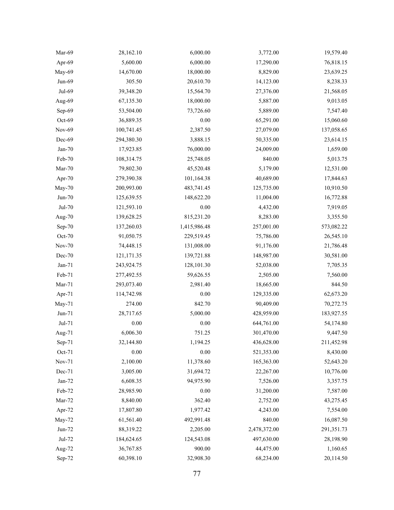| Mar-69   | 28,162.10  | 6,000.00     | 3,772.00     | 19,579.40  |
|----------|------------|--------------|--------------|------------|
| Apr-69   | 5,600.00   | 6,000.00     | 17,290.00    | 76,818.15  |
| May-69   | 14,670.00  | 18,000.00    | 8,829.00     | 23,639.25  |
| Jun-69   | 305.50     | 20,610.70    | 14,123.00    | 8,238.33   |
| Jul-69   | 39,348.20  | 15,564.70    | 27,376.00    | 21,568.05  |
| Aug-69   | 67,135.30  | 18,000.00    | 5,887.00     | 9,013.05   |
| Sep-69   | 53,504.00  | 73,726.60    | 5,889.00     | 7,547.40   |
| Oct-69   | 36,889.35  | 0.00         | 65,291.00    | 15,060.60  |
| Nov-69   | 100,741.45 | 2,387.50     | 27,079.00    | 137,058.65 |
| Dec-69   | 294,380.30 | 3,888.15     | 50,335.00    | 23,614.15  |
| $Jan-70$ | 17,923.85  | 76,000.00    | 24,009.00    | 1,659.00   |
| Feb-70   | 108,314.75 | 25,748.05    | 840.00       | 5,013.75   |
| Mar-70   | 79,802.30  | 45,520.48    | 5,179.00     | 12,531.00  |
| Apr-70   | 279,390.38 | 101,164.38   | 40,689.00    | 17,844.63  |
| May-70   | 200,993.00 | 483,741.45   | 125,735.00   | 10,910.50  |
| $Jun-70$ | 125,639.55 | 148,622.20   | 11,004.00    | 16,772.88  |
| Jul-70   | 121,593.10 | 0.00         | 4,432.00     | 7,919.05   |
| Aug-70   | 139,628.25 | 815,231.20   | 8,283.00     | 3,355.50   |
| Sep-70   | 137,260.03 | 1,415,986.48 | 257,001.00   | 573,082.22 |
| Oct-70   | 91,050.75  | 229,519.45   | 75,786.00    | 26,545.10  |
| Nov-70   | 74,448.15  | 131,008.00   | 91,176.00    | 21,786.48  |
| Dec-70   | 121,171.35 | 139,721.88   | 148,987.00   | 30,581.00  |
| $Jan-71$ | 243,924.75 | 128,101.30   | 52,038.00    | 7,705.35   |
| Feb-71   | 277,492.55 | 59,626.55    | 2,505.00     | 7,560.00   |
| $Mar-71$ | 293,073.40 | 2,981.40     | 18,665.00    | 844.50     |
| Apr-71   | 114,742.98 | 0.00         | 129,335.00   | 62,673.20  |
| May-71   | 274.00     | 842.70       | 90,409.00    | 70,272.75  |
| Jun-71   | 28,717.65  | 5,000.00     | 428,959.00   | 183,927.55 |
| Jul-71   | $0.00\,$   | 0.00         | 644,761.00   | 54,174.80  |
| Aug-71   | 6,006.30   | 751.25       | 301,470.00   | 9,447.50   |
| $Sep-71$ | 32,144.80  | 1,194.25     | 436,628.00   | 211,452.98 |
| Oct-71   | 0.00       | 0.00         | 521,353.00   | 8,430.00   |
| Nov-71   | 2,100.00   | 11,378.60    | 165,363.00   | 52,643.20  |
| Dec-71   | 3,005.00   | 31,694.72    | 22,267.00    | 10,776.00  |
| $Jan-72$ | 6,608.35   | 94,975.90    | 7,526.00     | 3,357.75   |
| Feb-72   | 28,985.90  | 0.00         | 31,200.00    | 7,587.00   |
| Mar-72   | 8,840.00   | 362.40       | 2,752.00     | 43,275.45  |
| Apr-72   | 17,807.80  | 1,977.42     | 4,243.00     | 7,554.00   |
| May-72   | 61,561.40  | 492,991.48   | 840.00       | 16,087.50  |
| Jun-72   | 88,319.22  | 2,205.00     | 2,478,372.00 | 291,351.73 |
| Jul-72   | 184,624.65 | 124,543.08   | 497,630.00   | 28,198.90  |
| Aug-72   | 36,767.85  | 900.00       | 44,475.00    | 1,160.65   |
| Sep-72   | 60,398.10  | 32,908.30    | 68,234.00    | 20,114.50  |
|          |            |              |              |            |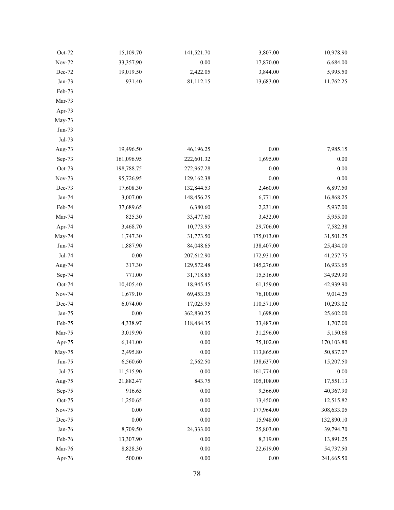| Oct-72      | 15,109.70  | 141,521.70 | 3,807.00   | 10,978.90  |
|-------------|------------|------------|------------|------------|
| Nov-72      | 33,357.90  | 0.00       | 17,870.00  | 6,684.00   |
| Dec-72      | 19,019.50  | 2,422.05   | 3,844.00   | 5,995.50   |
| $Jan-73$    | 931.40     | 81,112.15  | 13,683.00  | 11,762.25  |
| Feb-73      |            |            |            |            |
| Mar-73      |            |            |            |            |
| Apr-73      |            |            |            |            |
| May-73      |            |            |            |            |
| $Jun-73$    |            |            |            |            |
| Jul-73      |            |            |            |            |
| Aug-73      | 19,496.50  | 46,196.25  | 0.00       | 7,985.15   |
| Sep-73      | 161,096.95 | 222,601.32 | 1,695.00   | $0.00\,$   |
| Oct-73      | 198,788.75 | 272,967.28 | 0.00       | $0.00\,$   |
| Nov-73      | 95,726.95  | 129,162.38 | 0.00       | 0.00       |
| Dec-73      | 17,608.30  | 132,844.53 | 2,460.00   | 6,897.50   |
| Jan-74      | 3,007.00   | 148,456.25 | 6,771.00   | 16,868.25  |
| Feb-74      | 37,689.65  | 6,380.60   | 2,231.00   | 5,937.00   |
| Mar-74      | 825.30     | 33,477.60  | 3,432.00   | 5,955.00   |
| Apr-74      | 3,468.70   | 10,773.95  | 29,706.00  | 7,582.38   |
| May-74      | 1,747.30   | 31,773.50  | 175,013.00 | 31,501.25  |
| Jun-74      | 1,887.90   | 84,048.65  | 138,407.00 | 25,434.00  |
| Jul-74      | $0.00\,$   | 207,612.90 | 172,931.00 | 41,257.75  |
| Aug-74      | 317.30     | 129,572.48 | 145,276.00 | 16,933.65  |
| Sep-74      | 771.00     | 31,718.85  | 15,516.00  | 34,929.90  |
| Oct-74      | 10,405.40  | 18,945.45  | 61,159.00  | 42,939.90  |
| Nov-74      | 1,679.10   | 69,453.35  | 76,100.00  | 9,014.25   |
| Dec-74      | 6,074.00   | 17,025.95  | 110,571.00 | 10,293.02  |
| $Jan-75$    | 0.00       | 362,830.25 | 1,698.00   | 25,602.00  |
| Feb-75      | 4,338.97   | 118,484.35 | 33,487.00  | 1,707.00   |
| Mar-75      | 3,019.90   | 0.00       | 31,296.00  | 5,150.68   |
| Apr-75      | 6,141.00   | $0.00\,$   | 75,102.00  | 170,103.80 |
| May-75      | 2,495.80   | $0.00\,$   | 113,865.00 | 50,837.07  |
| $Jun-75$    | 6,560.60   | 2,562.50   | 138,637.00 | 15,207.50  |
| Jul-75      | 11,515.90  | $0.00\,$   | 161,774.00 | $0.00\,$   |
| Aug-75      | 21,882.47  | 843.75     | 105,108.00 | 17,551.13  |
| Sep-75      | 916.65     | 0.00       | 9,366.00   | 40,367.90  |
| Oct-75      | 1,250.65   | $0.00\,$   | 13,450.00  | 12,515.82  |
| Nov-75      | 0.00       | $0.00\,$   | 177,964.00 | 308,633.05 |
| Dec-75      | $0.00\,$   | 0.00       | 15,948.00  | 132,890.10 |
| Jan-76 $\,$ | 8,709.50   | 24,333.00  | 25,803.00  | 39,794.70  |
| Feb-76      | 13,307.90  | $0.00\,$   | 8,319.00   | 13,891.25  |
| Mar-76      | 8,828.30   | $0.00\,$   | 22,619.00  | 54,737.50  |
| Apr-76      | 500.00     | $0.00\,$   | $0.00\,$   | 241,665.50 |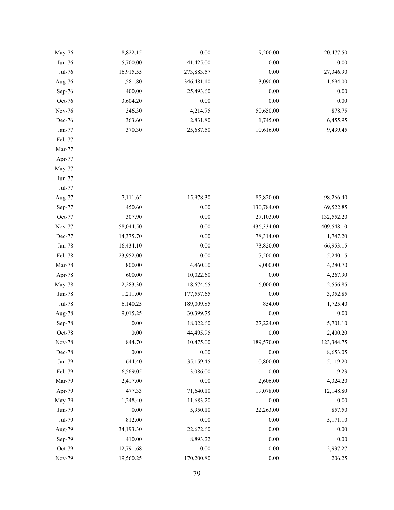| May-76 | 8,822.15  | $0.00\,$   | 9,200.00   | 20,477.50  |
|--------|-----------|------------|------------|------------|
| Jun-76 | 5,700.00  | 41,425.00  | 0.00       | $0.00\,$   |
| Jul-76 | 16,915.55 | 273,883.57 | 0.00       | 27,346.90  |
| Aug-76 | 1,581.80  | 346,481.10 | 3,090.00   | 1,694.00   |
| Sep-76 | 400.00    | 25,493.60  | 0.00       | $0.00\,$   |
| Oct-76 | 3,604.20  | 0.00       | 0.00       | $0.00\,$   |
| Nov-76 | 346.30    | 4,214.75   | 50,650.00  | 878.75     |
| Dec-76 | 363.60    | 2,831.80   | 1,745.00   | 6,455.95   |
| Jan-77 | 370.30    | 25,687.50  | 10,616.00  | 9,439.45   |
| Feb-77 |           |            |            |            |
| Mar-77 |           |            |            |            |
| Apr-77 |           |            |            |            |
| May-77 |           |            |            |            |
| Jun-77 |           |            |            |            |
| Jul-77 |           |            |            |            |
| Aug-77 | 7,111.65  | 15,978.30  | 85,820.00  | 98,266.40  |
| Sep-77 | 450.60    | $0.00\,$   | 130,784.00 | 69,522.85  |
| Oct-77 | 307.90    | 0.00       | 27,103.00  | 132,552.20 |
| Nov-77 | 58,044.50 | $0.00\,$   | 436,334.00 | 409,548.10 |
| Dec-77 | 14,375.70 | 0.00       | 78,314.00  | 1,747.20   |
| Jan-78 | 16,434.10 | 0.00       | 73,820.00  | 66,953.15  |
| Feb-78 | 23,952.00 | 0.00       | 7,500.00   | 5,240.15   |
| Mar-78 | 800.00    | 4,460.00   | 9,000.00   | 4,280.70   |
| Apr-78 | 600.00    | 10,022.60  | 0.00       | 4,267.90   |
| May-78 | 2,283.30  | 18,674.65  | 6,000.00   | 2,556.85   |
| Jun-78 | 1,211.00  | 177,557.65 | 0.00       | 3,352.85   |
| Jul-78 | 6,140.25  | 189,009.85 | 854.00     | 1,725.40   |
| Aug-78 | 9,015.25  | 30,399.75  | 0.00       | $0.00\,$   |
| Sep-78 | $0.00\,$  | 18,022.60  | 27,224.00  | 5,701.10   |
| Oct-78 | 0.00      | 44,495.95  | 0.00       | 2,400.20   |
| Nov-78 | 844.70    | 10,475.00  | 189,570.00 | 123,344.75 |
| Dec-78 | 0.00      | 0.00       | 0.00       | 8,653.05   |
| Jan-79 | 644.40    | 35,159.45  | 10,800.00  | 5,119.20   |
| Feb-79 | 6,569.05  | 3,086.00   | 0.00       | 9.23       |
| Mar-79 | 2,417.00  | $0.00\,$   | 2,606.00   | 4,324.20   |
| Apr-79 | 477.33    | 71,640.10  | 19,078.00  | 12,148.80  |
| May-79 | 1,248.40  | 11,683.20  | 0.00       | 0.00       |
| Jun-79 | 0.00      | 5,950.10   | 22,263.00  | 857.50     |
| Jul-79 | 812.00    | $0.00\,$   | 0.00       | 5,171.10   |
| Aug-79 | 34,193.30 | 22,672.60  | 0.00       | $0.00\,$   |
| Sep-79 | 410.00    | 8,893.22   | 0.00       | $0.00\,$   |
| Oct-79 | 12,791.68 | $0.00\,$   | 0.00       | 2,937.27   |
| Nov-79 | 19,560.25 | 170,200.80 | 0.00       | 206.25     |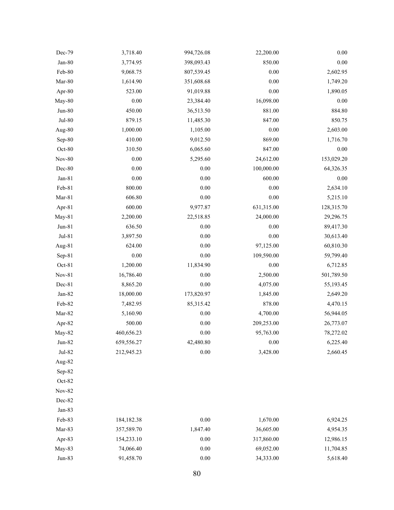| Dec-79              | 3,718.40     | 994,726.08 | 22,200.00  | $0.00\,$   |
|---------------------|--------------|------------|------------|------------|
| $Jan-80$            | 3,774.95     | 398,093.43 | 850.00     | $0.00\,$   |
| Feb-80              | 9,068.75     | 807,539.45 | 0.00       | 2,602.95   |
| Mar-80              | 1,614.90     | 351,608.68 | 0.00       | 1,749.20   |
| Apr-80              | 523.00       | 91,019.88  | 0.00       | 1,890.05   |
| May-80              | 0.00         | 23,384.40  | 16,098.00  | 0.00       |
| $Jun-80$            | 450.00       | 36,513.50  | 881.00     | 884.80     |
| $Jul-80$            | 879.15       | 11,485.30  | 847.00     | 850.75     |
| Aug-80              | 1,000.00     | 1,105.00   | 0.00       | 2,603.00   |
| Sep-80              | 410.00       | 9,012.50   | 869.00     | 1,716.70   |
| Oct-80              | 310.50       | 6,065.60   | 847.00     | $0.00\,$   |
| <b>Nov-80</b>       | 0.00         | 5,295.60   | 24,612.00  | 153,029.20 |
| Dec-80              | 0.00         | 0.00       | 100,000.00 | 64,326.35  |
| $Jan-81$            | $0.00\,$     | 0.00       | 600.00     | $0.00\,$   |
| Feb-81              | 800.00       | $0.00\,$   | 0.00       | 2,634.10   |
| $\rm Mar\text{-}81$ | 606.80       | 0.00       | 0.00       | 5,215.10   |
| Apr-81              | 600.00       | 9,977.87   | 631,315.00 | 128,315.70 |
| May-81              | 2,200.00     | 22,518.85  | 24,000.00  | 29,296.75  |
| $Jun-81$            | 636.50       | $0.00\,$   | 0.00       | 89,417.30  |
| Jul-81              | 3,897.50     | 0.00       | 0.00       | 30,613.40  |
| Aug-81              | 624.00       | $0.00\,$   | 97,125.00  | 60,810.30  |
| Sep-81              | 0.00         | 0.00       | 109,590.00 | 59,799.40  |
| Oct-81 $\,$         | 1,200.00     | 11,834.90  | $0.00\,$   | 6,712.85   |
| $\mbox{Nov-}81$     | 16,786.40    | 0.00       | 2,500.00   | 501,789.50 |
| Dec-81              | 8,865.20     | $0.00\,$   | 4,075.00   | 55,193.45  |
| Jan-82              | 18,000.00    | 173,820.97 | 1,845.00   | 2,649.20   |
| Feb-82              | 7,482.95     | 85,315.42  | 878.00     | 4,470.15   |
| Mar-82              | 5,160.90     | $0.00\,$   | 4,700.00   | 56,944.05  |
| Apr-82              | 500.00       | $0.00\,$   | 209,253.00 | 26,773.07  |
| May-82              | 460,656.23   | $0.00\,$   | 95,763.00  | 78,272.02  |
| Jun-82              | 659,556.27   | 42,480.80  | $0.00\,$   | 6,225.40   |
| $Jul-82$            | 212,945.23   | $0.00\,$   | 3,428.00   | 2,660.45   |
| Aug-82              |              |            |            |            |
| Sep-82              |              |            |            |            |
| Oct-82              |              |            |            |            |
| <b>Nov-82</b>       |              |            |            |            |
| $Dec-82$            |              |            |            |            |
| Jan-83              |              |            |            |            |
| Feb-83              | 184, 182. 38 | 0.00       | 1,670.00   | 6,924.25   |
| Mar-83              | 357,589.70   | 1,847.40   | 36,605.00  | 4,954.35   |
| Apr-83              | 154,233.10   | 0.00       | 317,860.00 | 12,986.15  |
| May-83              | 74,066.40    | $0.00\,$   | 69,052.00  | 11,704.85  |
| Jun-83              | 91,458.70    | $0.00\,$   | 34,333.00  | 5,618.40   |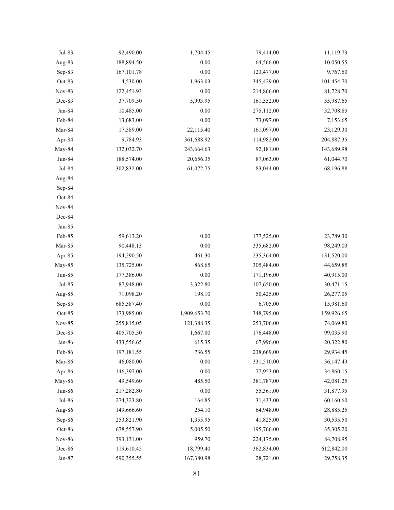| Jul-83        | 92,490.00   | 1,704.45     | 79,414.00  | 11,119.73  |
|---------------|-------------|--------------|------------|------------|
| Aug-83        | 188,894.50  | 0.00         | 64,566.00  | 10,050.55  |
| Sep-83        | 167, 101.78 | 0.00         | 123,477.00 | 9,767.60   |
| Oct-83        | 4,530.00    | 1,963.03     | 345,429.00 | 101,454.70 |
| Nov-83        | 122,451.93  | $0.00\,$     | 214,866.00 | 81,728.70  |
| Dec-83        | 37,709.50   | 5,993.95     | 161,552.00 | 55,987.65  |
| Jan-84        | 10,485.00   | $0.00\,$     | 275,112.00 | 32,708.85  |
| Feb-84        | 13,683.00   | 0.00         | 73,097.00  | 7,153.65   |
| Mar-84        | 17,589.00   | 22,115.40    | 161,097.00 | 23,129.30  |
| Apr-84        | 9,784.93    | 361,688.92   | 114,982.00 | 204,887.35 |
| May-84        | 132,032.70  | 243,664.63   | 92,181.00  | 143,689.98 |
| Jun-84        | 188,574.00  | 20,656.35    | 87,063.00  | 61,044.70  |
| Jul-84        | 302,832.00  | 61,072.75    | 83,044.00  | 68,196.88  |
| Aug-84        |             |              |            |            |
| Sep-84        |             |              |            |            |
| Oct-84        |             |              |            |            |
| <b>Nov-84</b> |             |              |            |            |
| Dec-84        |             |              |            |            |
| $Jan-85$      |             |              |            |            |
| Feb-85        | 59,613.20   | 0.00         | 177,525.00 | 23,789.30  |
| Mar-85        | 90,448.13   | $0.00\,$     | 335,682.00 | 98,249.03  |
| Apr-85        | 194,290.50  | 461.30       | 235,364.00 | 131,520.00 |
| May-85        | 135,725.00  | 868.65       | 305,484.00 | 44,659.85  |
| $Jun-85$      | 177,386.00  | 0.00         | 171,196.00 | 40,915.00  |
| $Jul-85$      | 87,948.00   | 3,322.80     | 107,650.00 | 30,471.15  |
| Aug-85        | 71,098.20   | 198.10       | 50,425.00  | 26,277.05  |
| Sep-85        | 685,587.40  | $0.00\,$     | 6,705.00   | 15,981.60  |
| Oct-85        | 173,985.00  | 1,909,653.70 | 348,795.00 | 159,926.65 |
| Nov-85        | 255,815.05  | 121,388.35   | 253,706.00 | 74,069.80  |
| Dec-85        | 405,705.50  | 1,667.00     | 176,448.00 | 99,035.90  |
| Jan-86        | 433,556.65  | 615.35       | 67,996.00  | 20,322.80  |
| Feb-86        | 197,181.55  | 736.55       | 238,669.00 | 29,934.45  |
| Mar-86        | 46,080.00   | 0.00         | 331,510.00 | 36,147.43  |
| Apr-86        | 146,397.00  | $0.00\,$     | 77,953.00  | 34,860.15  |
| May-86        | 49,549.60   | 485.50       | 381,787.00 | 42,081.25  |
| Jun-86        | 217,282.80  | 0.00         | 55,361.00  | 31,877.95  |
| Jul-86        | 274,323.80  | 164.85       | 31,433.00  | 60,160.60  |
| Aug-86        | 149,666.60  | 254.10       | 64,948.00  | 28,885.25  |
| Sep-86        | 253,821.90  | 1,355.95     | 41,825.00  | 30,535.50  |
| Oct-86        | 678,557.90  | 5,005.50     | 195,766.00 | 35,305.20  |
| <b>Nov-86</b> | 393,131.00  | 959.70       | 224,175.00 | 84,708.95  |
| Dec-86        | 119,610.45  | 18,799.40    | 362,834.00 | 612,842.00 |
| $Jan-87$      | 590,355.55  | 167,380.98   | 28,721.00  | 29,758.35  |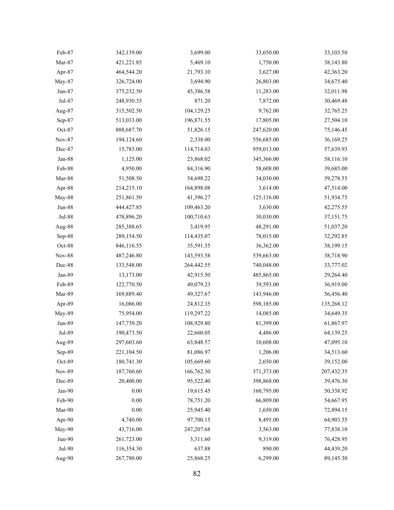| Feb-87        | 342,139.00 | 3,699.00   | 33,650.00  | 33,103.50  |
|---------------|------------|------------|------------|------------|
| Mar-87        | 421,221.85 | 5,469.10   | 1,750.00   | 38,143.80  |
| Apr-87        | 464,544.20 | 21,793.10  | 3,627.00   | 42,363.20  |
| May-87        | 326,724.00 | 3,694.90   | 26,803.00  | 34,675.40  |
| Jun-87        | 375,232.50 | 45,386.58  | 11,283.00  | 32,011.98  |
| Jul-87        | 248,930.35 | 871.20     | 7,872.00   | 30,469.48  |
| Aug-87        | 315,502.50 | 104,129.25 | 9,762.00   | 32,765.25  |
| Sep-87        | 513,033.00 | 196,871.55 | 17,805.00  | 27,504.10  |
| Oct-87        | 888,687.70 | 51,826.15  | 247,620.00 | 75,146.45  |
| Nov-87        | 194,124.60 | 2,338.00   | 556,685.00 | 36,169.25  |
| Dec-87        | 15,783.00  | 114,714.03 | 959,013.00 | 57,639.93  |
| Jan-88        | 1,125.00   | 23,868.02  | 345,366.00 | 58,116.10  |
| Feb-88        | 4,950.00   | 84,316.90  | 58,608.00  | 39,685.00  |
| Mar-88        | 51,508.50  | 54,698.22  | 34,030.00  | 59,278.55  |
| Apr-88        | 214,215.10 | 164,898.08 | 3,614.00   | 47,514.00  |
| May-88        | 251,861.50 | 41,396.27  | 125,116.00 | 51,934.75  |
| <b>Jun-88</b> | 444,427.85 | 109,463.20 | 3,630.00   | 42,275.55  |
| Jul-88        | 478,896.20 | 100,710.63 | 30,030.00  | 37,151.75  |
| Aug-88        | 285,388.65 | 3,419.95   | 48,291.00  | 51,037.20  |
| Sep-88        | 289,154.50 | 114,435.07 | 78,015.00  | 32,292.85  |
| Oct-88        | 846,116.55 | 35,591.55  | 36,362.00  | 38,199.15  |
| <b>Nov-88</b> | 487,246.80 | 143,593.58 | 539,663.00 | 38,718.90  |
| Dec-88        | 133,548.00 | 264,442.55 | 740,048.00 | 33,777.02  |
| Jan-89        | 13,173.00  | 42,915.50  | 485,865.00 | 29,264.40  |
| Feb-89        | 122,770.50 | 49,079.23  | 39,593.00  | 36,919.00  |
| Mar-89        | 169,889.40 | 49,327.67  | 143,946.00 | 56,456.40  |
| Apr-89        | 16,086.00  | 24,812.35  | 598,185.00 | 135,268.12 |
| May-89        | 75,954.00  | 119,297.22 | 14,085.00  | 34,649.35  |
| Jun-89        | 147,739.20 | 108,929.80 | 81,399.00  | 61,867.97  |
| Jul-89        | 190,473.50 | 22,660.05  | 4,486.00   | 64,139.25  |
| Aug-89        | 297,603.60 | 63,848.57  | 10,608.00  | 47,095.10  |
| Sep-89        | 221,104.50 | 81,086.97  | 1,206.00   | 34,513.60  |
| Oct-89        | 180,741.30 | 105,669.60 | 2,650.00   | 39,152.00  |
| <b>Nov-89</b> | 187,760.60 | 166,762.30 | 371,373.00 | 207,432.35 |
| Dec-89        | 20,400.00  | 95,522.40  | 398,868.00 | 39,476.30  |
| Jan-90        | $0.00\,$   | 19,615.45  | 160,795.00 | 50,338.92  |
| Feb-90        | $0.00\,$   | 78,751.20  | 66,809.00  | 54,667.95  |
| Mar-90        | $0.00\,$   | 25,945.40  | 1,650.00   | 72,894.15  |
| Apr-90        | 4,740.00   | 97,700.15  | 8,495.00   | 64,903.55  |
| May-90        | 43,716.00  | 247,207.68 | 3,563.00   | 77,838.10  |
| $Jun-90$      | 261,723.00 | 3,311.60   | 9,319.00   | 76,428.95  |
| Jul-90        | 116,354.30 | 637.88     | 890.00     | 44,439.20  |
| Aug-90        | 267,780.00 | 25,868.25  | 6,299.00   | 89,145.30  |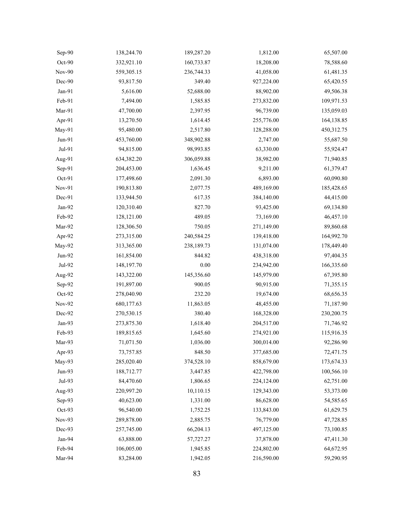| Sep-90        | 138,244.70 | 189,287.20 | 1,812.00   | 65,507.00  |
|---------------|------------|------------|------------|------------|
| Oct-90        | 332,921.10 | 160,733.87 | 18,208.00  | 78,588.60  |
| <b>Nov-90</b> | 559,305.15 | 236,744.33 | 41,058.00  | 61,481.35  |
| Dec-90        | 93,817.50  | 349.40     | 927,224.00 | 65,420.55  |
| Jan-91        | 5,616.00   | 52,688.00  | 88,902.00  | 49,506.38  |
| Feb-91        | 7,494.00   | 1,585.85   | 273,832.00 | 109,971.53 |
| Mar-91        | 47,700.00  | 2,397.95   | 96,739.00  | 135,059.03 |
| Apr-91        | 13,270.50  | 1,614.45   | 255,776.00 | 164,138.85 |
| May-91        | 95,480.00  | 2,517.80   | 128,288.00 | 450,312.75 |
| Jun-91        | 453,760.00 | 348,902.88 | 2,747.00   | 55,687.50  |
| Jul-91        | 94,815.00  | 98,993.85  | 63,330.00  | 55,924.47  |
| Aug-91        | 634,382.20 | 306,059.88 | 38,982.00  | 71,940.85  |
| Sep-91        | 204,453.00 | 1,636.45   | 9,211.00   | 61,379.47  |
| Oct-91        | 177,498.60 | 2,091.30   | 6,893.00   | 60,090.80  |
| Nov-91        | 190,813.80 | 2,077.75   | 489,169.00 | 185,428.65 |
| Dec-91        | 133,944.50 | 617.35     | 384,140.00 | 44,415.00  |
| Jan-92        | 120,310.40 | 827.70     | 93,425.00  | 69,134.80  |
| Feb-92        | 128,121.00 | 489.05     | 73,169.00  | 46,457.10  |
| Mar-92        | 128,306.50 | 750.05     | 271,149.00 | 89,860.68  |
| Apr-92        | 273,315.00 | 240,584.25 | 139,418.00 | 164,992.70 |
| May-92        | 313,365.00 | 238,189.73 | 131,074.00 | 178,449.40 |
| Jun-92        | 161,854.00 | 844.82     | 438,318.00 | 97,404.35  |
| $Jul-92$      | 148,197.70 | $0.00\,$   | 234,942.00 | 166,335.60 |
| Aug-92        | 143,322.00 | 145,356.60 | 145,979.00 | 67,395.80  |
| Sep-92        | 191,897.00 | 900.05     | 90,915.00  | 71,355.15  |
| Oct-92        | 278,040.90 | 232.20     | 19,674.00  | 68,656.35  |
| <b>Nov-92</b> | 680,177.63 | 11,863.05  | 48,455.00  | 71,187.90  |
| Dec-92        | 270,530.15 | 380.40     | 168,328.00 | 230,200.75 |
| Jan-93        | 273,875.30 | 1,618.40   | 204,517.00 | 71,746.92  |
| Feb-93        | 189,815.65 | 1,645.60   | 274,921.00 | 115,916.35 |
| Mar-93        | 71,071.50  | 1,036.00   | 300,014.00 | 92,286.90  |
| Apr-93        | 73,757.85  | 848.50     | 377,685.00 | 72,471.75  |
| May-93        | 285,020.40 | 374,528.10 | 858,679.00 | 173,674.33 |
| Jun-93        | 188,712.77 | 3,447.85   | 422,798.00 | 100,566.10 |
| Jul-93        | 84,470.60  | 1,806.65   | 224,124.00 | 62,751.00  |
| Aug-93        | 220,997.20 | 10,110.15  | 129,343.00 | 53,373.00  |
| Sep-93        | 40,623.00  | 1,331.00   | 86,628.00  | 54,585.65  |
| Oct-93        | 96,540.00  | 1,752.25   | 133,843.00 | 61,629.75  |
| Nov-93        | 289,878.00 | 2,885.75   | 76,779.00  | 47,728.85  |
| Dec-93        | 257,745.00 | 66,204.13  | 497,125.00 | 73,100.85  |
| Jan-94        | 63,888.00  | 57,727.27  | 37,878.00  | 47,411.30  |
| Feb-94        | 106,005.00 | 1,945.85   | 224,802.00 | 64,672.95  |
| Mar-94        | 83,284.00  | 1,942.05   | 216,590.00 | 59,290.95  |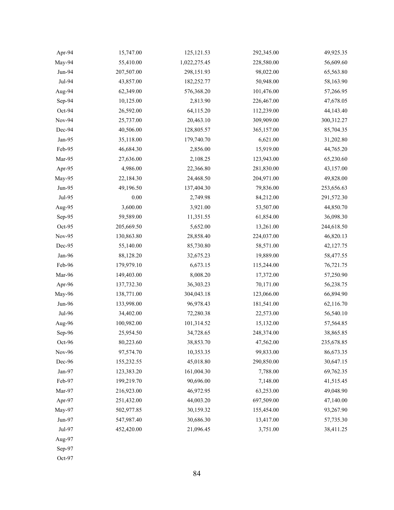| Apr-94        | 15,747.00  | 125, 121.53  | 292,345.00 | 49,925.35  |
|---------------|------------|--------------|------------|------------|
| May-94        | 55,410.00  | 1,022,275.45 | 228,580.00 | 56,609.60  |
| Jun-94        | 207,507.00 | 298,151.93   | 98,022.00  | 65,563.80  |
| Jul-94        | 43,857.00  | 182,252.77   | 50,948.00  | 58,163.90  |
| Aug-94        | 62,349.00  | 576,368.20   | 101,476.00 | 57,266.95  |
| Sep-94        | 10,125.00  | 2,813.90     | 226,467.00 | 47,678.05  |
| Oct-94        | 26,592.00  | 64,115.20    | 112,239.00 | 44,143.40  |
| <b>Nov-94</b> | 25,737.00  | 20,463.10    | 309,909.00 | 300,312.27 |
| Dec-94        | 40,506.00  | 128,805.57   | 365,157.00 | 85,704.35  |
| Jan-95        | 35,118.00  | 179,740.70   | 6,621.00   | 31,202.80  |
| Feb-95        | 46,684.30  | 2,856.00     | 15,919.00  | 44,765.20  |
| Mar-95        | 27,636.00  | 2,108.25     | 123,943.00 | 65,230.60  |
| Apr-95        | 4,986.00   | 22,366.80    | 281,830.00 | 43,157.00  |
| May-95        | 22,184.30  | 24,468.50    | 204,971.00 | 49,828.00  |
| Jun-95        | 49,196.50  | 137,404.30   | 79,836.00  | 253,656.63 |
| Jul-95        | $0.00\,$   | 2,749.98     | 84,212.00  | 291,572.30 |
| Aug-95        | 3,600.00   | 3,921.00     | 53,507.00  | 44,850.70  |
| Sep-95        | 59,589.00  | 11,351.55    | 61,854.00  | 36,098.30  |
| Oct-95        | 205,669.50 | 5,652.00     | 13,261.00  | 244,618.50 |
| Nov-95        | 130,863.80 | 28,858.40    | 224,037.00 | 46,820.13  |
| Dec-95        | 55,140.00  | 85,730.80    | 58,571.00  | 42,127.75  |
| Jan-96        | 88,128.20  | 32,675.23    | 19,889.00  | 58,477.55  |
| Feb-96        | 179,979.10 | 6,673.15     | 115,244.00 | 76,721.75  |
| Mar-96        | 149,403.00 | 8,008.20     | 17,372.00  | 57,250.90  |
| Apr-96        | 137,732.30 | 36,303.23    | 70,171.00  | 56,238.75  |
| May-96        | 138,771.00 | 304,043.18   | 123,066.00 | 66,894.90  |
| Jun-96        | 133,998.00 | 96,978.43    | 181,541.00 | 62,116.70  |
| Jul-96        | 34,402.00  | 72,280.38    | 22,573.00  | 56,540.10  |
| Aug-96        | 100,982.00 | 101,314.52   | 15,132.00  | 57,564.85  |
| Sep-96        | 25,954.50  | 34,728.65    | 248,374.00 | 38,865.85  |
| Oct-96        | 80,223.60  | 38,853.70    | 47,562.00  | 235,678.85 |
| <b>Nov-96</b> | 97,574.70  | 10,353.35    | 99,833.00  | 86,673.35  |
| Dec-96        | 155,232.55 | 45,018.80    | 290,850.00 | 30,647.15  |
| Jan-97        | 123,383.20 | 161,004.30   | 7,788.00   | 69,762.35  |
| Feb-97        | 199,219.70 | 90,696.00    | 7,148.00   | 41,515.45  |
| Mar-97        | 216,923.00 | 46,972.95    | 63,253.00  | 49,048.90  |
| Apr-97        | 251,432.00 | 44,003.20    | 697,509.00 | 47,140.00  |
| May-97        | 502,977.85 | 30,159.32    | 155,454.00 | 93,267.90  |
| Jun-97        | 547,987.40 | 30,686.30    | 13,417.00  | 57,735.30  |
| Jul-97        | 452,420.00 | 21,096.45    | 3,751.00   | 38,411.25  |
| Aug-97        |            |              |            |            |
| Sep-97        |            |              |            |            |
| Oct-97        |            |              |            |            |

84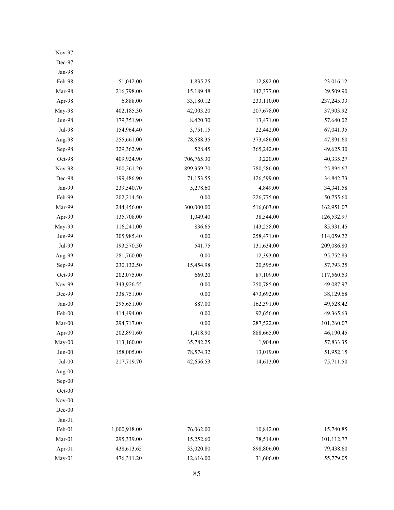| Dec-97              |              |            |            |              |
|---------------------|--------------|------------|------------|--------------|
| Jan-98 $\,$         |              |            |            |              |
| Feb-98              | 51,042.00    | 1,835.25   | 12,892.00  | 23,016.12    |
| Mar-98              | 216,798.00   | 15,189.48  | 142,377.00 | 29,509.90    |
| Apr-98              | 6,888.00     | 33,180.12  | 233,110.00 | 237, 245. 33 |
| May-98              | 402,185.30   | 42,003.20  | 207,678.00 | 37,903.92    |
| Jun-98              | 179,351.90   | 8,420.30   | 13,471.00  | 57,640.02    |
| Jul-98              | 154,964.40   | 3,751.15   | 22,442.00  | 67,041.35    |
| Aug-98              | 255,661.00   | 78,688.35  | 373,486.00 | 47,891.60    |
| Sep-98              | 329,362.90   | 528.45     | 365,242.00 | 49,625.30    |
| Oct-98              | 409,924.90   | 706,765.30 | 3,220.00   | 40,335.27    |
| <b>Nov-98</b>       | 300,261.20   | 899,359.70 | 780,586.00 | 25,894.67    |
| Dec-98              | 199,486.90   | 71,153.55  | 426,599.00 | 34,842.73    |
| Jan-99              | 239,540.70   | 5,278.60   | 4,849.00   | 34,341.58    |
| Feb-99              | 202,214.50   | 0.00       | 226,775.00 | 50,755.60    |
| Mar-99              | 244,456.00   | 300,000.00 | 516,603.00 | 162,951.07   |
| Apr-99              | 135,708.00   | 1,049.40   | 38,544.00  | 126,532.97   |
| May-99              | 116,241.00   | 836.65     | 143,258.00 | 85,931.45    |
| Jun-99              | 305,985.40   | 0.00       | 258,471.00 | 114,059.22   |
| Jul-99              | 193,570.50   | 541.75     | 131,634.00 | 209,086.80   |
| Aug-99              | 281,760.00   | 0.00       | 12,393.00  | 95,752.83    |
| Sep-99              | 230,132.50   | 15,454.98  | 20,595.00  | 57,793.25    |
| Oct-99              | 202,075.00   | 669.20     | 87,109.00  | 117,560.53   |
| Nov-99              | 343,926.55   | 0.00       | 250,785.00 | 49,087.97    |
| Dec-99              | 338,751.00   | 0.00       | 473,692.00 | 38,129.68    |
| $\rm Jan\text{-}00$ | 295,651.00   | 887.00     | 162,391.00 | 49,528.42    |
| Feb-00              | 414,494.00   | $0.00\,$   | 92,656.00  | 49,365.63    |
| Mar-00              | 294,717.00   | $0.00\,$   | 287,522.00 | 101,260.07   |
| Apr-00              | 202,891.60   | 1,418.90   | 888,665.00 | 46,190.45    |
| May-00              | 113,160.00   | 35,782.25  | 1,904.00   | 57,833.35    |
| $Jun-00$            | 158,005.00   | 78,574.32  | 13,019.00  | 51,952.15    |
| $Jul-00$            | 217,719.70   | 42,656.53  | 14,613.00  | 75,711.50    |
| Aug-00              |              |            |            |              |
| Sep-00              |              |            |            |              |
| $Oct-00$            |              |            |            |              |
| $Nov-00$            |              |            |            |              |
| Dec-00              |              |            |            |              |
| $Jan-01$            |              |            |            |              |
| Feb-01              | 1,000,918.00 | 76,062.00  | 10,842.00  | 15,740.85    |
| $Mar-01$            | 295,339.00   | 15,252.60  | 78,514.00  | 101,112.77   |
| Apr-01              | 438,613.65   | 33,020.80  | 898,806.00 | 79,438.60    |
| May-01              | 476,311.20   | 12,616.00  | 31,606.00  | 55,779.05    |

Nov-97

85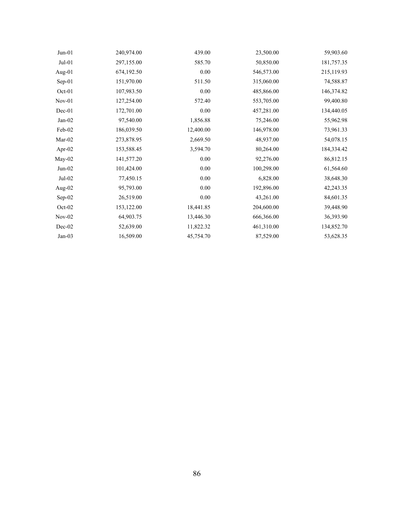| $Jun-01$ | 240,974.00 | 439.00    | 23,500.00  | 59,903.60  |
|----------|------------|-----------|------------|------------|
| $Jul-01$ | 297,155.00 | 585.70    | 50,850.00  | 181,757.35 |
| Aug-01   | 674,192.50 | 0.00      | 546,573.00 | 215,119.93 |
| Sep-01   | 151,970.00 | 511.50    | 315,060.00 | 74,588.87  |
| $Oct-01$ | 107,983.50 | 0.00      | 485,866.00 | 146,374.82 |
| $Nov-01$ | 127,254.00 | 572.40    | 553,705.00 | 99,400.80  |
| Dec-01   | 172,701.00 | $0.00\,$  | 457,281.00 | 134,440.05 |
| $Jan-02$ | 97,540.00  | 1,856.88  | 75,246.00  | 55,962.98  |
| Feb-02   | 186,039.50 | 12,400.00 | 146,978.00 | 73,961.33  |
| $Mar-02$ | 273,878.95 | 2,669.50  | 48,937.00  | 54,078.15  |
| Apr-02   | 153,588.45 | 3,594.70  | 80,264.00  | 184,334.42 |
| May-02   | 141,577.20 | $0.00\,$  | 92,276.00  | 86,812.15  |
| $Jun-02$ | 101,424.00 | 0.00      | 100,298.00 | 61,564.60  |
| $Jul-02$ | 77,450.15  | $0.00\,$  | 6,828.00   | 38,648.30  |
| Aug-02   | 95,793.00  | $0.00\,$  | 192,896.00 | 42,243.35  |
| Sep-02   | 26,519.00  | 0.00      | 43,261.00  | 84,601.35  |
| $Oct-02$ | 153,122.00 | 18,441.85 | 204,600.00 | 39,448.90  |
| $Nov-02$ | 64,903.75  | 13,446.30 | 666,366.00 | 36,393.90  |
| $Dec-02$ | 52,639.00  | 11,822.32 | 461,310.00 | 134,852.70 |
| $Jan-03$ | 16,509.00  | 45,754.70 | 87,529.00  | 53,628.35  |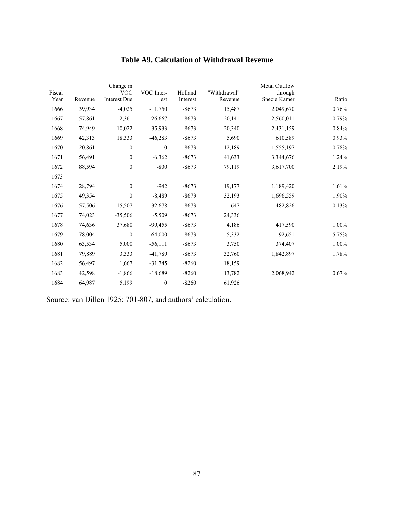# **Table A9. Calculation of Withdrawal Revenue**

| Fiscal<br>Year | Revenue | Change in<br><b>VOC</b><br>Interest Due | VOC Inter-<br>est | Holland<br>Interest | "Withdrawal"<br>Revenue | Metal Outflow<br>through<br>Specie Kamer | Ratio    |
|----------------|---------|-----------------------------------------|-------------------|---------------------|-------------------------|------------------------------------------|----------|
| 1666           | 39,934  | $-4,025$                                | $-11,750$         | $-8673$             | 15,487                  | 2,049,670                                | 0.76%    |
| 1667           | 57,861  | $-2,361$                                | $-26,667$         | $-8673$             | 20,141                  | 2,560,011                                | 0.79%    |
| 1668           | 74,949  | $-10,022$                               | $-35,933$         | $-8673$             | 20,340                  | 2,431,159                                | 0.84%    |
| 1669           | 42,313  | 18,333                                  | $-46,283$         | $-8673$             | 5,690                   | 610,589                                  | 0.93%    |
| 1670           | 20,861  | $\boldsymbol{0}$                        | $\boldsymbol{0}$  | $-8673$             | 12,189                  | 1,555,197                                | 0.78%    |
| 1671           | 56,491  | $\boldsymbol{0}$                        | $-6,362$          | $-8673$             | 41,633                  | 3,344,676                                | 1.24%    |
| 1672           | 88,594  | $\boldsymbol{0}$                        | $-800$            | $-8673$             | 79,119                  | 3,617,700                                | 2.19%    |
| 1673           |         |                                         |                   |                     |                         |                                          |          |
| 1674           | 28,794  | $\boldsymbol{0}$                        | $-942$            | $-8673$             | 19,177                  | 1,189,420                                | 1.61%    |
| 1675           | 49,354  | $\boldsymbol{0}$                        | $-8,489$          | $-8673$             | 32,193                  | 1,696,559                                | 1.90%    |
| 1676           | 57,506  | $-15,507$                               | $-32,678$         | $-8673$             | 647                     | 482,826                                  | 0.13%    |
| 1677           | 74,023  | $-35,506$                               | $-5,509$          | $-8673$             | 24,336                  |                                          |          |
| 1678           | 74,636  | 37,680                                  | $-99,455$         | $-8673$             | 4,186                   | 417,590                                  | 1.00%    |
| 1679           | 78,004  | $\boldsymbol{0}$                        | $-64,000$         | $-8673$             | 5,332                   | 92,651                                   | 5.75%    |
| 1680           | 63,534  | 5,000                                   | $-56,111$         | $-8673$             | 3,750                   | 374,407                                  | $1.00\%$ |
| 1681           | 79,889  | 3,333                                   | $-41,789$         | $-8673$             | 32,760                  | 1,842,897                                | 1.78%    |
| 1682           | 56,497  | 1,667                                   | $-31,745$         | $-8260$             | 18,159                  |                                          |          |
| 1683           | 42,598  | $-1,866$                                | $-18,689$         | $-8260$             | 13,782                  | 2,068,942                                | 0.67%    |
| 1684           | 64,987  | 5,199                                   | $\boldsymbol{0}$  | $-8260$             | 61,926                  |                                          |          |

Source: van Dillen 1925: 701-807, and authors' calculation.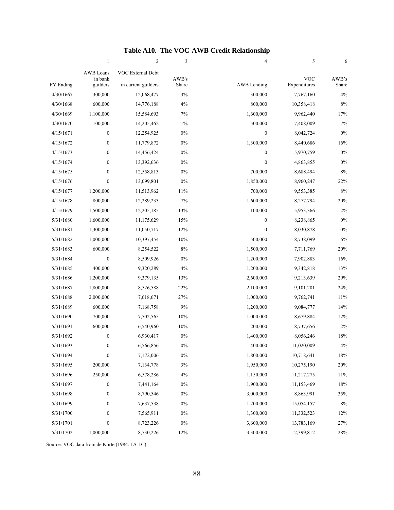#### **Table A10. The VOC-AWB Credit Relationship**

|           | 1                                       | $\mathfrak{2}$                           | 3              | 4                | 5                          | 6              |
|-----------|-----------------------------------------|------------------------------------------|----------------|------------------|----------------------------|----------------|
| FY Ending | <b>AWB</b> Loans<br>in bank<br>guilders | VOC External Debt<br>in current guilders | AWB's<br>Share | AWB Lending      | <b>VOC</b><br>Expenditures | AWB's<br>Share |
|           |                                         |                                          |                |                  |                            |                |
| 4/30/1667 | 300,000                                 | 12,068,477                               | $3\%$          | 300,000          | 7,767,160                  | $4\%$          |
| 4/30/1668 | 600,000                                 | 14,776,188                               | 4%             | 800,000          | 10,358,418                 | $8\%$          |
| 4/30/1669 | 1,100,000                               | 15,584,693                               | 7%             | 1,600,000        | 9,962,440                  | 17%            |
| 4/30/1670 | 100,000                                 | 14,205,462                               | $1\%$          | 500,000          | 7,408,009                  | 7%             |
| 4/15/1671 | $\boldsymbol{0}$                        | 12,254,925                               | $0\%$          | $\boldsymbol{0}$ | 8,042,724                  | $0\%$          |
| 4/15/1672 | $\boldsymbol{0}$                        | 11,779,872                               | 0%             | 1,300,000        | 8,440,686                  | 16%            |
| 4/15/1673 | $\boldsymbol{0}$                        | 14,456,424                               | $0\%$          | $\boldsymbol{0}$ | 5,970,759                  | $0\%$          |
| 4/15/1674 | $\mathbf{0}$                            | 13,392,636                               | $0\%$          | $\mathbf{0}$     | 4,863,855                  | $0\%$          |
| 4/15/1675 | $\mathbf{0}$                            | 12,558,813                               | $0\%$          | 700,000          | 8,688,494                  | 8%             |
| 4/15/1676 | $\mathbf{0}$                            | 13,099,801                               | $0\%$          | 1,850,000        | 8,960,247                  | 22%            |
| 4/15/1677 | 1,200,000                               | 11,513,962                               | 11%            | 700,000          | 9,553,385                  | 8%             |
| 4/15/1678 | 800,000                                 | 12,289,233                               | 7%             | 1,600,000        | 8,277,794                  | 20%            |
| 4/15/1679 | 1,500,000                               | 12,205,185                               | 13%            | 100,000          | 5,953,366                  | 2%             |
| 5/31/1680 | 1,600,000                               | 11,175,629                               | 15%            | $\boldsymbol{0}$ | 8,238,865                  | $0\%$          |
| 5/31/1681 | 1,300,000                               | 11,050,717                               | 12%            | $\boldsymbol{0}$ | 8,030,878                  | $0\%$          |
| 5/31/1682 | 1,000,000                               | 10,397,454                               | 10%            | 500,000          | 8,738,099                  | 6%             |
| 5/31/1683 | 600,000                                 | 8,254,522                                | $8\%$          | 1,500,000        | 7,711,769                  | 20%            |
| 5/31/1684 | $\boldsymbol{0}$                        | 8,509,926                                | 0%             | 1,200,000        | 7,902,883                  | 16%            |
| 5/31/1685 | 400,000                                 | 9,320,289                                | 4%             | 1,200,000        | 9,342,818                  | 13%            |
| 5/31/1686 | 1,200,000                               | 9,379,135                                | 13%            | 2,600,000        | 9,213,639                  | 29%            |
| 5/31/1687 | 1,800,000                               | 8,526,588                                | 22%            | 2,100,000        | 9,101,201                  | 24%            |
| 5/31/1688 | 2,000,000                               | 7,618,671                                | 27%            | 1,000,000        | 9,762,741                  | 11%            |

5/31/1689 600,000 7,168,758 9% 1,200,000 9,084,777 14% 5/31/1690 700,000 7,502,565 10% 1,000,000 8,679,884 12% 5/31/1691 600,000 6,540,960 10% 200,000 8,737,656 2% 5/31/1692 0 6,930,417 0% 1,400,000 8,056,246 18% 5/31/1693 0 6,566,856 0% 400,000 11,020,009 4% 5/31/1694 0 7,172,006 0% 1,800,000 10,718,641 18% 5/31/1695 200,000 7,134,778 3% 1,950,000 10,275,190 20% 5/31/1696 250,000 6,578,286 4% 1,150,000 11,217,275 11% 5/31/1697 0 7,441,164 0% 1,900,000 11,153,469 18% 5/31/1698 0 8,790,546 0% 3,000,000 8,863,991 35% 5/31/1699 0 7,637,538 0% 1,200,000 15,054,157 8% 5/31/1700 0 7,565,911 0% 1,300,000 11,332,523 12% 5/31/1701 0 8,723,226 0% 3,600,000 13,783,169 27% 5/31/1702 1,000,000 8,730,226 12% 3,300,000 12,399,812 28%

Source: VOC data from de Korte (1984: 1A-1C).

88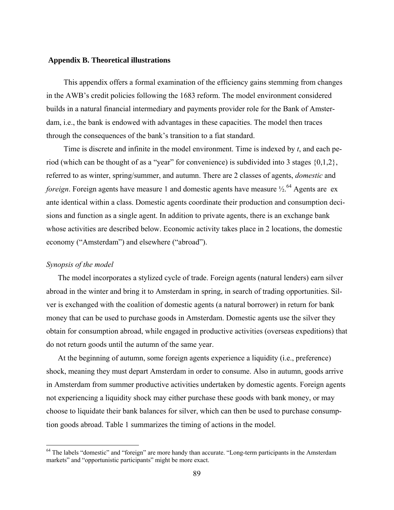### **Appendix B. Theoretical illustrations**

This appendix offers a formal examination of the efficiency gains stemming from changes in the AWB's credit policies following the 1683 reform. The model environment considered builds in a natural financial intermediary and payments provider role for the Bank of Amsterdam, i.e., the bank is endowed with advantages in these capacities. The model then traces through the consequences of the bank's transition to a fiat standard.

Time is discrete and infinite in the model environment. Time is indexed by *t*, and each period (which can be thought of as a "year" for convenience) is subdivided into 3 stages {0,1,2}, referred to as winter, spring/summer, and autumn. There are 2 classes of agents, *domestic* and *foreign*. Foreign agents have measure 1 and domestic agents have measure  $\frac{1}{2}$ .<sup>64</sup> Agents are ex ante identical within a class. Domestic agents coordinate their production and consumption decisions and function as a single agent. In addition to private agents, there is an exchange bank whose activities are described below. Economic activity takes place in 2 locations, the domestic economy ("Amsterdam") and elsewhere ("abroad").

#### *Synopsis of the model*

 $\overline{a}$ 

The model incorporates a stylized cycle of trade. Foreign agents (natural lenders) earn silver abroad in the winter and bring it to Amsterdam in spring, in search of trading opportunities. Silver is exchanged with the coalition of domestic agents (a natural borrower) in return for bank money that can be used to purchase goods in Amsterdam. Domestic agents use the silver they obtain for consumption abroad, while engaged in productive activities (overseas expeditions) that do not return goods until the autumn of the same year.

At the beginning of autumn, some foreign agents experience a liquidity (i.e., preference) shock, meaning they must depart Amsterdam in order to consume. Also in autumn, goods arrive in Amsterdam from summer productive activities undertaken by domestic agents. Foreign agents not experiencing a liquidity shock may either purchase these goods with bank money, or may choose to liquidate their bank balances for silver, which can then be used to purchase consumption goods abroad. Table 1 summarizes the timing of actions in the model.

<sup>&</sup>lt;sup>64</sup> The labels "domestic" and "foreign" are more handy than accurate. "Long-term participants in the Amsterdam markets" and "opportunistic participants" might be more exact.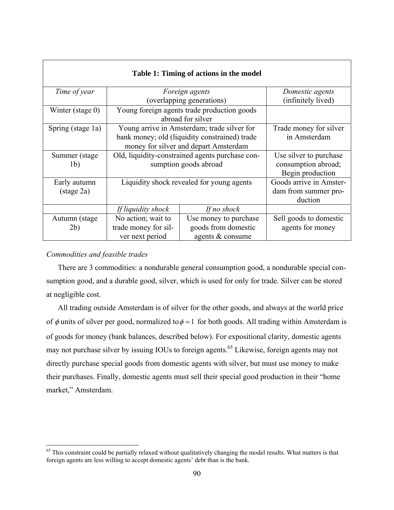|                                      |                                                                                                                                       | Table 1: Timing of actions in the model                           |                        |
|--------------------------------------|---------------------------------------------------------------------------------------------------------------------------------------|-------------------------------------------------------------------|------------------------|
| Time of year                         |                                                                                                                                       | <i>Foreign agents</i>                                             | Domestic agents        |
|                                      |                                                                                                                                       | (overlapping generations)                                         | (infinitely lived)     |
| Winter (stage $0$ )                  |                                                                                                                                       | Young foreign agents trade production goods<br>abroad for silver  |                        |
| Spring (stage 1a)                    | Young arrive in Amsterdam; trade silver for<br>bank money; old (liquidity constrained) trade<br>money for silver and depart Amsterdam | Trade money for silver<br>in Amsterdam                            |                        |
| Summer (stage)<br>1 <sub>b</sub>     | Old, liquidity-constrained agents purchase con-<br>sumption goods abroad                                                              | Use silver to purchase<br>consumption abroad;<br>Begin production |                        |
| Early autumn<br>$(\text{stage } 2a)$ | Liquidity shock revealed for young agents                                                                                             | Goods arrive in Amster-<br>dam from summer pro-<br>duction        |                        |
|                                      | If liquidity shock                                                                                                                    | If no shock                                                       |                        |
| Autumn (stage                        | No action; wait to                                                                                                                    | Use money to purchase                                             | Sell goods to domestic |
| 2b)                                  | trade money for sil-                                                                                                                  | goods from domestic                                               | agents for money       |
|                                      | ver next period                                                                                                                       | agents & consume                                                  |                        |

## *Commodities and feasible trades*

 $\overline{a}$ 

There are 3 commodities: a nondurable general consumption good, a nondurable special consumption good, and a durable good, silver, which is used for only for trade. Silver can be stored at negligible cost.

All trading outside Amsterdam is of silver for the other goods, and always at the world price of  $\phi$  units of silver per good, normalized to  $\phi = 1$  for both goods. All trading within Amsterdam is of goods for money (bank balances, described below). For expositional clarity, domestic agents may not purchase silver by issuing IOUs to foreign agents.<sup>65</sup> Likewise, foreign agents may not directly purchase special goods from domestic agents with silver, but must use money to make their purchases. Finally, domestic agents must sell their special good production in their "home market," Amsterdam.

 $65$  This constraint could be partially relaxed without qualitatively changing the model results. What matters is that foreign agents are less willing to accept domestic agents' debt than is the bank.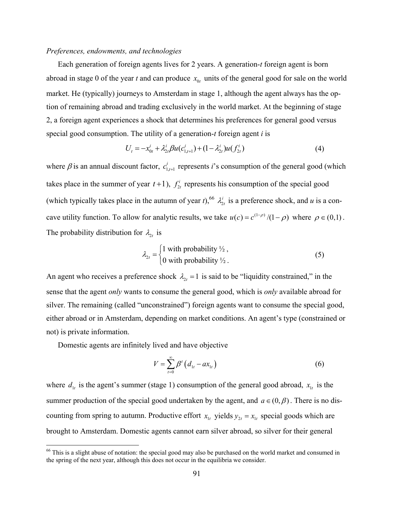#### *Preferences, endowments, and technologies*

Each generation of foreign agents lives for 2 years. A generation-*t* foreign agent is born abroad in stage 0 of the year *t* and can produce  $x_{0t}$  units of the general good for sale on the world market. He (typically) journeys to Amsterdam in stage 1, although the agent always has the option of remaining abroad and trading exclusively in the world market. At the beginning of stage 2, a foreign agent experiences a shock that determines his preferences for general good versus special good consumption. The utility of a generation-*t* foreign agent *i* is

$$
U_t = -x_{0t}^i + \lambda_{2t}^i \beta u(c_{1,t+1}^i) + (1 - \lambda_{2t}^i) u(f_{2t}^i)
$$
\n(4)

where  $\beta$  is an annual discount factor,  $c_{1,t+1}^i$  represents *i*'s consumption of the general good (which takes place in the summer of year  $t+1$ ),  $f_{2t}^{i}$  represents his consumption of the special good (which typically takes place in the autumn of year *t*),<sup>66</sup>  $\lambda_i^i$  is a preference shock, and *u* is a concave utility function. To allow for analytic results, we take  $u(c) = c^{(1-\rho)}/(1-\rho)$  where  $\rho \in (0,1)$ . The probability distribution for  $\lambda_{2t}$  is

$$
\lambda_{2t} = \begin{cases} 1 \text{ with probability } \frac{1}{2}, \\ 0 \text{ with probability } \frac{1}{2}. \end{cases}
$$
 (5)

An agent who receives a preference shock  $\lambda_{2t} = 1$  is said to be "liquidity constrained," in the sense that the agent *only* wants to consume the general good, which is *only* available abroad for silver. The remaining (called "unconstrained") foreign agents want to consume the special good, either abroad or in Amsterdam, depending on market conditions. An agent's type (constrained or not) is private information.

Domestic agents are infinitely lived and have objective

 $\overline{a}$ 

$$
V = \sum_{t=0}^{\infty} \beta^t \left( d_{1t} - a x_{1t} \right) \tag{6}
$$

where  $d<sub>1t</sub>$  is the agent's summer (stage 1) consumption of the general good abroad,  $x<sub>1t</sub>$  is the summer production of the special good undertaken by the agent, and  $a \in (0, \beta)$ . There is no discounting from spring to autumn. Productive effort  $x_{1t}$  yields  $y_{2t} = x_{1t}$  special goods which are brought to Amsterdam. Domestic agents cannot earn silver abroad, so silver for their general

<sup>&</sup>lt;sup>66</sup> This is a slight abuse of notation: the special good may also be purchased on the world market and consumed in the spring of the next year, although this does not occur in the equilibria we consider.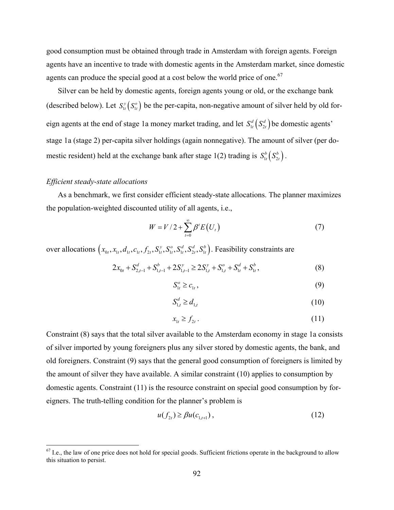good consumption must be obtained through trade in Amsterdam with foreign agents. Foreign agents have an incentive to trade with domestic agents in the Amsterdam market, since domestic agents can produce the special good at a cost below the world price of one.<sup>67</sup>

Silver can be held by domestic agents, foreign agents young or old, or the exchange bank (described below). Let  $S_{t}^y(S_{t}^o)$  be the per-capita, non-negative amount of silver held by old foreign agents at the end of stage 1a money market trading, and let  $S_{1t}^d (S_{2t}^d)$  be domestic agents' stage 1a (stage 2) per-capita silver holdings (again nonnegative). The amount of silver (per domestic resident) held at the exchange bank after stage 1(2) trading is  $S^b_{1t} ( S^b_{2t} )$ .

## *Efficient steady-state allocations*

 $\overline{a}$ 

As a benchmark, we first consider efficient steady-state allocations. The planner maximizes the population-weighted discounted utility of all agents, i.e.,

$$
W = V/2 + \sum_{t=0}^{\infty} \beta^t E(U_t)
$$
 (7)

over allocations  $(x_0, x_t, d_t, c_t, f_2, S_t^y, S_t^o, S_t^d, S_t^d, S_t^b)$ . Feasibility constraints are

$$
2x_{0t} + S_{2,t-1}^d + S_{1,t-1}^b + 2S_{1,t-1}^y \ge 2S_{1,t}^y + S_{1,t}^o + S_{1t}^d + S_{1t}^b,
$$
\n(8)

$$
S_{1t}^o \geq c_{1t},\tag{9}
$$

$$
S_{1,t}^d \ge d_{1,t} \tag{10}
$$

$$
x_{1t} \ge f_{2t} \tag{11}
$$

Constraint (8) says that the total silver available to the Amsterdam economy in stage 1a consists of silver imported by young foreigners plus any silver stored by domestic agents, the bank, and old foreigners. Constraint (9) says that the general good consumption of foreigners is limited by the amount of silver they have available. A similar constraint (10) applies to consumption by domestic agents. Constraint (11) is the resource constraint on special good consumption by foreigners. The truth-telling condition for the planner's problem is

$$
u(f_{2t}) \ge \beta u(c_{1,t+1}), \qquad (12)
$$

 $67$  I.e., the law of one price does not hold for special goods. Sufficient frictions operate in the background to allow this situation to persist.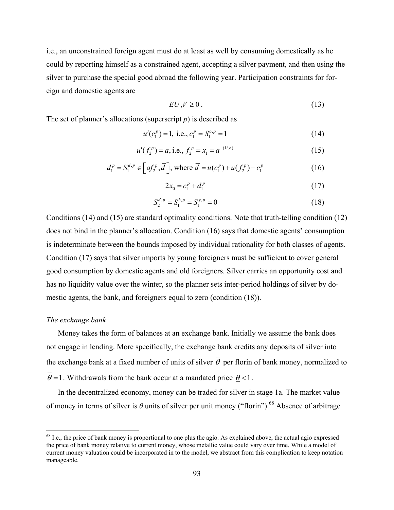i.e., an unconstrained foreign agent must do at least as well by consuming domestically as he could by reporting himself as a constrained agent, accepting a silver payment, and then using the silver to purchase the special good abroad the following year. Participation constraints for foreign and domestic agents are

$$
EU, V \ge 0. \tag{13}
$$

The set of planner's allocations (superscript *p*) is described as

$$
u'(c_1^p) = 1, \text{ i.e., } c_1^p = S_1^{o,p} = 1 \tag{14}
$$

$$
u'(f_2^p) = a, \text{ i.e., } f_2^p = x_1 = a^{-(1/\rho)} \tag{15}
$$

$$
d_1^p = S_1^{d,p} \in \left[ af_2^p, \overline{d} \right], \text{ where } \overline{d} = u(c_1^p) + u(f_2^p) - c_1^p \tag{16}
$$

$$
2x_0 = c_1^p + d_1^p \tag{17}
$$

$$
S_2^{d,p} = S_1^{b,p} = S_1^{y,p} = 0
$$
\n(18)

Conditions (14) and (15) are standard optimality conditions. Note that truth-telling condition (12) does not bind in the planner's allocation. Condition (16) says that domestic agents' consumption is indeterminate between the bounds imposed by individual rationality for both classes of agents. Condition (17) says that silver imports by young foreigners must be sufficient to cover general good consumption by domestic agents and old foreigners. Silver carries an opportunity cost and has no liquidity value over the winter, so the planner sets inter-period holdings of silver by domestic agents, the bank, and foreigners equal to zero (condition (18)).

#### *The exchange bank*

<u>.</u>

Money takes the form of balances at an exchange bank. Initially we assume the bank does not engage in lending. More specifically, the exchange bank credits any deposits of silver into the exchange bank at a fixed number of units of silver  $\overline{\theta}$  per florin of bank money, normalized to  $\theta = 1$ . Withdrawals from the bank occur at a mandated price  $\theta < 1$ .

In the decentralized economy, money can be traded for silver in stage 1a. The market value of money in terms of silver is  $\theta$  units of silver per unit money ("florin").<sup>68</sup> Absence of arbitrage

 $68$  I.e., the price of bank money is proportional to one plus the agio. As explained above, the actual agio expressed the price of bank money relative to current money, whose metallic value could vary over time. While a model of current money valuation could be incorporated in to the model, we abstract from this complication to keep notation manageable.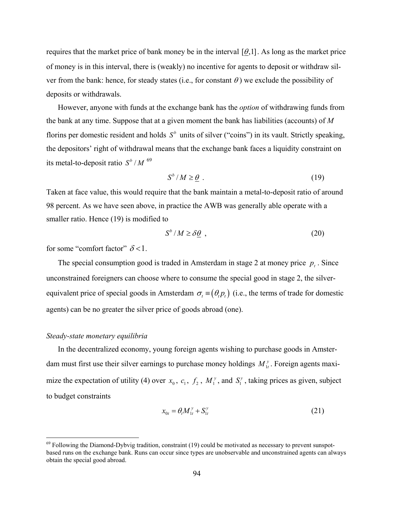requires that the market price of bank money be in the interval  $[\theta,1]$ . As long as the market price of money is in this interval, there is (weakly) no incentive for agents to deposit or withdraw silver from the bank: hence, for steady states (i.e., for constant  $\theta$ ) we exclude the possibility of deposits or withdrawals.

However, anyone with funds at the exchange bank has the *option* of withdrawing funds from the bank at any time. Suppose that at a given moment the bank has liabilities (accounts) of *M*  florins per domestic resident and holds  $S^b$  units of silver ("coins") in its vault. Strictly speaking, the depositors' right of withdrawal means that the exchange bank faces a liquidity constraint on its metal-to-deposit ratio  $S^b / M^{69}$ 

$$
S^b / M \ge \theta \tag{19}
$$

Taken at face value, this would require that the bank maintain a metal-to-deposit ratio of around 98 percent. As we have seen above, in practice the AWB was generally able operate with a smaller ratio. Hence (19) is modified to

$$
S^b / M \ge \delta \underline{\theta} \tag{20}
$$

for some "comfort factor"  $\delta$  < 1.

The special consumption good is traded in Amsterdam in stage 2 at money price  $p_t$ . Since unconstrained foreigners can choose where to consume the special good in stage 2, the silverequivalent price of special goods in Amsterdam  $\sigma_t = (\theta_t p_t)$  (i.e., the terms of trade for domestic agents) can be no greater the silver price of goods abroad (one).

#### *Steady-state monetary equilibria*

1

In the decentralized economy, young foreign agents wishing to purchase goods in Amsterdam must first use their silver earnings to purchase money holdings  $M_t^y$ . Foreign agents maximize the expectation of utility (4) over  $x_0$ ,  $c_1$ ,  $f_2$ ,  $M_1^y$ , and  $S_1^y$ , taking prices as given, subject to budget constraints

$$
x_{0t} = \theta_t M_{1t}^y + S_{1t}^y \tag{21}
$$

 $69$  Following the Diamond-Dybvig tradition, constraint (19) could be motivated as necessary to prevent sunspotbased runs on the exchange bank. Runs can occur since types are unobservable and unconstrained agents can always obtain the special good abroad.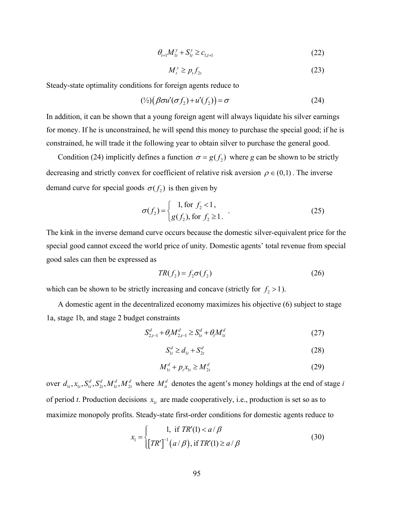$$
\theta_{t+1} M_{1t}^y + S_{1t}^y \ge c_{1,t+1} \tag{22}
$$

$$
M_t^{\nu} \ge p_t f_{2t} \tag{23}
$$

Steady-state optimality conditions for foreign agents reduce to

$$
(\frac{1}{2})\left(\beta\sigma u'(\sigma f_2) + u'(f_2)\right) = \sigma \tag{24}
$$

In addition, it can be shown that a young foreign agent will always liquidate his silver earnings for money. If he is unconstrained, he will spend this money to purchase the special good; if he is constrained, he will trade it the following year to obtain silver to purchase the general good.

Condition (24) implicitly defines a function  $\sigma = g(f_2)$  where *g* can be shown to be strictly decreasing and strictly convex for coefficient of relative risk aversion  $\rho \in (0,1)$ . The inverse demand curve for special goods  $\sigma(f_2)$  is then given by

$$
\sigma(f_2) = \begin{cases} 1, \text{ for } f_2 < 1, \\ g(f_2), \text{ for } f_2 \ge 1. \end{cases}
$$
 (25)

The kink in the inverse demand curve occurs because the domestic silver-equivalent price for the special good cannot exceed the world price of unity. Domestic agents' total revenue from special good sales can then be expressed as

$$
TR(f_2) = f_2 \sigma(f_2)
$$
 (26)

which can be shown to be strictly increasing and concave (strictly for  $f_2 > 1$ ).

A domestic agent in the decentralized economy maximizes his objective (6) subject to stage 1a, stage 1b, and stage 2 budget constraints

$$
S_{2,t-1}^d + \theta_t M_{2,t-1}^d \ge S_{1t}^d + \theta_t M_{1t}^d
$$
\n(27)

$$
S_{1t}^d \ge d_{1t} + S_{2t}^d \tag{28}
$$

$$
M_{1t}^d + p_t x_{1t} \ge M_{2t}^d \tag{29}
$$

over  $d_{1t}$ ,  $x_{1t}$ ,  $S_t^d$ ,  $S_t^d$ ,  $M_t^d$ ,  $M_t^d$  where  $M_t^d$  denotes the agent's money holdings at the end of stage *i* of period *t*. Production decisions  $x_{1t}$  are made cooperatively, i.e., production is set so as to maximize monopoly profits. Steady-state first-order conditions for domestic agents reduce to

$$
x_{1} = \begin{cases} 1, & \text{if } TR'(1) < a / \beta \\ \left[ TR'\right]^{-1} \left( a / \beta \right), & \text{if } TR'(1) \ge a / \beta \end{cases} \tag{30}
$$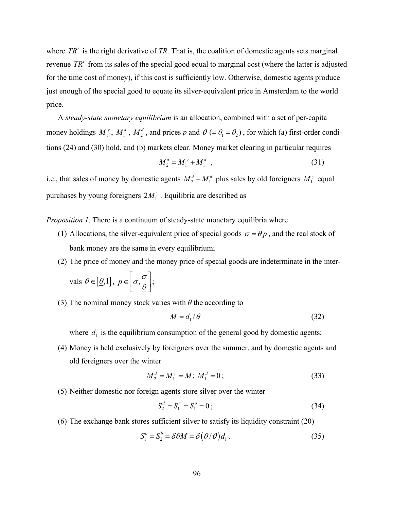where *TR'* is the right derivative of *TR*. That is, the coalition of domestic agents sets marginal revenue *TR*′ from its sales of the special good equal to marginal cost (where the latter is adjusted for the time cost of money), if this cost is sufficiently low. Otherwise, domestic agents produce just enough of the special good to equate its silver-equivalent price in Amsterdam to the world price.

A *steady-state monetary equilibrium* is an allocation, combined with a set of per-capita money holdings  $M_1^y$ ,  $M_1^d$ ,  $M_2^d$ , and prices *p* and  $\theta$  (=  $\theta_1 = \theta_2$ ), for which (a) first-order conditions (24) and (30) hold, and (b) markets clear. Money market clearing in particular requires

$$
M_2^d = M_1^y + M_1^d \t\t(31)
$$

i.e., that sales of money by domestic agents  $M_2^d - M_1^d$  plus sales by old foreigners  $M_1^y$  equal purchases by young foreigners  $2M_i^y$ . Equilibria are described as

*Proposition 1*. There is a continuum of steady-state monetary equilibria where

- (1) Allocations, the silver-equivalent price of special goods  $\sigma = \theta p$ , and the real stock of bank money are the same in every equilibrium;
- (2) The price of money and the money price of special goods are indeterminate in the interσ  $|\sigma|$

vals 
$$
\theta \in [\underline{\theta},1]
$$
,  $p \in [\sigma, \frac{\sigma}{\underline{\theta}}]$ ;

(3) The nominal money stock varies with  $\theta$  the according to

$$
M = d_1 / \theta \tag{32}
$$

where  $d_1$  is the equilibrium consumption of the general good by domestic agents;

(4) Money is held exclusively by foreigners over the summer, and by domestic agents and old foreigners over the winter

$$
M_2^d = M_1^{\,y} = M; \; M_1^d = 0 \; ; \tag{33}
$$

(5) Neither domestic nor foreign agents store silver over the winter

$$
S_2^d = S_1^{\nu} = S_1^o = 0 \tag{34}
$$

(6) The exchange bank stores sufficient silver to satisfy its liquidity constraint (20)

$$
S_1^b = S_2^b = \delta \underline{\theta} M = \delta (\underline{\theta}/\theta) d_1.
$$
 (35)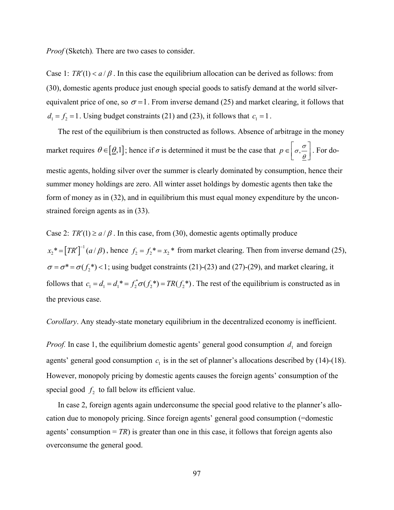*Proof* (Sketch). There are two cases to consider.

Case 1:  $TR'(1) < a/\beta$ . In this case the equilibrium allocation can be derived as follows: from (30), domestic agents produce just enough special goods to satisfy demand at the world silverequivalent price of one, so  $\sigma = 1$ . From inverse demand (25) and market clearing, it follows that  $d_1 = f_2 = 1$ . Using budget constraints (21) and (23), it follows that  $c_1 = 1$ .

The rest of the equilibrium is then constructed as follows. Absence of arbitrage in the money market requires  $\theta \in [\underline{\theta},1]$ ; hence if  $\sigma$  is determined it must be the case that  $p \in \left[ \sigma, \frac{\sigma}{\theta} \right]$  $\in \left[ \sigma, \frac{\sigma}{\theta} \right]$ . For domestic agents, holding silver over the summer is clearly dominated by consumption, hence their summer money holdings are zero. All winter asset holdings by domestic agents then take the form of money as in (32), and in equilibrium this must equal money expenditure by the unconstrained foreign agents as in (33).

Case 2:  $TR'(1) \ge a / \beta$ . In this case, from (30), domestic agents optimally produce

 $x_2^* = [TR']^{-1} (a/\beta)$ , hence  $f_2 = f_2^* = x_2^*$  from market clearing. Then from inverse demand (25),  $\sigma = \sigma^* = \sigma(f_2^*)$  < 1; using budget constraints (21)-(23) and (27)-(29), and market clearing, it follows that  $c_1 = d_1 = d_1^* = f_2^* \sigma(f_2^*) = TR(f_2^*)$ . The rest of the equilibrium is constructed as in the previous case.

### *Corollary*. Any steady-state monetary equilibrium in the decentralized economy is inefficient.

*Proof.* In case 1, the equilibrium domestic agents' general good consumption  $d_1$  and foreign agents' general good consumption  $c_1$  is in the set of planner's allocations described by (14)-(18). However, monopoly pricing by domestic agents causes the foreign agents' consumption of the special good  $f_2$  to fall below its efficient value.

In case 2, foreign agents again underconsume the special good relative to the planner's allocation due to monopoly pricing. Since foreign agents' general good consumption (=domestic agents' consumption  $= TR$ ) is greater than one in this case, it follows that foreign agents also overconsume the general good.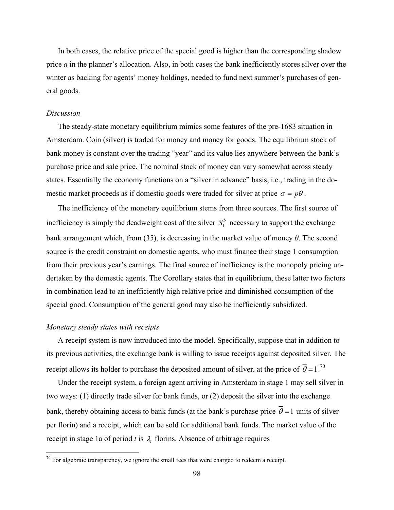In both cases, the relative price of the special good is higher than the corresponding shadow price *a* in the planner's allocation. Also, in both cases the bank inefficiently stores silver over the winter as backing for agents' money holdings, needed to fund next summer's purchases of general goods.

#### *Discussion*

The steady-state monetary equilibrium mimics some features of the pre-1683 situation in Amsterdam. Coin (silver) is traded for money and money for goods. The equilibrium stock of bank money is constant over the trading "year" and its value lies anywhere between the bank's purchase price and sale price. The nominal stock of money can vary somewhat across steady states. Essentially the economy functions on a "silver in advance" basis, i.e., trading in the domestic market proceeds as if domestic goods were traded for silver at price  $\sigma = p\theta$ .

The inefficiency of the monetary equilibrium stems from three sources. The first source of inefficiency is simply the deadweight cost of the silver  $S_1^b$  necessary to support the exchange bank arrangement which, from (35), is decreasing in the market value of money *θ*. The second source is the credit constraint on domestic agents, who must finance their stage 1 consumption from their previous year's earnings. The final source of inefficiency is the monopoly pricing undertaken by the domestic agents. The Corollary states that in equilibrium, these latter two factors in combination lead to an inefficiently high relative price and diminished consumption of the special good. Consumption of the general good may also be inefficiently subsidized.

#### *Monetary steady states with receipts*

 $\overline{a}$ 

A receipt system is now introduced into the model. Specifically, suppose that in addition to its previous activities, the exchange bank is willing to issue receipts against deposited silver. The receipt allows its holder to purchase the deposited amount of silver, at the price of  $\theta = 1$ .<sup>70</sup>

Under the receipt system, a foreign agent arriving in Amsterdam in stage 1 may sell silver in two ways: (1) directly trade silver for bank funds, or (2) deposit the silver into the exchange bank, thereby obtaining access to bank funds (at the bank's purchase price  $\overline{\theta} = 1$  units of silver per florin) and a receipt, which can be sold for additional bank funds. The market value of the receipt in stage 1a of period *t* is  $\lambda$ , florins. Absence of arbitrage requires

 $70$  For algebraic transparency, we ignore the small fees that were charged to redeem a receipt.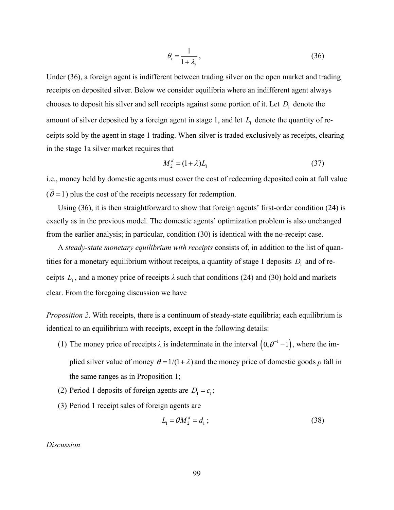$$
\theta_t = \frac{1}{1 + \lambda_t},\tag{36}
$$

Under (36), a foreign agent is indifferent between trading silver on the open market and trading receipts on deposited silver. Below we consider equilibria where an indifferent agent always chooses to deposit his silver and sell receipts against some portion of it. Let  $D<sub>1</sub>$  denote the amount of silver deposited by a foreign agent in stage 1, and let  $L<sub>1</sub>$  denote the quantity of receipts sold by the agent in stage 1 trading. When silver is traded exclusively as receipts, clearing in the stage 1a silver market requires that

$$
M_2^d = (1 + \lambda)L_1
$$
 (37)

i.e., money held by domestic agents must cover the cost of redeeming deposited coin at full value  $(\overline{\theta} = 1)$  plus the cost of the receipts necessary for redemption.

Using (36), it is then straightforward to show that foreign agents' first-order condition (24) is exactly as in the previous model. The domestic agents' optimization problem is also unchanged from the earlier analysis; in particular, condition (30) is identical with the no-receipt case.

A *steady-state monetary equilibrium with receipts* consists of, in addition to the list of quantities for a monetary equilibrium without receipts, a quantity of stage 1 deposits  $D<sub>1</sub>$  and of receipts  $L_1$ , and a money price of receipts  $\lambda$  such that conditions (24) and (30) hold and markets clear. From the foregoing discussion we have

*Proposition 2.* With receipts, there is a continuum of steady-state equilibria; each equilibrium is identical to an equilibrium with receipts, except in the following details:

- (1) The money price of receipts  $\lambda$  is indeterminate in the interval  $(0, \underline{\theta}^{-1} 1)$ , where the implied silver value of money  $\theta = 1/(1 + \lambda)$  and the money price of domestic goods p fall in the same ranges as in Proposition 1;
- (2) Period 1 deposits of foreign agents are  $D_1 = c_1$ ;
- (3) Period 1 receipt sales of foreign agents are

$$
L_1 = \theta M_2^d = d_1 ; \qquad (38)
$$

*Discussion*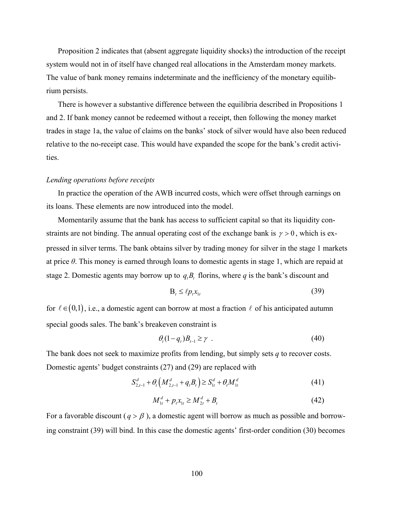Proposition 2 indicates that (absent aggregate liquidity shocks) the introduction of the receipt system would not in of itself have changed real allocations in the Amsterdam money markets. The value of bank money remains indeterminate and the inefficiency of the monetary equilibrium persists.

There is however a substantive difference between the equilibria described in Propositions 1 and 2. If bank money cannot be redeemed without a receipt, then following the money market trades in stage 1a, the value of claims on the banks' stock of silver would have also been reduced relative to the no-receipt case. This would have expanded the scope for the bank's credit activities.

#### *Lending operations before receipts*

In practice the operation of the AWB incurred costs, which were offset through earnings on its loans. These elements are now introduced into the model.

Momentarily assume that the bank has access to sufficient capital so that its liquidity constraints are not binding. The annual operating cost of the exchange bank is  $\gamma > 0$ , which is expressed in silver terms. The bank obtains silver by trading money for silver in the stage 1 markets at price *θ*. This money is earned through loans to domestic agents in stage 1, which are repaid at stage 2. Domestic agents may borrow up to  $q, B$ , florins, where  $q$  is the bank's discount and

$$
\mathbf{B}_t \le \ell p_t x_{1t} \tag{39}
$$

for  $\ell \in (0,1)$ , i.e., a domestic agent can borrow at most a fraction  $\ell$  of his anticipated autumn special goods sales. The bank's breakeven constraint is

$$
\theta_t (1 - q_t) B_{t-1} \ge \gamma \tag{40}
$$

The bank does not seek to maximize profits from lending, but simply sets *q* to recover costs. Domestic agents' budget constraints (27) and (29) are replaced with

$$
S_{2,t-1}^d + \theta_t \left( M_{2,t-1}^d + q_t B_t \right) \ge S_{1t}^d + \theta_t M_{1t}^d \tag{41}
$$

$$
M_{1t}^d + p_t x_{1t} \ge M_{2t}^d + B_t \tag{42}
$$

For a favorable discount ( $q > \beta$ ), a domestic agent will borrow as much as possible and borrowing constraint (39) will bind. In this case the domestic agents' first-order condition (30) becomes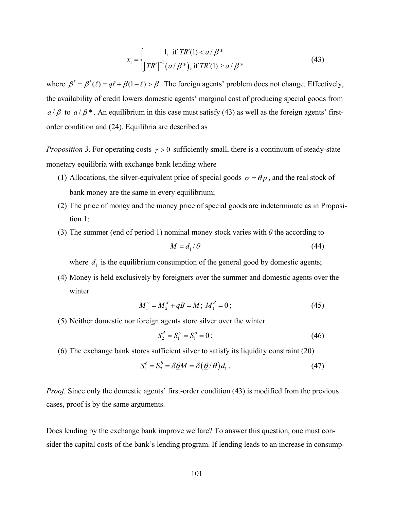$$
x_1 = \begin{cases} 1, & \text{if } TR'(1) < a / \beta^* \\ \left[ TR'\right]^{-1} \left( a / \beta^* \right), & \text{if } TR'(1) \ge a / \beta^* \end{cases} \tag{43}
$$

where  $\beta^* = \beta^*(\ell) = q\ell + \beta(1-\ell) > \beta$ . The foreign agents' problem does not change. Effectively, the availability of credit lowers domestic agents' marginal cost of producing special goods from *a* /  $\beta$  to *a* /  $\beta$  \*. An equilibrium in this case must satisfy (43) as well as the foreign agents' firstorder condition and (24). Equilibria are described as

*Proposition 3.* For operating costs  $\gamma > 0$  sufficiently small, there is a continuum of steady-state monetary equilibria with exchange bank lending where

- (1) Allocations, the silver-equivalent price of special goods  $\sigma = \theta p$ , and the real stock of bank money are the same in every equilibrium;
- (2) The price of money and the money price of special goods are indeterminate as in Proposition 1;
- (3) The summer (end of period 1) nominal money stock varies with  $\theta$  the according to  $M = d_1/\theta$  (44)

where  $d_1$  is the equilibrium consumption of the general good by domestic agents;

(4) Money is held exclusively by foreigners over the summer and domestic agents over the winter

$$
M_1^{\nu} = M_2^d + qB = M; \ M_1^d = 0; \tag{45}
$$

(5) Neither domestic nor foreign agents store silver over the winter

$$
S_2^d = S_1^{\nu} = S_1^o = 0 \tag{46}
$$

(6) The exchange bank stores sufficient silver to satisfy its liquidity constraint (20)

$$
S_1^b = S_2^b = \delta \underline{\theta} M = \delta (\underline{\theta}/\theta) d_1.
$$
 (47)

*Proof.* Since only the domestic agents' first-order condition (43) is modified from the previous cases, proof is by the same arguments.

Does lending by the exchange bank improve welfare? To answer this question, one must consider the capital costs of the bank's lending program. If lending leads to an increase in consump-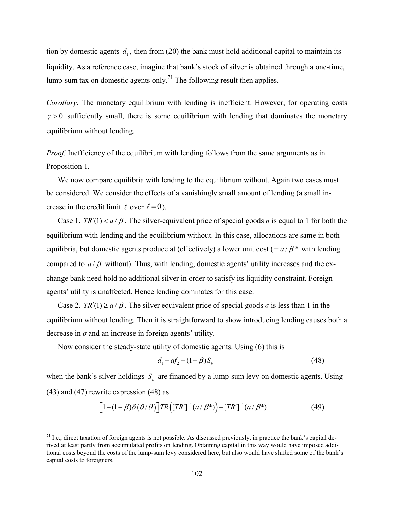tion by domestic agents  $d_1$ , then from (20) the bank must hold additional capital to maintain its liquidity. As a reference case, imagine that bank's stock of silver is obtained through a one-time, lump-sum tax on domestic agents only.<sup>71</sup> The following result then applies.

*Corollary*. The monetary equilibrium with lending is inefficient. However, for operating costs  $\gamma > 0$  sufficiently small, there is some equilibrium with lending that dominates the monetary equilibrium without lending.

*Proof.* Inefficiency of the equilibrium with lending follows from the same arguments as in Proposition 1.

We now compare equilibria with lending to the equilibrium without. Again two cases must be considered. We consider the effects of a vanishingly small amount of lending (a small increase in the credit limit  $\ell$  over  $\ell = 0$ ).

Case 1.  $TR'(1) < a/\beta$ . The silver-equivalent price of special goods  $\sigma$  is equal to 1 for both the equilibrium with lending and the equilibrium without. In this case, allocations are same in both equilibria, but domestic agents produce at (effectively) a lower unit cost ( $= a / \beta^*$  with lending compared to  $a/\beta$  without). Thus, with lending, domestic agents' utility increases and the exchange bank need hold no additional silver in order to satisfy its liquidity constraint. Foreign agents' utility is unaffected. Hence lending dominates for this case.

Case 2. *TR'*(1)  $\ge a / \beta$ . The silver equivalent price of special goods  $\sigma$  is less than 1 in the equilibrium without lending. Then it is straightforward to show introducing lending causes both a decrease in  $\sigma$  and an increase in foreign agents' utility.

Now consider the steady-state utility of domestic agents. Using (6) this is

<u>.</u>

$$
d_1 - af_2 - (1 - \beta)S_b \tag{48}
$$

when the bank's silver holdings  $S_b$  are financed by a lump-sum levy on domestic agents. Using (43) and (47) rewrite expression (48) as

$$
\left[1-(1-\beta)\delta(\underline{\theta}/\theta)\right]TR\left([TR']^{-1}(a/\beta^*)\right)-\left[TR'\right]^{-1}(a/\beta^*)\ .\tag{49}
$$

 $71$  I.e., direct taxation of foreign agents is not possible. As discussed previously, in practice the bank's capital derived at least partly from accumulated profits on lending. Obtaining capital in this way would have imposed additional costs beyond the costs of the lump-sum levy considered here, but also would have shifted some of the bank's capital costs to foreigners.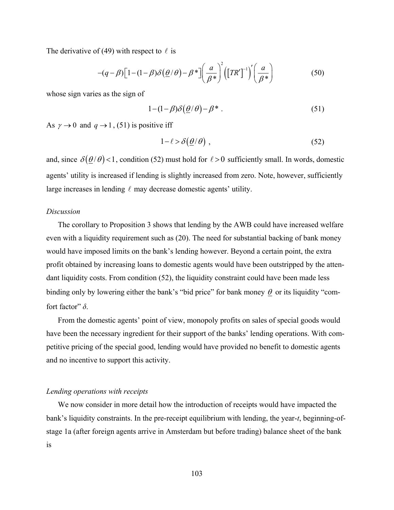The derivative of (49) with respect to  $\ell$  is

$$
-(q-\beta)\left[1-(1-\beta)\delta(\underline{\theta}/\theta)-\beta^*\right]\left(\frac{a}{\beta^*}\right)^2\left(\left[TR'\right]^{-1}\right)'\left(\frac{a}{\beta^*}\right) \tag{50}
$$

whose sign varies as the sign of

$$
1 - (1 - \beta)\delta(\underline{\theta}/\theta) - \beta^* \tag{51}
$$

As  $\gamma \rightarrow 0$  and  $q \rightarrow 1$ , (51) is positive iff

$$
1 - \ell > \delta\left(\frac{\theta}{\theta}\right) \tag{52}
$$

and, since  $\delta(\theta/\theta)$  < 1, condition (52) must hold for  $\ell > 0$  sufficiently small. In words, domestic agents' utility is increased if lending is slightly increased from zero. Note, however, sufficiently large increases in lending  $\ell$  may decrease domestic agents' utility.

#### *Discussion*

The corollary to Proposition 3 shows that lending by the AWB could have increased welfare even with a liquidity requirement such as (20). The need for substantial backing of bank money would have imposed limits on the bank's lending however. Beyond a certain point, the extra profit obtained by increasing loans to domestic agents would have been outstripped by the attendant liquidity costs. From condition (52), the liquidity constraint could have been made less binding only by lowering either the bank's "bid price" for bank money  $\theta$  or its liquidity "comfort factor" *δ*.

From the domestic agents' point of view, monopoly profits on sales of special goods would have been the necessary ingredient for their support of the banks' lending operations. With competitive pricing of the special good, lending would have provided no benefit to domestic agents and no incentive to support this activity.

#### *Lending operations with receipts*

We now consider in more detail how the introduction of receipts would have impacted the bank's liquidity constraints. In the pre-receipt equilibrium with lending, the year-*t*, beginning-ofstage 1a (after foreign agents arrive in Amsterdam but before trading) balance sheet of the bank is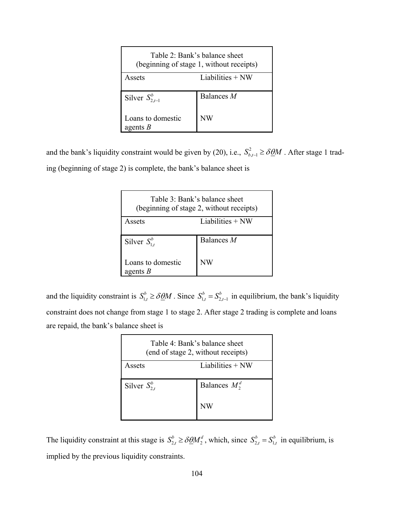| Table 2: Bank's balance sheet<br>(beginning of stage 1, without receipts) |                    |  |  |
|---------------------------------------------------------------------------|--------------------|--|--|
| Assets                                                                    | Liabilities $+$ NW |  |  |
| Silver $S_{2t-1}^b$                                                       | Balances M         |  |  |
| Loans to domestic<br>agents $B$                                           | NW                 |  |  |

and the bank's liquidity constraint would be given by (20), i.e.,  $S_{b,t-1}^2 \ge \delta \underline{\theta}M$ . After stage 1 trading (beginning of stage 2) is complete, the bank's balance sheet is

| Table 3: Bank's balance sheet<br>(beginning of stage 2, without receipts) |                  |  |  |
|---------------------------------------------------------------------------|------------------|--|--|
| Assets                                                                    | Liabilities + NW |  |  |
| Silver $S_{1t}^b$                                                         | Balances M       |  |  |
| Loans to domestic<br>NW<br>agents $B$                                     |                  |  |  |

and the liquidity constraint is  $S_{1,t}^b \ge \delta \underline{\theta}M$ . Since  $S_{1,t}^b = S_{2,t-1}^b$  in equilibrium, the bank's liquidity constraint does not change from stage 1 to stage 2. After stage 2 trading is complete and loans are repaid, the bank's balance sheet is

| Table 4: Bank's balance sheet<br>(end of stage 2, without receipts) |                    |  |  |
|---------------------------------------------------------------------|--------------------|--|--|
| Assets                                                              | Liabilities $+$ NW |  |  |
| Silver $S^b_{2t}$                                                   | Balances $M_2^d$   |  |  |
|                                                                     | NW                 |  |  |

The liquidity constraint at this stage is  $S_{2,t}^b \geq \delta \underline{\theta} M_2^d$ , which, since  $S_{2,t}^b = S_{1,t}^b$  in equilibrium, is implied by the previous liquidity constraints.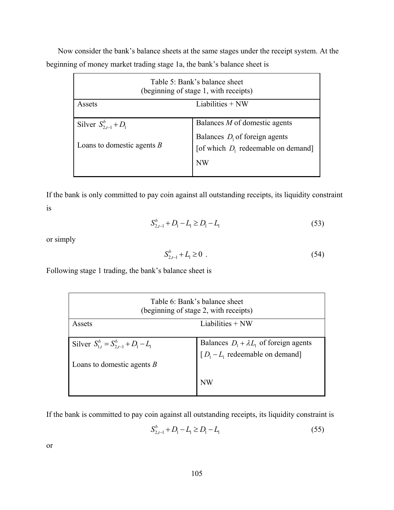Now consider the bank's balance sheets at the same stages under the receipt system. At the beginning of money market trading stage 1a, the bank's balance sheet is

| Table 5: Bank's balance sheet<br>(beginning of stage 1, with receipts) |                                                                           |  |  |  |
|------------------------------------------------------------------------|---------------------------------------------------------------------------|--|--|--|
| Liabilities $+NW$<br>Assets                                            |                                                                           |  |  |  |
|                                                                        |                                                                           |  |  |  |
| Silver $S_{2t-1}^{b} + D_1$                                            | Balances M of domestic agents                                             |  |  |  |
|                                                                        |                                                                           |  |  |  |
| Loans to domestic agents $B$                                           | Balances $D_1$ of foreign agents<br>[of which $D_1$ redeemable on demand] |  |  |  |
|                                                                        | <b>NW</b>                                                                 |  |  |  |
|                                                                        |                                                                           |  |  |  |

If the bank is only committed to pay coin against all outstanding receipts, its liquidity constraint is

$$
S_{2,t-1}^b + D_1 - L_1 \ge D_1 - L_1 \tag{53}
$$

or simply

$$
S_{2,t-1}^b + L_1 \ge 0 \tag{54}
$$

Following stage 1 trading, the bank's balance sheet is

| Table 6: Bank's balance sheet<br>(beginning of stage 2, with receipts) |                                                |
|------------------------------------------------------------------------|------------------------------------------------|
| Assets                                                                 | Liabilities $+NW$                              |
|                                                                        |                                                |
| Silver $S_{1t}^b = S_{2t-1}^b + D_1 - L_1$                             | Balances $D_1 + \lambda L_1$ of foreign agents |
|                                                                        | $[D_1 - L_1$ redeemable on demand]             |
| Loans to domestic agents $B$                                           |                                                |
|                                                                        | NW                                             |

If the bank is committed to pay coin against all outstanding receipts, its liquidity constraint is

$$
S_{2,t-1}^b + D_1 - L_1 \ge D_1 - L_1 \tag{55}
$$

or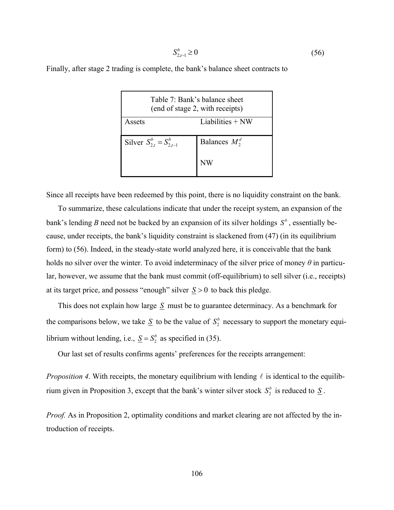$$
S_{2,t-1}^b \ge 0 \tag{56}
$$

Finally, after stage 2 trading is complete, the bank's balance sheet contracts to

| Table 7: Bank's balance sheet<br>(end of stage 2, with receipts) |                    |
|------------------------------------------------------------------|--------------------|
| Assets                                                           | Liabilities $+$ NW |
| Silver $S_{2t}^b = S_{2t-1}^b$                                   | Balances $M_2^d$   |
|                                                                  | NW                 |

Since all receipts have been redeemed by this point, there is no liquidity constraint on the bank.

To summarize, these calculations indicate that under the receipt system, an expansion of the bank's lending *B* need not be backed by an expansion of its silver holdings  $S^b$ , essentially because, under receipts, the bank's liquidity constraint is slackened from (47) (in its equilibrium form) to (56). Indeed, in the steady-state world analyzed here, it is conceivable that the bank holds no silver over the winter. To avoid indeterminacy of the silver price of money *θ* in particular, however, we assume that the bank must commit (off-equilibrium) to sell silver (i.e., receipts) at its target price, and possess "enough" silver *S* > 0 to back this pledge.

This does not explain how large *S* must be to guarantee determinacy. As a benchmark for the comparisons below, we take  $S$  to be the value of  $S_2^b$  necessary to support the monetary equilibrium without lending, i.e.,  $\underline{S} = S_2^b$  as specified in (35).

Our last set of results confirms agents' preferences for the receipts arrangement:

*Proposition 4*. With receipts, the monetary equilibrium with lending  $\ell$  is identical to the equilibrium given in Proposition 3, except that the bank's winter silver stock  $S_2^b$  is reduced to  $\underline{S}$ .

*Proof.* As in Proposition 2, optimality conditions and market clearing are not affected by the introduction of receipts.